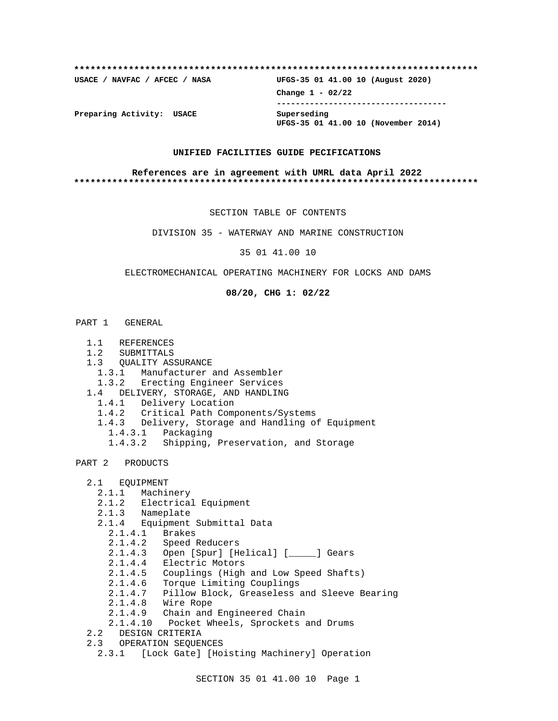# **\*\*\*\*\*\*\*\*\*\*\*\*\*\*\*\*\*\*\*\*\*\*\*\*\*\*\*\*\*\*\*\*\*\*\*\*\*\*\*\*\*\*\*\*\*\*\*\*\*\*\*\*\*\*\*\*\*\*\*\*\*\*\*\*\*\*\*\*\*\*\*\*\*\* USACE / NAVFAC / AFCEC / NASA UFGS-35 01 41.00 10 (August 2020) Change 1 - 02/22 ------------------------------------ Preparing Activity: USACE Superseding UFGS-35 01 41.00 10 (November 2014)**

#### **UNIFIED FACILITIES GUIDE PECIFICATIONS**

#### **References are in agreement with UMRL data April 2022 \*\*\*\*\*\*\*\*\*\*\*\*\*\*\*\*\*\*\*\*\*\*\*\*\*\*\*\*\*\*\*\*\*\*\*\*\*\*\*\*\*\*\*\*\*\*\*\*\*\*\*\*\*\*\*\*\*\*\*\*\*\*\*\*\*\*\*\*\*\*\*\*\*\***

SECTION TABLE OF CONTENTS

DIVISION 35 - WATERWAY AND MARINE CONSTRUCTION

35 01 41.00 10

#### ELECTROMECHANICAL OPERATING MACHINERY FOR LOCKS AND DAMS

**08/20, CHG 1: 02/22**

#### PART 1 GENERAL

- 1.1 REFERENCES
- 1.2 SUBMITTALS
- 1.3 QUALITY ASSURANCE
	- 1.3.1 Manufacturer and Assembler
- 1.3.2 Erecting Engineer Services
- 1.4 DELIVERY, STORAGE, AND HANDLING
	- 1.4.1 Delivery Location
	- 1.4.2 Critical Path Components/Systems
	- 1.4.3 Delivery, Storage and Handling of Equipment 1.4.3.1 Packaging
		- 1.4.3.2 Shipping, Preservation, and Storage
- PART 2 PRODUCTS
	- 2.1 EQUIPMENT
		- 2.1.1 Machinery
		- 2.1.2 Electrical Equipment
		- 2.1.3 Nameplate
		- 2.1.4 Equipment Submittal Data
		- 2.1.4.1 Brakes
- 2.1.4.2 Speed Reducers
- 2.1.4.3 Open [Spur] [Helical] [\_\_\_\_\_] Gears
	- 2.1.4.4 Electric Motors
	- 2.1.4.5 Couplings (High and Low Speed Shafts)
	- 2.1.4.6 Torque Limiting Couplings
	- 2.1.4.7 Pillow Block, Greaseless and Sleeve Bearing
	- 2.1.4.8 Wire Rope
	- 2.1.4.9 Chain and Engineered Chain
	- 2.1.4.10 Pocket Wheels, Sprockets and Drums
	- 2.2 DESIGN CRITERIA
	- 2.3 OPERATION SEQUENCES
		- 2.3.1 [Lock Gate] [Hoisting Machinery] Operation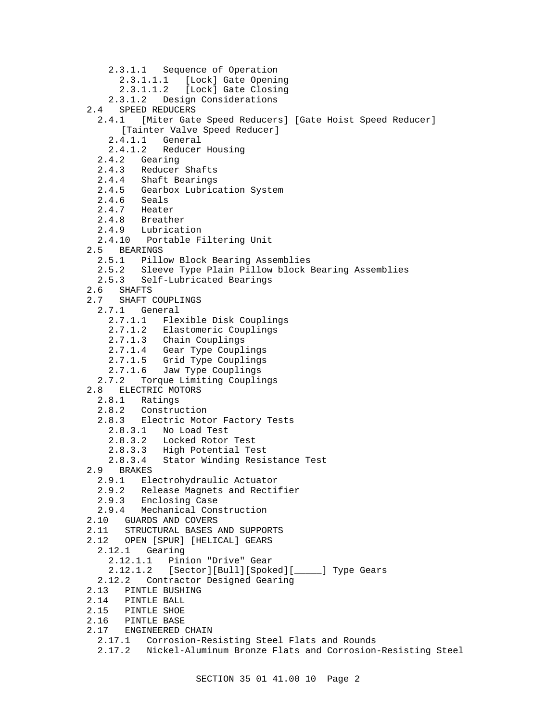- 2.3.1.1 Sequence of Operation
	- 2.3.1.1.1 [Lock] Gate Opening
- 2.3.1.1.2 [Lock] Gate Closing
- 2.3.1.2 Design Considerations
- 2.4 SPEED REDUCERS
	- 2.4.1 [Miter Gate Speed Reducers] [Gate Hoist Speed Reducer] [Tainter Valve Speed Reducer]
		-
		- 2.4.1.1 General<br>2.4.1.2 Reducer Reducer Housing
	- 2.4.2 Gearing
	- 2.4.3 Reducer Shafts
	- 2.4.4 Shaft Bearings
	- 2.4.5 Gearbox Lubrication System
	- 2.4.6 Seals<br>2.4.7 Heate
	- Heater
	- 2.4.8 Breather
	- 2.4.9 Lubrication
	- 2.4.10 Portable Filtering Unit
- 2.5 BEARINGS
	- 2.5.1 Pillow Block Bearing Assemblies
	- 2.5.2 Sleeve Type Plain Pillow block Bearing Assemblies
	- 2.5.3 Self-Lubricated Bearings
- 2.6 SHAFTS
- 2.7 SHAFT COUPLINGS
	- 2.7.1 General
		- 2.7.1.1 Flexible Disk Couplings
		- 2.7.1.2 Elastomeric Couplings
		- 2.7.1.3 Chain Couplings
		- 2.7.1.4 Gear Type Couplings
		- 2.7.1.5 Grid Type Couplings
		- 2.7.1.6 Jaw Type Couplings
- 2.7.2 Torque Limiting Couplings
- 2.8 ELECTRIC MOTORS
	- 2.8.1 Ratings
	- 2.8.2 Construction
	- 2.8.3 Electric Motor Factory Tests
		- 2.8.3.1 No Load Test
		- 2.8.3.2 Locked Rotor Test
		- 2.8.3.3 High Potential Test
		- 2.8.3.4 Stator Winding Resistance Test
- 2.9 BRAKES
	- 2.9.1 Electrohydraulic Actuator
	- 2.9.2 Release Magnets and Rectifier
	- 2.9.3 Enclosing Case
- 2.9.4 Mechanical Construction
- 2.10 GUARDS AND COVERS
- 2.11 STRUCTURAL BASES AND SUPPORTS
- 2.12 OPEN [SPUR] [HELICAL] GEARS
- 2.12.1 Gearing
	- 2.12.1.1 Pinion "Drive" Gear
	-
	- 2.12.1.2 [Sector][Bull][Spoked][\_\_\_\_\_] Type Gears
- 2.12.2 Contractor Designed Gearing
- 2.13 PINTLE BUSHING
- 2.14 PINTLE BALL
- 2.15 PINTLE SHOE
- 2.16 PINTLE BASE
- 2.17 ENGINEERED CHAIN
	- 2.17.1 Corrosion-Resisting Steel Flats and Rounds
	- 2.17.2 Nickel-Aluminum Bronze Flats and Corrosion-Resisting Steel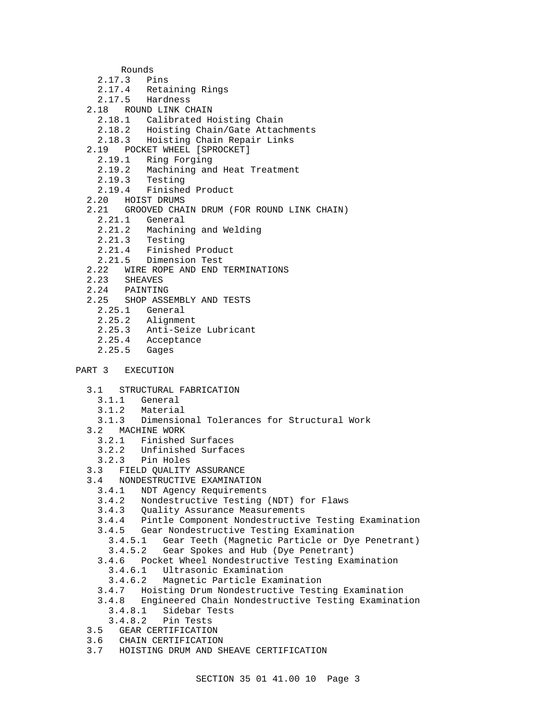Rounds

- 2.17.3 Pins
- 2.17.4 Retaining Rings
- 2.17.5 Hardness
- 2.18 ROUND LINK CHAIN
	- 2.18.1 Calibrated Hoisting Chain
	- 2.18.2 Hoisting Chain/Gate Attachments
	- 2.18.3 Hoisting Chain Repair Links
- 2.19 POCKET WHEEL [SPROCKET]
	- 2.19.1 Ring Forging
	- 2.19.2 Machining and Heat Treatment
	- 2.19.3 Testing
	- 2.19.4 Finished Product
- 2.20 HOIST DRUMS
- 2.21 GROOVED CHAIN DRUM (FOR ROUND LINK CHAIN)
	- 2.21.1 General
	- 2.21.2 Machining and Welding
	- 2.21.3 Testing
	- 2.21.4 Finished Product
	- 2.21.5 Dimension Test
- 2.22 WIRE ROPE AND END TERMINATIONS
- 2.23 SHEAVES
- 2.24 PAINTING
- 2.25 SHOP ASSEMBLY AND TESTS
	- 2.25.1 General
	- 2.25.2 Alignment
	- 2.25.3 Anti-Seize Lubricant
	- 2.25.4 Acceptance
	- 2.25.5 Gages
- PART 3 EXECUTION
	- 3.1 STRUCTURAL FABRICATION
		- 3.1.1 General
		- 3.1.2 Material
	- 3.1.3 Dimensional Tolerances for Structural Work
	- 3.2 MACHINE WORK
		- 3.2.1 Finished Surfaces
		- 3.2.2 Unfinished Surfaces
		- 3.2.3 Pin Holes
	- 3.3 FIELD QUALITY ASSURANCE
	- 3.4 NONDESTRUCTIVE EXAMINATION<br>3.4.1 NDT Agency Requirement
		- NDT Agency Requirements
		- 3.4.2 Nondestructive Testing (NDT) for Flaws
		- Quality Assurance Measurements
		- 3.4.4 Pintle Component Nondestructive Testing Examination
		- 3.4.5 Gear Nondestructive Testing Examination
			- 3.4.5.1 Gear Teeth (Magnetic Particle or Dye Penetrant)
			- 3.4.5.2 Gear Spokes and Hub (Dye Penetrant)
		- 3.4.6 Pocket Wheel Nondestructive Testing Examination
			- 3.4.6.1 Ultrasonic Examination
			- 3.4.6.2 Magnetic Particle Examination
		- 3.4.7 Hoisting Drum Nondestructive Testing Examination
		- 3.4.8 Engineered Chain Nondestructive Testing Examination
			- 3.4.8.1 Sidebar Tests
			- 3.4.8.2 Pin Tests
	- 3.5 GEAR CERTIFICATION
	- 3.6 CHAIN CERTIFICATION
	- 3.7 HOISTING DRUM AND SHEAVE CERTIFICATION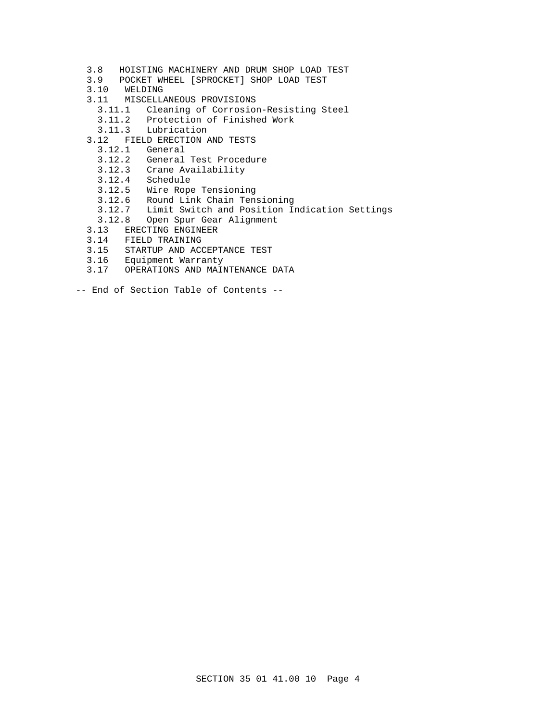- 3.8 HOISTING MACHINERY AND DRUM SHOP LOAD TEST
- 3.9 POCKET WHEEL [SPROCKET] SHOP LOAD TEST
- 3.10 WELDING
- 3.11 MISCELLANEOUS PROVISIONS
	- 3.11.1 Cleaning of Corrosion-Resisting Steel
	- 3.11.2 Protection of Finished Work
	- 3.11.3 Lubrication
- 3.12 FIELD ERECTION AND TESTS
	- 3.12.1 General
	- 3.12.2 General Test Procedure
	- 3.12.3 Crane Availability
	- 3.12.4 Schedule
	- 3.12.5 Wire Rope Tensioning
	- 3.12.6 Round Link Chain Tensioning
	- 3.12.7 Limit Switch and Position Indication Settings
	- 3.12.8 Open Spur Gear Alignment
- 3.13 ERECTING ENGINEER
- 3.14 FIELD TRAINING
- 3.15 STARTUP AND ACCEPTANCE TEST
- 3.16 Equipment Warranty
- 3.17 OPERATIONS AND MAINTENANCE DATA
- -- End of Section Table of Contents --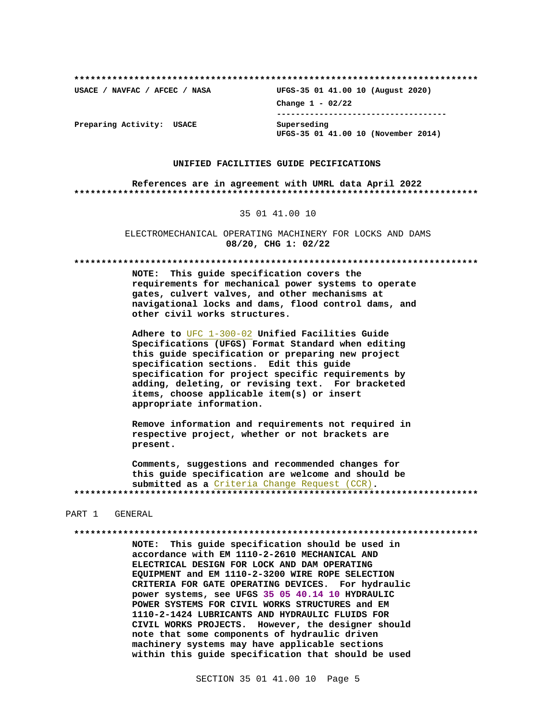USACE / NAVFAC / AFCEC / NASA

UFGS-35 01 41.00 10 (August 2020) Change  $1 - 02/22$ --------------------------------------Superseding UFGS-35 01 41.00 10 (November 2014)

Preparing Activity: USACE

#### UNIFIED FACILITIES GUIDE PECIFICATIONS

References are in agreement with UMRL data April 2022 

#### 35 01 41.00 10

ELECTROMECHANICAL OPERATING MACHINERY FOR LOCKS AND DAMS 08/20, CHG 1: 02/22

NOTE: This guide specification covers the requirements for mechanical power systems to operate gates, culvert valves, and other mechanisms at navigational locks and dams, flood control dams, and other civil works structures.

Adhere to UFC 1-300-02 Unified Facilities Guide Specifications (UFGS) Format Standard when editing this guide specification or preparing new project specification sections. Edit this guide specification for project specific requirements by adding, deleting, or revising text. For bracketed items, choose applicable item(s) or insert appropriate information.

Remove information and requirements not required in respective project, whether or not brackets are present.

Comments, suggestions and recommended changes for this guide specification are welcome and should be submitted as a Criteria Change Request (CCR). 

#### PART 1 GENERAL

NOTE: This guide specification should be used in accordance with EM 1110-2-2610 MECHANICAL AND ELECTRICAL DESIGN FOR LOCK AND DAM OPERATING EQUIPMENT and EM 1110-2-3200 WIRE ROPE SELECTION CRITERIA FOR GATE OPERATING DEVICES. For hydraulic power systems, see UFGS 35 05 40.14 10 HYDRAULIC POWER SYSTEMS FOR CIVIL WORKS STRUCTURES and EM 1110-2-1424 LUBRICANTS AND HYDRAULIC FLUIDS FOR CIVIL WORKS PROJECTS. However, the designer should note that some components of hydraulic driven machinery systems may have applicable sections within this guide specification that should be used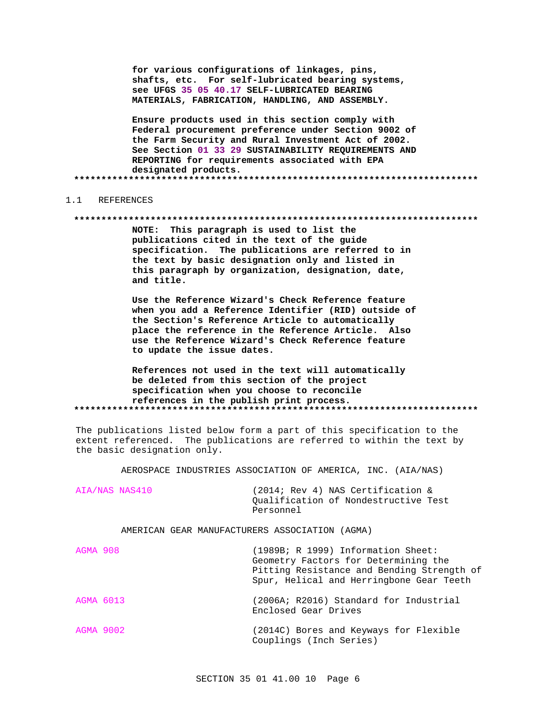for various configurations of linkages, pins, shafts, etc. For self-lubricated bearing systems, see UFGS 35 05 40.17 SELF-LUBRICATED BEARING MATERIALS, FABRICATION, HANDLING, AND ASSEMBLY.

Ensure products used in this section comply with Federal procurement preference under Section 9002 of the Farm Security and Rural Investment Act of 2002. See Section 01 33 29 SUSTAINABILITY REQUIREMENTS AND REPORTING for requirements associated with EPA designated products.

#### $1.1$ REFERENCES

#### 

NOTE: This paragraph is used to list the publications cited in the text of the guide specification. The publications are referred to in the text by basic designation only and listed in this paragraph by organization, designation, date, and title.

Use the Reference Wizard's Check Reference feature when you add a Reference Identifier (RID) outside of the Section's Reference Article to automatically place the reference in the Reference Article. Also use the Reference Wizard's Check Reference feature to update the issue dates.

# References not used in the text will automatically be deleted from this section of the project specification when you choose to reconcile references in the publish print process.

The publications listed below form a part of this specification to the extent referenced. The publications are referred to within the text by the basic designation only.

AEROSPACE INDUSTRIES ASSOCIATION OF AMERICA, INC. (AIA/NAS)

| AIA/NAS NAS410 | (2014; Rev 4) NAS Certification &    |  |
|----------------|--------------------------------------|--|
|                | Oualification of Nondestructive Test |  |
|                | Personnel                            |  |

AMERICAN GEAR MANUFACTURERS ASSOCIATION (AGMA)

| AGMA 908  | (1989B; R 1999) Information Sheet:<br>Geometry Factors for Determining the<br>Pitting Resistance and Bending Strength of<br>Spur, Helical and Herringbone Gear Teeth |
|-----------|----------------------------------------------------------------------------------------------------------------------------------------------------------------------|
| AGMA 6013 | (2006A; R2016) Standard for Industrial<br>Enclosed Gear Drives                                                                                                       |
| AGMA 9002 | (2014C) Bores and Keyways for Flexible<br>Couplings (Inch Series)                                                                                                    |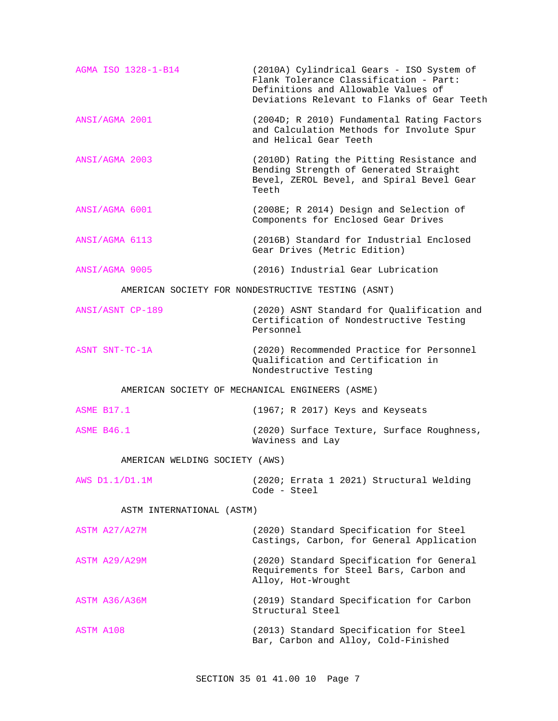AGMA ISO 1328-1-B14 (2010A) Cylindrical Gears - ISO System of Flank Tolerance Classification - Part: Definitions and Allowable Values of Deviations Relevant to Flanks of Gear Teeth ANSI/AGMA 2001 (2004D; R 2010) Fundamental Rating Factors and Calculation Methods for Involute Spur and Helical Gear Teeth ANSI/AGMA 2003 (2010D) Rating the Pitting Resistance and Bending Strength of Generated Straight Bevel, ZEROL Bevel, and Spiral Bevel Gear Teeth ANSI/AGMA 6001 (2008E; R 2014) Design and Selection of Components for Enclosed Gear Drives ANSI/AGMA 6113 (2016B) Standard for Industrial Enclosed Gear Drives (Metric Edition) ANSI/AGMA 9005 (2016) Industrial Gear Lubrication AMERICAN SOCIETY FOR NONDESTRUCTIVE TESTING (ASNT) ANSI/ASNT CP-189 (2020) ASNT Standard for Qualification and Certification of Nondestructive Testing Personnel ASNT SNT-TC-1A (2020) Recommended Practice for Personnel Qualification and Certification in Nondestructive Testing AMERICAN SOCIETY OF MECHANICAL ENGINEERS (ASME) ASME B17.1 (1967; R 2017) Keys and Keyseats ASME B46.1 (2020) Surface Texture, Surface Roughness, Waviness and Lay AMERICAN WELDING SOCIETY (AWS) AWS D1.1/D1.1M (2020; Errata 1 2021) Structural Welding Code - Steel ASTM INTERNATIONAL (ASTM) ASTM A27/A27M (2020) Standard Specification for Steel Castings, Carbon, for General Application ASTM A29/A29M (2020) Standard Specification for General Requirements for Steel Bars, Carbon and Alloy, Hot-Wrought ASTM A36/A36M (2019) Standard Specification for Carbon Structural Steel ASTM A108 (2013) Standard Specification for Steel

Bar, Carbon and Alloy, Cold-Finished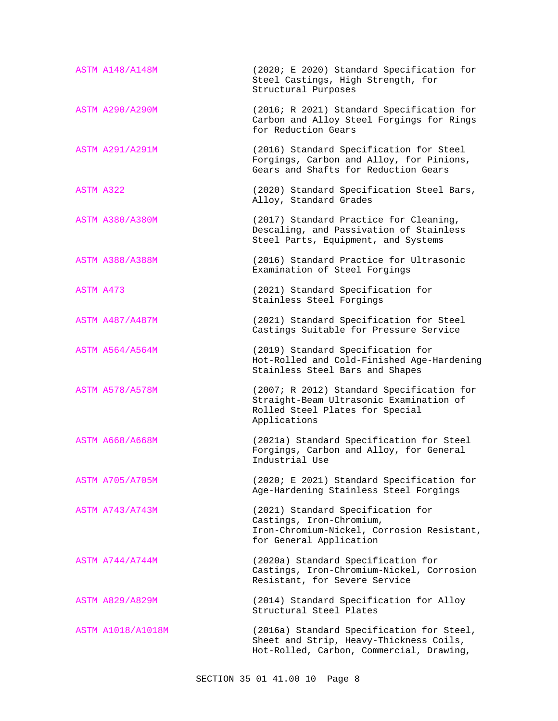| <b>ASTM A148/A148M</b> | (2020; E 2020) Standard Specification for<br>Steel Castings, High Strength, for<br>Structural Purposes                                  |
|------------------------|-----------------------------------------------------------------------------------------------------------------------------------------|
| <b>ASTM A290/A290M</b> | (2016; R 2021) Standard Specification for<br>Carbon and Alloy Steel Forgings for Rings<br>for Reduction Gears                           |
| <b>ASTM A291/A291M</b> | (2016) Standard Specification for Steel<br>Forgings, Carbon and Alloy, for Pinions,<br>Gears and Shafts for Reduction Gears             |
| ASTM A322              | (2020) Standard Specification Steel Bars,<br>Alloy, Standard Grades                                                                     |
| <b>ASTM A380/A380M</b> | (2017) Standard Practice for Cleaning,<br>Descaling, and Passivation of Stainless<br>Steel Parts, Equipment, and Systems                |
| <b>ASTM A388/A388M</b> | (2016) Standard Practice for Ultrasonic<br>Examination of Steel Forgings                                                                |
| ASTM A473              | (2021) Standard Specification for<br>Stainless Steel Forgings                                                                           |
| <b>ASTM A487/A487M</b> | (2021) Standard Specification for Steel<br>Castings Suitable for Pressure Service                                                       |
| <b>ASTM A564/A564M</b> | (2019) Standard Specification for<br>Hot-Rolled and Cold-Finished Age-Hardening<br>Stainless Steel Bars and Shapes                      |
| <b>ASTM A578/A578M</b> | (2007; R 2012) Standard Specification for<br>Straight-Beam Ultrasonic Examination of<br>Rolled Steel Plates for Special<br>Applications |
| <b>ASTM A668/A668M</b> | (2021a) Standard Specification for Steel<br>Forgings, Carbon and Alloy, for General<br>Industrial Use                                   |
| <b>ASTM A705/A705M</b> | (2020; E 2021) Standard Specification for<br>Age-Hardening Stainless Steel Forgings                                                     |
| ASTM A743/A743M        | (2021) Standard Specification for<br>Castings, Iron-Chromium,<br>Iron-Chromium-Nickel, Corrosion Resistant,<br>for General Application  |
| <b>ASTM A744/A744M</b> | (2020a) Standard Specification for<br>Castings, Iron-Chromium-Nickel, Corrosion<br>Resistant, for Severe Service                        |
| <b>ASTM A829/A829M</b> | (2014) Standard Specification for Alloy<br>Structural Steel Plates                                                                      |
| ASTM A1018/A1018M      | (2016a) Standard Specification for Steel,<br>Sheet and Strip, Heavy-Thickness Coils,<br>Hot-Rolled, Carbon, Commercial, Drawing,        |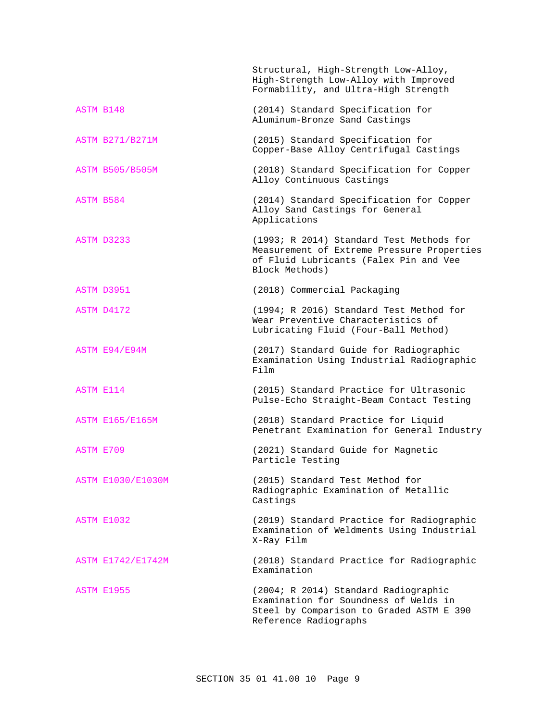|                          | Structural, High-Strength Low-Alloy,<br>High-Strength Low-Alloy with Improved<br>Formability, and Ultra-High Strength                              |
|--------------------------|----------------------------------------------------------------------------------------------------------------------------------------------------|
| ASTM B148                | (2014) Standard Specification for<br>Aluminum-Bronze Sand Castings                                                                                 |
| <b>ASTM B271/B271M</b>   | (2015) Standard Specification for<br>Copper-Base Alloy Centrifugal Castings                                                                        |
| <b>ASTM B505/B505M</b>   | (2018) Standard Specification for Copper<br>Alloy Continuous Castings                                                                              |
| ASTM B584                | (2014) Standard Specification for Copper<br>Alloy Sand Castings for General<br>Applications                                                        |
| ASTM D3233               | (1993; R 2014) Standard Test Methods for<br>Measurement of Extreme Pressure Properties<br>of Fluid Lubricants (Falex Pin and Vee<br>Block Methods) |
| ASTM D3951               | (2018) Commercial Packaging                                                                                                                        |
| ASTM D4172               | (1994; R 2016) Standard Test Method for<br>Wear Preventive Characteristics of<br>Lubricating Fluid (Four-Ball Method)                              |
| ASTM E94/E94M            | (2017) Standard Guide for Radiographic<br>Examination Using Industrial Radiographic<br>Film                                                        |
| <b>ASTM E114</b>         | (2015) Standard Practice for Ultrasonic<br>Pulse-Echo Straight-Beam Contact Testing                                                                |
| <b>ASTM E165/E165M</b>   | (2018) Standard Practice for Liquid<br>Penetrant Examination for General Industry                                                                  |
| ASTM E709                | (2021) Standard Guide for Magnetic<br>Particle Testing                                                                                             |
| <b>ASTM E1030/E1030M</b> | (2015) Standard Test Method for<br>Radiographic Examination of Metallic<br>Castings                                                                |
| ASTM E1032               | (2019) Standard Practice for Radiographic<br>Examination of Weldments Using Industrial<br>X-Ray Film                                               |
| ASTM E1742/E1742M        | (2018) Standard Practice for Radiographic<br>Examination                                                                                           |
| ASTM E1955               | (2004; R 2014) Standard Radiographic<br>Examination for Soundness of Welds in<br>Steel by Comparison to Graded ASTM E 390<br>Reference Radiographs |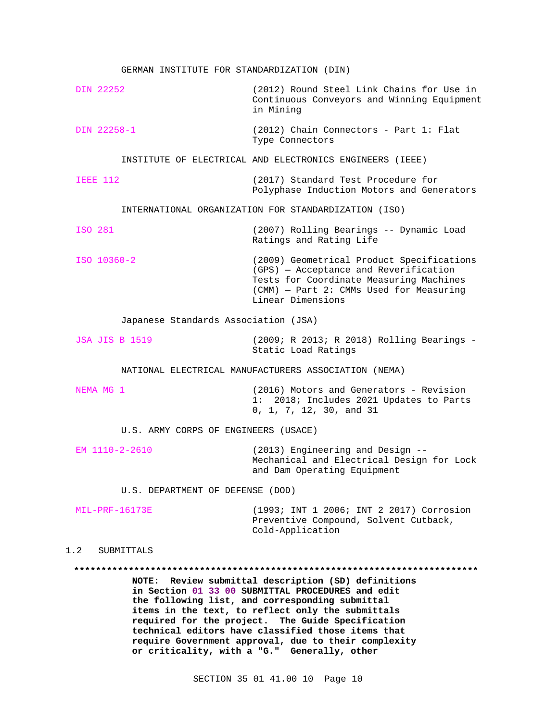| GERMAN INSTITUTE FOR STANDARDIZATION (DIN) |                                                                                                                                                                                                                                                                       |
|--------------------------------------------|-----------------------------------------------------------------------------------------------------------------------------------------------------------------------------------------------------------------------------------------------------------------------|
| DIN 22252                                  | (2012) Round Steel Link Chains for Use in<br>Continuous Conveyors and Winning Equipment<br>in Mining                                                                                                                                                                  |
| DIN 22258-1                                | $(2012)$ Chain Connectors - Part 1: Flat<br>Type Connectors                                                                                                                                                                                                           |
|                                            | INSTITUTE OF ELECTRICAL AND ELECTRONICS ENGINEERS (IEEE)                                                                                                                                                                                                              |
| <b>IEEE 112</b>                            | (2017) Standard Test Procedure for<br>Polyphase Induction Motors and Generators                                                                                                                                                                                       |
|                                            | INTERNATIONAL ORGANIZATION FOR STANDARDIZATION (ISO)                                                                                                                                                                                                                  |
| ISO 281                                    | (2007) Rolling Bearings -- Dynamic Load<br>Ratings and Rating Life                                                                                                                                                                                                    |
| ISO 10360-2                                | (2009) Geometrical Product Specifications<br>(GPS) - Acceptance and Reverification<br>Tests for Coordinate Measuring Machines<br>(CMM) - Part 2: CMMs Used for Measuring<br>Linear Dimensions                                                                         |
| Japanese Standards Association (JSA)       |                                                                                                                                                                                                                                                                       |
| <b>JSA JIS B 1519</b>                      | (2009; R 2013; R 2018) Rolling Bearings -<br>Static Load Ratings                                                                                                                                                                                                      |
|                                            | NATIONAL ELECTRICAL MANUFACTURERS ASSOCIATION (NEMA)                                                                                                                                                                                                                  |
| NEMA MG 1                                  | (2016) Motors and Generators - Revision<br>1: 2018; Includes 2021 Updates to Parts<br>0, 1, 7, 12, 30, and 31                                                                                                                                                         |
| U.S. ARMY CORPS OF ENGINEERS (USACE)       |                                                                                                                                                                                                                                                                       |
| EM 1110-2-2610                             | (2013) Engineering and Design --<br>Mechanical and Electrical Design for Lock<br>and Dam Operating Equipment                                                                                                                                                          |
| U.S. DEPARTMENT OF DEFENSE (DOD)           |                                                                                                                                                                                                                                                                       |
| MIL-PRF-16173E                             | (1993; INT 1 2006; INT 2 2017) Corrosion<br>Preventive Compound, Solvent Cutback,<br>Cold-Application                                                                                                                                                                 |
| 1.2<br>SUBMITTALS                          |                                                                                                                                                                                                                                                                       |
|                                            | NOTE: Review submittal description (SD) definitions<br>in Section 01 33 00 SUBMITTAL PROCEDURES and edit<br>the following list, and corresponding submittal<br>items in the text, to reflect only the submittals<br>required for the project. The Guide Specification |

**require Government approval, due to their complexity or criticality, with a "G." Generally, other**

**technical editors have classified those items that**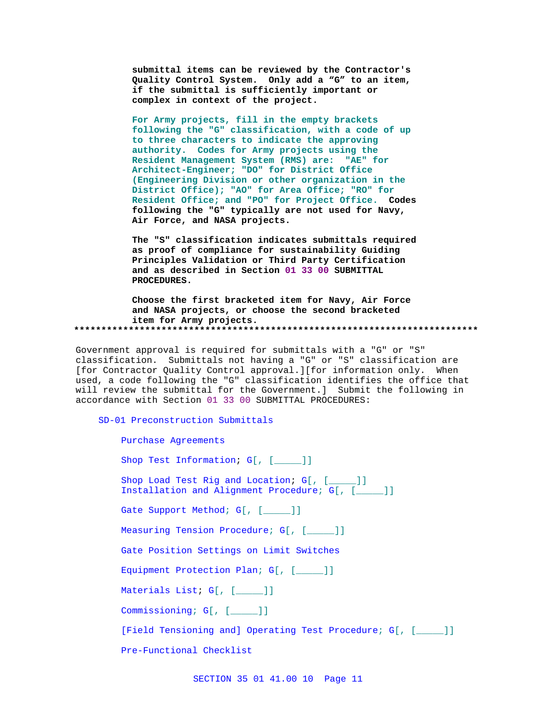submittal items can be reviewed by the Contractor's Quality Control System. Only add a "G" to an item, if the submittal is sufficiently important or complex in context of the project.

For Army projects, fill in the empty brackets following the "G" classification, with a code of up to three characters to indicate the approving authority. Codes for Army projects using the Resident Management System (RMS) are: "AE" for Architect-Engineer; "DO" for District Office (Engineering Division or other organization in the District Office); "AO" for Area Office; "RO" for Resident Office; and "PO" for Project Office. Codes following the "G" typically are not used for Navy, Air Force, and NASA projects.

The "S" classification indicates submittals required as proof of compliance for sustainability Guiding Principles Validation or Third Party Certification and as described in Section 01 33 00 SUBMITTAL PROCEDURES.

Choose the first bracketed item for Navy, Air Force and NASA projects, or choose the second bracketed item for Army projects. 

Government approval is required for submittals with a "G" or "S" classification. Submittals not having a "G" or "S" classification are [for Contractor Quality Control approval.][for information only. When used, a code following the "G" classification identifies the office that will review the submittal for the Government.] Submit the following in accordance with Section 01 33 00 SUBMITTAL PROCEDURES:

SD-01 Preconstruction Submittals

| Purchase Agreements                                                                         |  |
|---------------------------------------------------------------------------------------------|--|
| Shop Test Information; G[, [ ]]                                                             |  |
| Shop Load Test Rig and Location; G[, [ ]]<br>Installation and Alignment Procedure; G[, [ ]] |  |
| Gate Support Method; G[, [ ]]                                                               |  |
| Measuring Tension Procedure; G[, [ ]]                                                       |  |
| Gate Position Settings on Limit Switches                                                    |  |
| Equipment Protection Plan; G[, [ ]]                                                         |  |
| Materials List; G[, [ ]]                                                                    |  |
| Commissioning; G[, [ ]]                                                                     |  |
| [Field Tensioning and] Operating Test Procedure; G[, [ ]]                                   |  |
| Pre-Functional Checklist                                                                    |  |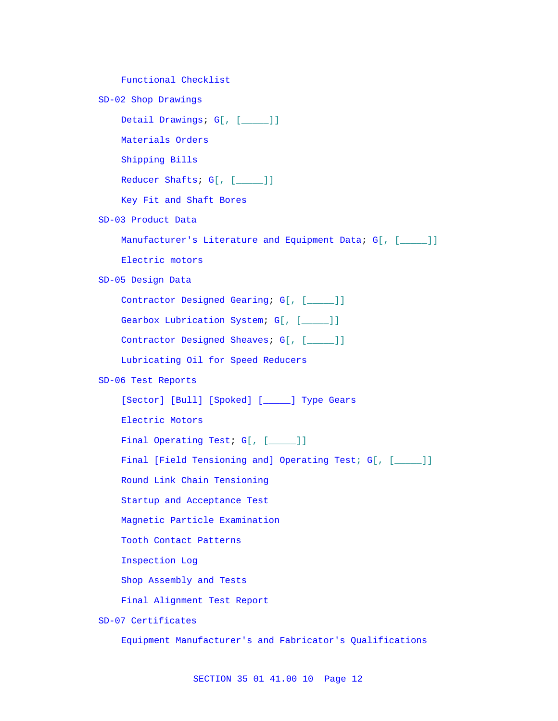Functional Checklist

SD-02 Shop Drawings

Detail Drawings; G[, [\_\_\_\_\_]]

Materials Orders

Shipping Bills

Reducer Shafts; G[, [\_\_\_\_]]

Key Fit and Shaft Bores

SD-03 Product Data

Manufacturer's Literature and Equipment Data; G[, [\_\_\_\_]]

Electric motors

SD-05 Design Data

Contractor Designed Gearing; G[, [\_\_\_\_]]

Gearbox Lubrication System; G[, [\_\_\_\_]]

Contractor Designed Sheaves; G[, [\_\_\_\_]]

Lubricating Oil for Speed Reducers

# SD-06 Test Reports

[Sector] [Bull] [Spoked] [\_\_\_\_\_] Type Gears

Electric Motors

Final Operating Test; G[, [\_\_\_\_]]

Final [Field Tensioning and] Operating Test; G[, [\_\_\_\_]]

Round Link Chain Tensioning

Startup and Acceptance Test

Magnetic Particle Examination

Tooth Contact Patterns

Inspection Log

Shop Assembly and Tests

Final Alignment Test Report

SD-07 Certificates

Equipment Manufacturer's and Fabricator's Qualifications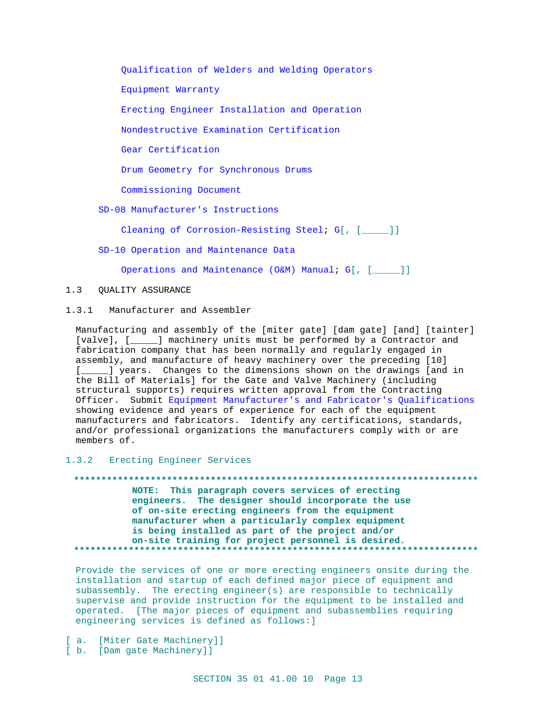Qualification of Welders and Welding Operators

Equipment Warranty

Erecting Engineer Installation and Operation

Nondestructive Examination Certification

Gear Certification

Drum Geometry for Synchronous Drums

Commissioning Document

SD-08 Manufacturer's Instructions

Cleaning of Corrosion-Resisting Steel; G[, [\_\_\_\_]]

SD-10 Operation and Maintenance Data

Operations and Maintenance (O&M) Manual; G[, [\_\_\_\_]]

#### $1.3$ QUALITY ASSURANCE

 $1.3.1$ Manufacturer and Assembler

Manufacturing and assembly of the [miter gate] [dam gate] [and] [tainter] [valve], [\_\_\_\_\_] machinery units must be performed by a Contractor and fabrication company that has been normally and regularly engaged in assembly, and manufacture of heavy machinery over the preceding [10] [ \_\_\_\_ ] years. Changes to the dimensions shown on the drawings [and in the Bill of Materials] for the Gate and Valve Machinery (including structural supports) requires written approval from the Contracting Officer. Submit Equipment Manufacturer's and Fabricator's Qualifications showing evidence and years of experience for each of the equipment manufacturers and fabricators. Identify any certifications, standards, and/or professional organizations the manufacturers comply with or are members of.

# 1.3.2 Erecting Engineer Services

NOTE: This paragraph covers services of erecting engineers. The designer should incorporate the use of on-site erecting engineers from the equipment

# manufacturer when a particularly complex equipment is being installed as part of the project and/or on-site training for project personnel is desired.

Provide the services of one or more erecting engineers onsite during the installation and startup of each defined major piece of equipment and subassembly. The erecting engineer(s) are responsible to technically supervise and provide instruction for the equipment to be installed and operated. [The major pieces of equipment and subassemblies requiring engineering services is defined as follows: ]

[ a. [Miter Gate Machinery]]

[ b. [Dam gate Machinery]]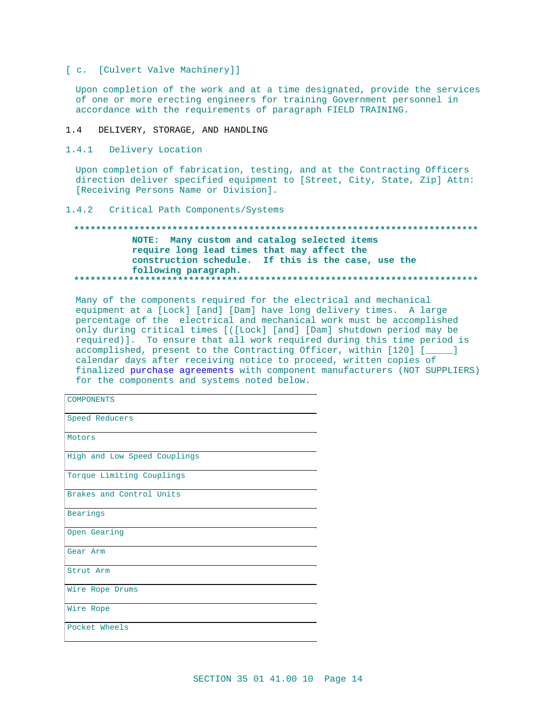[ c. [Culvert Valve Machinery]]

Upon completion of the work and at a time designated, provide the services of one or more erecting engineers for training Government personnel in accordance with the requirements of paragraph FIELD TRAINING.

- $1.4$ DELIVERY, STORAGE, AND HANDLING
- 1.4.1 Delivery Location

Upon completion of fabrication, testing, and at the Contracting Officers direction deliver specified equipment to [Street, City, State, Zip] Attn: [Receiving Persons Name or Division].

# 1.4.2 Critical Path Components/Systems

# NOTE: Many custom and catalog selected items require long lead times that may affect the construction schedule. If this is the case, use the following paragraph.

Many of the components required for the electrical and mechanical equipment at a [Lock] [and] [Dam] have long delivery times. A large percentage of the electrical and mechanical work must be accomplished only during critical times [([Lock] [and] [Dam] shutdown period may be required)]. To ensure that all work required during this time period is accomplished, present to the Contracting Officer, within [120] [\_\_\_\_] calendar days after receiving notice to proceed, written copies of finalized purchase agreements with component manufacturers (NOT SUPPLIERS) for the components and systems noted below.

| <b>COMPONENTS</b>            |
|------------------------------|
| Speed Reducers               |
| Motors                       |
| High and Low Speed Couplings |
| Torque Limiting Couplings    |
| Brakes and Control Units     |
| Bearings                     |
| Open Gearing                 |
| Gear Arm                     |
| Strut Arm                    |
| Wire Rope Drums              |
| Wire Rope                    |
| Pocket Wheels                |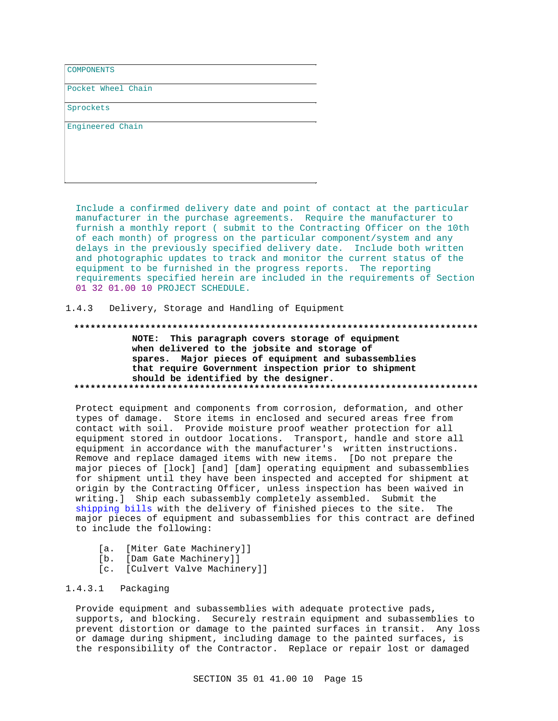**COMPONENTS** 

Pocket Wheel Chain

Sprockets

Engineered Chain

Include a confirmed delivery date and point of contact at the particular manufacturer in the purchase agreements. Require the manufacturer to furnish a monthly report (submit to the Contracting Officer on the 10th of each month) of progress on the particular component/system and any delays in the previously specified delivery date. Include both written and photographic updates to track and monitor the current status of the equipment to be furnished in the progress reports. The reporting requirements specified herein are included in the requirements of Section 01 32 01.00 10 PROJECT SCHEDULE.

#### $1.4.3$ Delivery, Storage and Handling of Equipment

NOTE: This paragraph covers storage of equipment when delivered to the jobsite and storage of spares. Major pieces of equipment and subassemblies that require Government inspection prior to shipment should be identified by the designer. 

Protect equipment and components from corrosion, deformation, and other types of damage. Store items in enclosed and secured areas free from contact with soil. Provide moisture proof weather protection for all equipment stored in outdoor locations. Transport, handle and store all equipment in accordance with the manufacturer's written instructions. Remove and replace damaged items with new items. [Do not prepare the major pieces of [lock] [and] [dam] operating equipment and subassemblies for shipment until they have been inspected and accepted for shipment at origin by the Contracting Officer, unless inspection has been waived in writing.] Ship each subassembly completely assembled. Submit the shipping bills with the delivery of finished pieces to the site. The major pieces of equipment and subassemblies for this contract are defined to include the following:

- [a. [Miter Gate Machinery]]
- [b. [Dam Gate Machinery]]
- [c. [Culvert Valve Machinery]]

#### 1.4.3.1 Packaging

Provide equipment and subassemblies with adequate protective pads, supports, and blocking. Securely restrain equipment and subassemblies to prevent distortion or damage to the painted surfaces in transit. Any loss or damage during shipment, including damage to the painted surfaces, is the responsibility of the Contractor. Replace or repair lost or damaged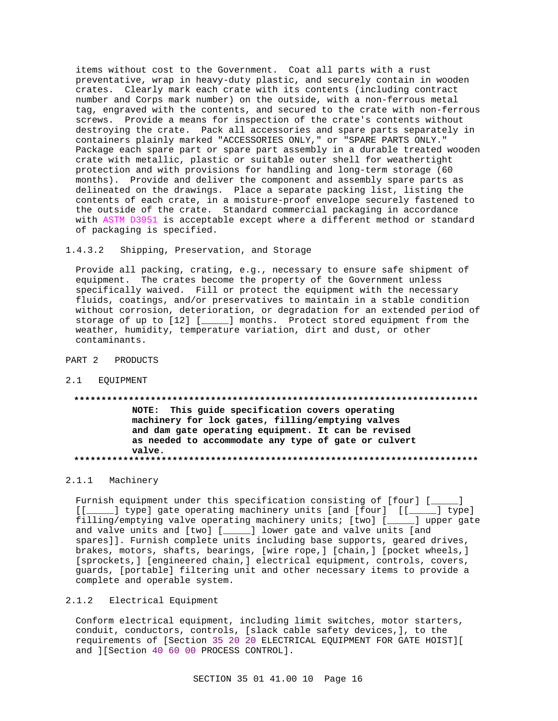items without cost to the Government. Coat all parts with a rust preventative, wrap in heavy-duty plastic, and securely contain in wooden crates. Clearly mark each crate with its contents (including contract number and Corps mark number) on the outside, with a non-ferrous metal tag, engraved with the contents, and secured to the crate with non-ferrous screws. Provide a means for inspection of the crate's contents without destroying the crate. Pack all accessories and spare parts separately in containers plainly marked "ACCESSORIES ONLY," or "SPARE PARTS ONLY." Package each spare part or spare part assembly in a durable treated wooden crate with metallic, plastic or suitable outer shell for weathertight protection and with provisions for handling and long-term storage (60 months). Provide and deliver the component and assembly spare parts as delineated on the drawings. Place a separate packing list, listing the contents of each crate, in a moisture-proof envelope securely fastened to the outside of the crate. Standard commercial packaging in accordance with ASTM D3951 is acceptable except where a different method or standard of packaging is specified.

# 1.4.3.2 Shipping, Preservation, and Storage

Provide all packing, crating, e.g., necessary to ensure safe shipment of equipment. The crates become the property of the Government unless specifically waived. Fill or protect the equipment with the necessary fluids, coatings, and/or preservatives to maintain in a stable condition without corrosion, deterioration, or degradation for an extended period of storage of up to [12] [\_\_\_\_\_] months. Protect stored equipment from the weather, humidity, temperature variation, dirt and dust, or other contaminants.

#### PART 2 PRODUCTS

2.1 EQUIPMENT

# **\*\*\*\*\*\*\*\*\*\*\*\*\*\*\*\*\*\*\*\*\*\*\*\*\*\*\*\*\*\*\*\*\*\*\*\*\*\*\*\*\*\*\*\*\*\*\*\*\*\*\*\*\*\*\*\*\*\*\*\*\*\*\*\*\*\*\*\*\*\*\*\*\*\* NOTE: This guide specification covers operating machinery for lock gates, filling/emptying valves and dam gate operating equipment. It can be revised as needed to accommodate any type of gate or culvert valve. \*\*\*\*\*\*\*\*\*\*\*\*\*\*\*\*\*\*\*\*\*\*\*\*\*\*\*\*\*\*\*\*\*\*\*\*\*\*\*\*\*\*\*\*\*\*\*\*\*\*\*\*\*\*\*\*\*\*\*\*\*\*\*\*\*\*\*\*\*\*\*\*\*\***

### 2.1.1 Machinery

Furnish equipment under this specification consisting of [four] [\_\_\_\_\_] [[\_\_\_\_\_] type] gate operating machinery units [and [four] [[\_\_\_\_] type] filling/emptying valve operating machinery units; [two] [\_\_\_\_\_] upper gate and valve units and [two] [\_\_\_\_\_] lower gate and valve units [and spares]]. Furnish complete units including base supports, geared drives, brakes, motors, shafts, bearings, [wire rope,] [chain,] [pocket wheels,] [sprockets,] [engineered chain,] electrical equipment, controls, covers, guards, [portable] filtering unit and other necessary items to provide a complete and operable system.

# 2.1.2 Electrical Equipment

Conform electrical equipment, including limit switches, motor starters, conduit, conductors, controls, [slack cable safety devices,], to the requirements of [Section 35 20 20 ELECTRICAL EQUIPMENT FOR GATE HOIST][ and ][Section 40 60 00 PROCESS CONTROL].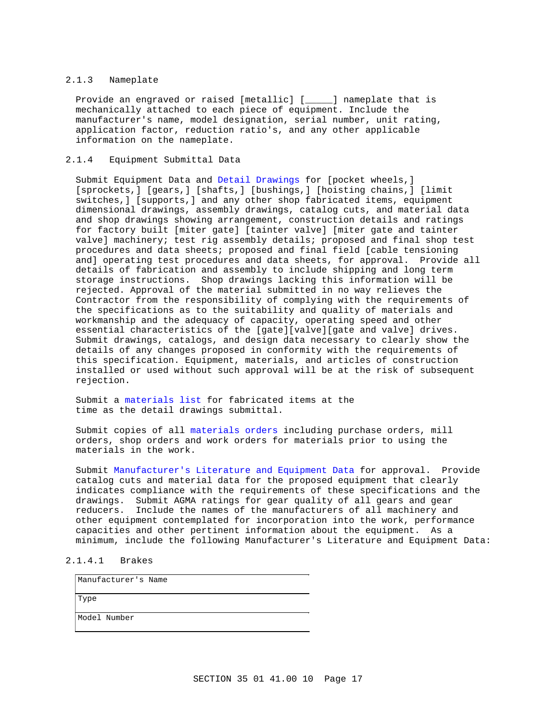#### 2.1.3 Nameplate

Provide an engraved or raised [metallic] [\_\_\_\_\_] nameplate that is mechanically attached to each piece of equipment. Include the manufacturer's name, model designation, serial number, unit rating, application factor, reduction ratio's, and any other applicable information on the nameplate.

# 2.1.4 Equipment Submittal Data

Submit Equipment Data and Detail Drawings for [pocket wheels,] [sprockets,] [gears,] [shafts,] [bushings,] [hoisting chains,] [limit switches,] [supports,] and any other shop fabricated items, equipment dimensional drawings, assembly drawings, catalog cuts, and material data and shop drawings showing arrangement, construction details and ratings for factory built [miter gate] [tainter valve] [miter gate and tainter valve] machinery; test rig assembly details; proposed and final shop test procedures and data sheets; proposed and final field [cable tensioning and] operating test procedures and data sheets, for approval. Provide all details of fabrication and assembly to include shipping and long term storage instructions. Shop drawings lacking this information will be rejected. Approval of the material submitted in no way relieves the Contractor from the responsibility of complying with the requirements of the specifications as to the suitability and quality of materials and workmanship and the adequacy of capacity, operating speed and other essential characteristics of the [gate][valve][gate and valve] drives. Submit drawings, catalogs, and design data necessary to clearly show the details of any changes proposed in conformity with the requirements of this specification. Equipment, materials, and articles of construction installed or used without such approval will be at the risk of subsequent rejection.

Submit a materials list for fabricated items at the time as the detail drawings submittal.

Submit copies of all materials orders including purchase orders, mill orders, shop orders and work orders for materials prior to using the materials in the work.

Submit Manufacturer's Literature and Equipment Data for approval. Provide catalog cuts and material data for the proposed equipment that clearly indicates compliance with the requirements of these specifications and the drawings. Submit AGMA ratings for gear quality of all gears and gear reducers. Include the names of the manufacturers of all machinery and other equipment contemplated for incorporation into the work, performance capacities and other pertinent information about the equipment. As a minimum, include the following Manufacturer's Literature and Equipment Data:

# 2.1.4.1 Brakes

| Manufacturer's Name |
|---------------------|
| Type                |
| Model Number        |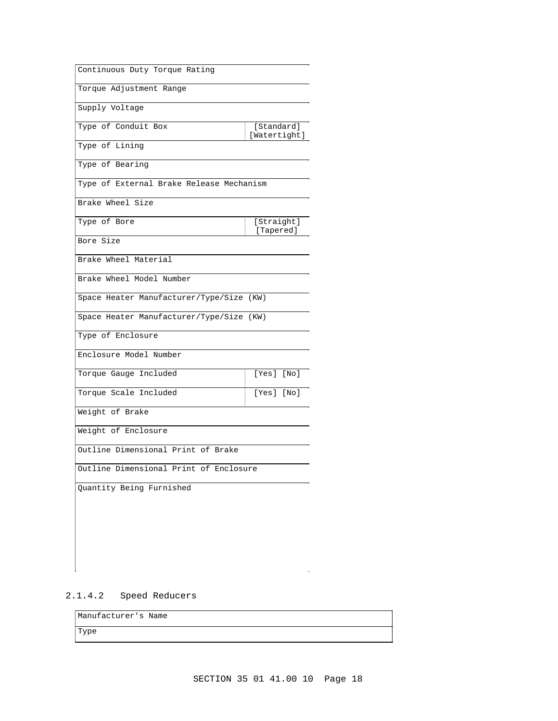| Continuous Duty Torque Rating            |                            |
|------------------------------------------|----------------------------|
| Torque Adjustment Range                  |                            |
| Supply Voltage                           |                            |
| Type of Conduit Box                      | [Standard]<br>[Watertight] |
| Type of Lining                           |                            |
| Type of Bearing                          |                            |
| Type of External Brake Release Mechanism |                            |
| Brake Wheel Size                         |                            |
| Type of Bore                             | [Straight]<br>[Tapered]    |
| Bore Size                                |                            |
| Brake Wheel Material                     |                            |
| Brake Wheel Model Number                 |                            |
| Space Heater Manufacturer/Type/Size (KW) |                            |
| Space Heater Manufacturer/Type/Size (KW) |                            |
| Type of Enclosure                        |                            |
| Enclosure Model Number                   |                            |
| Torque Gauge Included                    | [Yes] [No]                 |
| Torque Scale Included                    | [Yes] [No]                 |
| Weight of Brake                          |                            |
| Weight of Enclosure                      |                            |
| Outline Dimensional Print of Brake       |                            |
| Outline Dimensional Print of Enclosure   |                            |
| Quantity Being Furnished                 |                            |
|                                          |                            |
|                                          |                            |
|                                          |                            |
|                                          |                            |

# 2.1.4.2 Speed Reducers

| Manufacturer's Name |  |
|---------------------|--|
| Type                |  |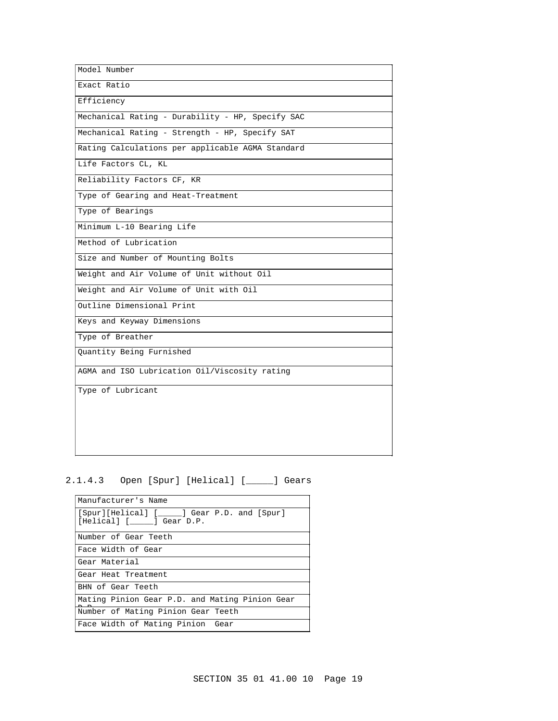| Model Number                                     |  |
|--------------------------------------------------|--|
| Exact Ratio                                      |  |
| Efficiency                                       |  |
| Mechanical Rating - Durability - HP, Specify SAC |  |
| Mechanical Rating - Strength - HP, Specify SAT   |  |
| Rating Calculations per applicable AGMA Standard |  |
| Life Factors CL, KL                              |  |
| Reliability Factors CF, KR                       |  |
| Type of Gearing and Heat-Treatment               |  |
| Type of Bearings                                 |  |
| Minimum L-10 Bearing Life                        |  |
| Method of Lubrication                            |  |
| Size and Number of Mounting Bolts                |  |
| Weight and Air Volume of Unit without Oil        |  |
| Weight and Air Volume of Unit with Oil           |  |
| Outline Dimensional Print                        |  |
| Keys and Keyway Dimensions                       |  |
| Type of Breather                                 |  |
| Quantity Being Furnished                         |  |
| AGMA and ISO Lubrication Oil/Viscosity rating    |  |
| Type of Lubricant                                |  |
|                                                  |  |
|                                                  |  |
|                                                  |  |
|                                                  |  |

# 2.1.4.3 Open [Spur] [Helical] [\_\_\_\_\_] Gears

| Manufacturer's Name                                                     |
|-------------------------------------------------------------------------|
| [Spur][Helical] [_____] Gear P.D. and [Spur]<br>[Helical] [ ] Gear D.P. |
| Number of Gear Teeth                                                    |
| Face Width of Gear                                                      |
| Gear Material                                                           |
| Gear Heat Treatment                                                     |
| BHN of Gear Teeth                                                       |
| Mating Pinion Gear P.D. and Mating Pinion Gear                          |
| Number of Mating Pinion Gear Teeth                                      |
| Face Width of Mating Pinion Gear                                        |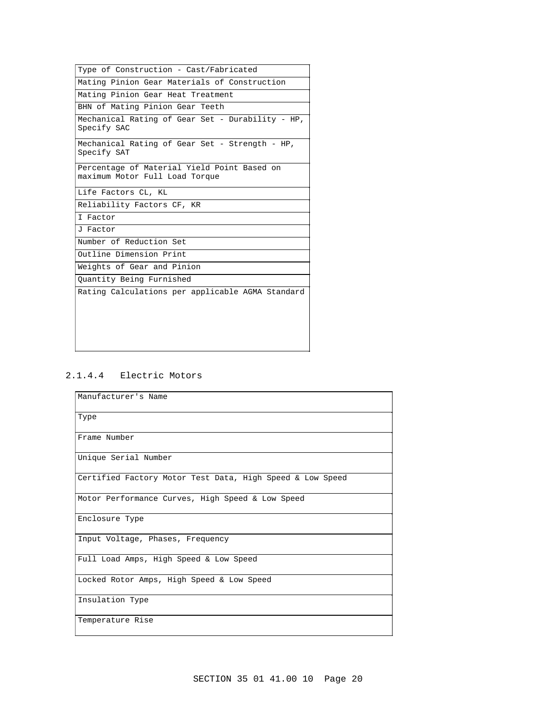| Type of Construction - Cast/Fabricated<br>Mating Pinion Gear Materials of Construction<br>Mating Pinion Gear Heat Treatment<br>BHN of Mating Pinion Gear Teeth<br>Mechanical Rating of Gear Set - Durability - HP,<br>Specify SAC<br>Mechanical Rating of Gear Set - Strength - HP,<br>Specify SAT<br>Percentage of Material Yield Point Based on<br>maximum Motor Full Load Torque<br>Life Factors CL, KL<br>Reliability Factors CF, KR<br>I Factor<br>J Factor<br>Number of Reduction Set<br>Outline Dimension Print<br>Weights of Gear and Pinion<br>Quantity Being Furnished<br>Rating Calculations per applicable AGMA Standard |  |
|--------------------------------------------------------------------------------------------------------------------------------------------------------------------------------------------------------------------------------------------------------------------------------------------------------------------------------------------------------------------------------------------------------------------------------------------------------------------------------------------------------------------------------------------------------------------------------------------------------------------------------------|--|
|                                                                                                                                                                                                                                                                                                                                                                                                                                                                                                                                                                                                                                      |  |
|                                                                                                                                                                                                                                                                                                                                                                                                                                                                                                                                                                                                                                      |  |
|                                                                                                                                                                                                                                                                                                                                                                                                                                                                                                                                                                                                                                      |  |
|                                                                                                                                                                                                                                                                                                                                                                                                                                                                                                                                                                                                                                      |  |
|                                                                                                                                                                                                                                                                                                                                                                                                                                                                                                                                                                                                                                      |  |
|                                                                                                                                                                                                                                                                                                                                                                                                                                                                                                                                                                                                                                      |  |
|                                                                                                                                                                                                                                                                                                                                                                                                                                                                                                                                                                                                                                      |  |
|                                                                                                                                                                                                                                                                                                                                                                                                                                                                                                                                                                                                                                      |  |
|                                                                                                                                                                                                                                                                                                                                                                                                                                                                                                                                                                                                                                      |  |
|                                                                                                                                                                                                                                                                                                                                                                                                                                                                                                                                                                                                                                      |  |
|                                                                                                                                                                                                                                                                                                                                                                                                                                                                                                                                                                                                                                      |  |
|                                                                                                                                                                                                                                                                                                                                                                                                                                                                                                                                                                                                                                      |  |
|                                                                                                                                                                                                                                                                                                                                                                                                                                                                                                                                                                                                                                      |  |
|                                                                                                                                                                                                                                                                                                                                                                                                                                                                                                                                                                                                                                      |  |
|                                                                                                                                                                                                                                                                                                                                                                                                                                                                                                                                                                                                                                      |  |
|                                                                                                                                                                                                                                                                                                                                                                                                                                                                                                                                                                                                                                      |  |

# 2.1.4.4 Electric Motors

| Manufacturer's Name                                       |
|-----------------------------------------------------------|
| Type                                                      |
| Frame Number                                              |
| Unique Serial Number                                      |
| Certified Factory Motor Test Data, High Speed & Low Speed |
| Motor Performance Curves, High Speed & Low Speed          |
| Enclosure Type                                            |
| Input Voltage, Phases, Frequency                          |
| Full Load Amps, High Speed & Low Speed                    |
| Locked Rotor Amps, High Speed & Low Speed                 |
| Insulation Type                                           |
| Temperature Rise                                          |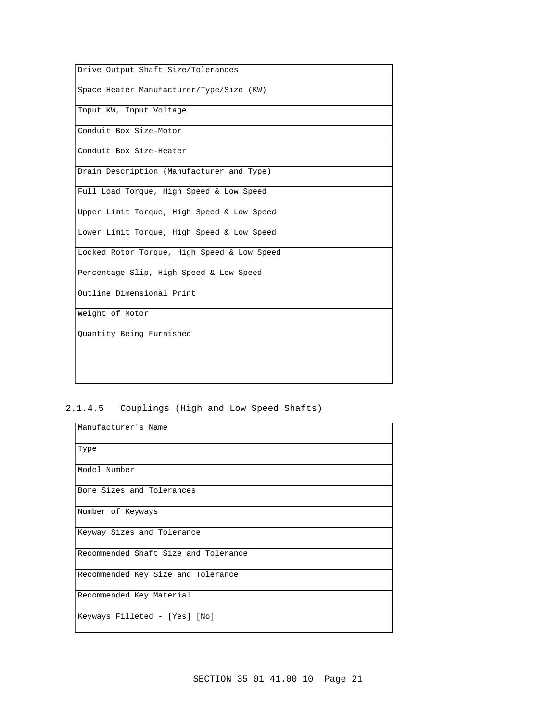| Drive Output Shaft Size/Tolerances          |
|---------------------------------------------|
| Space Heater Manufacturer/Type/Size (KW)    |
| Input KW, Input Voltage                     |
| Conduit Box Size-Motor                      |
| Conduit Box Size-Heater                     |
| Drain Description (Manufacturer and Type)   |
| Full Load Torque, High Speed & Low Speed    |
| Upper Limit Torque, High Speed & Low Speed  |
| Lower Limit Torque, High Speed & Low Speed  |
| Locked Rotor Torque, High Speed & Low Speed |
| Percentage Slip, High Speed & Low Speed     |
| Outline Dimensional Print                   |
| Weight of Motor                             |
| Quantity Being Furnished                    |
|                                             |

# 2.1.4.5 Couplings (High and Low Speed Shafts)

| Manufacturer's Name                  |
|--------------------------------------|
| Type                                 |
| Model Number                         |
| Bore Sizes and Tolerances            |
| Number of Keyways                    |
| Keyway Sizes and Tolerance           |
| Recommended Shaft Size and Tolerance |
| Recommended Key Size and Tolerance   |
| Recommended Key Material             |
| Keyways Filleted - [Yes] [No]        |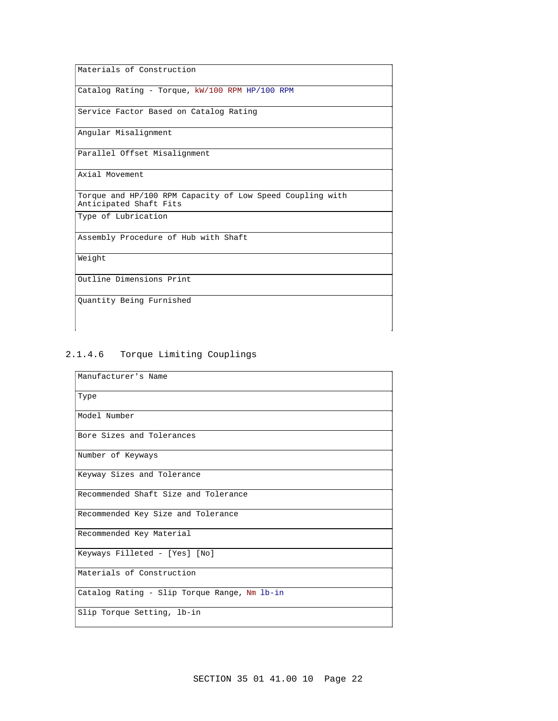Materials of Construction

Catalog Rating - Torque, kW/100 RPM HP/100 RPM

Service Factor Based on Catalog Rating

Angular Misalignment

Parallel Offset Misalignment

Axial Movement

Torque and HP/100 RPM Capacity of Low Speed Coupling with Anticipated Shaft Fits

Type of Lubrication

Assembly Procedure of Hub with Shaft

Weight

Outline Dimensions Print

Quantity Being Furnished

# 2.1.4.6 Torque Limiting Couplings

| Manufacturer's Name                          |
|----------------------------------------------|
| Type                                         |
| Model Number                                 |
| Bore Sizes and Tolerances                    |
| Number of Keyways                            |
| Keyway Sizes and Tolerance                   |
| Recommended Shaft Size and Tolerance         |
| Recommended Key Size and Tolerance           |
| Recommended Key Material                     |
| Keyways Filleted - [Yes] [No]                |
| Materials of Construction                    |
| Catalog Rating - Slip Torque Range, Nm lb-in |
| Slip Torque Setting, lb-in                   |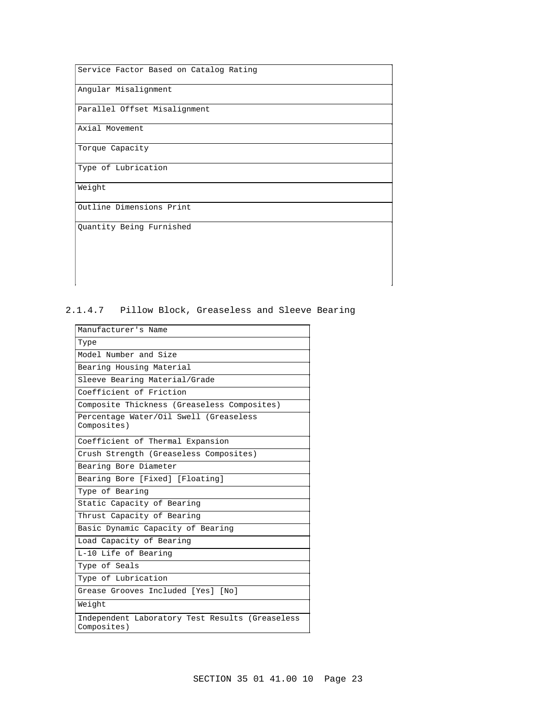Service Factor Based on Catalog Rating

Angular Misalignment

Parallel Offset Misalignment

Axial Movement

Torque Capacity

Type of Lubrication

Weight

Outline Dimensions Print

Quantity Being Furnished

# 2.1.4.7 Pillow Block, Greaseless and Sleeve Bearing

| Manufacturer's Name                                            |
|----------------------------------------------------------------|
| Type                                                           |
| Model Number and Size                                          |
| Bearing Housing Material                                       |
| Sleeve Bearing Material/Grade                                  |
| Coefficient of Friction                                        |
| Composite Thickness (Greaseless Composites)                    |
| Percentage Water/Oil Swell (Greaseless<br>Composites)          |
| Coefficient of Thermal Expansion                               |
| Crush Strength (Greaseless Composites)                         |
| Bearing Bore Diameter                                          |
| Bearing Bore [Fixed] [Floating]                                |
| Type of Bearing                                                |
| Static Capacity of Bearing                                     |
| Thrust Capacity of Bearing                                     |
| Basic Dynamic Capacity of Bearing                              |
| Load Capacity of Bearing                                       |
| L-10 Life of Bearing                                           |
| Type of Seals                                                  |
| Type of Lubrication                                            |
| Grease Grooves Included [Yes] [No]                             |
| Weight                                                         |
| Independent Laboratory Test Results (Greaseless<br>Composites) |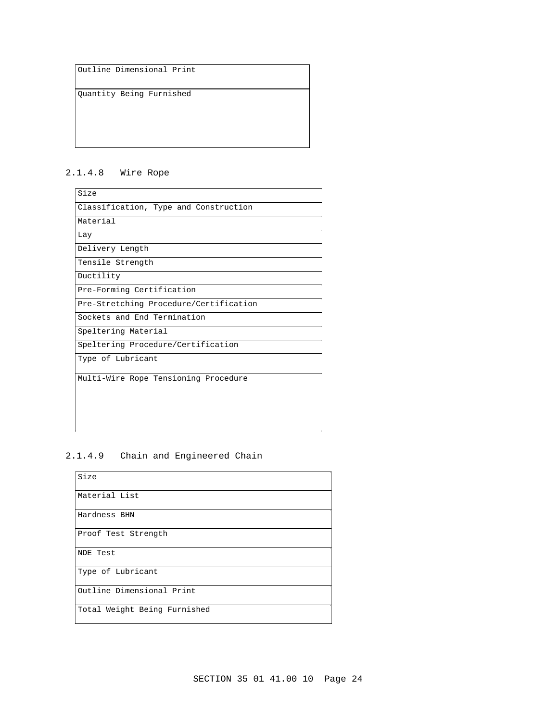Outline Dimensional Print

Quantity Being Furnished

# 2.1.4.8 Wire Rope

| Size                                   |
|----------------------------------------|
| Classification, Type and Construction  |
| Material                               |
| Lay                                    |
| Delivery Length                        |
| Tensile Strength                       |
| Ductility                              |
| Pre-Forming Certification              |
| Pre-Stretching Procedure/Certification |
| Sockets and End Termination            |
| Speltering Material                    |
| Speltering Procedure/Certification     |
| Type of Lubricant                      |
| Multi-Wire Rope Tensioning Procedure   |

# 2.1.4.9 Chain and Engineered Chain

| Size                         |
|------------------------------|
| Material List                |
| Hardness BHN                 |
| Proof Test Strength          |
| NDE Test                     |
| Type of Lubricant            |
| Outline Dimensional Print    |
| Total Weight Being Furnished |

 $\rightarrow$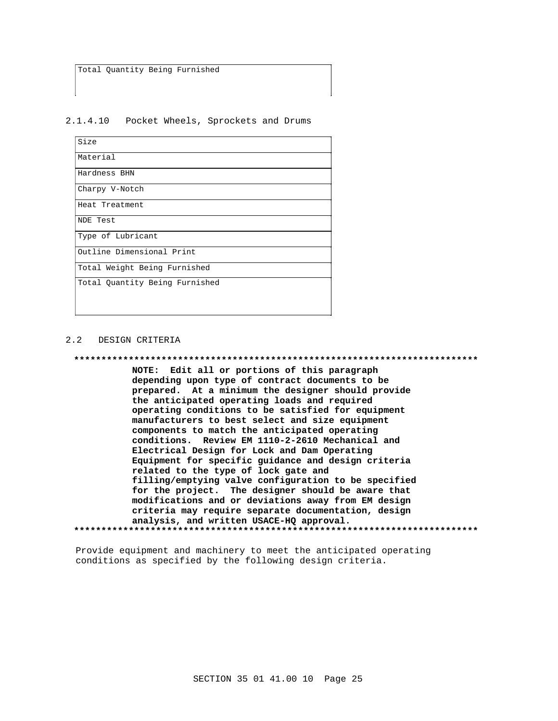Total Quantity Being Furnished

 $2.1.4.10$ Pocket Wheels, Sprockets and Drums

| Size                           |
|--------------------------------|
| Material                       |
| Hardness BHN                   |
| Charpy V-Notch                 |
| Heat Treatment                 |
| NDE Test                       |
| Type of Lubricant              |
| Outline Dimensional Print      |
| Total Weight Being Furnished   |
| Total Ouantity Being Furnished |

#### $2.2$ DESIGN CRITERIA

\*\*\*\*\*\*\*\*\*\*\*\*\*\*\*\*\*\*\*\*\*\* \*\*\*\*\*\*\*\*\*\*\*\* NOTE: Edit all or portions of this paragraph depending upon type of contract documents to be prepared. At a minimum the designer should provide the anticipated operating loads and required operating conditions to be satisfied for equipment manufacturers to best select and size equipment components to match the anticipated operating conditions. Review EM 1110-2-2610 Mechanical and Electrical Design for Lock and Dam Operating Equipment for specific guidance and design criteria related to the type of lock gate and filling/emptying valve configuration to be specified for the project. The designer should be aware that modifications and or deviations away from EM design criteria may require separate documentation, design analysis, and written USACE-HQ approval. 

Provide equipment and machinery to meet the anticipated operating conditions as specified by the following design criteria.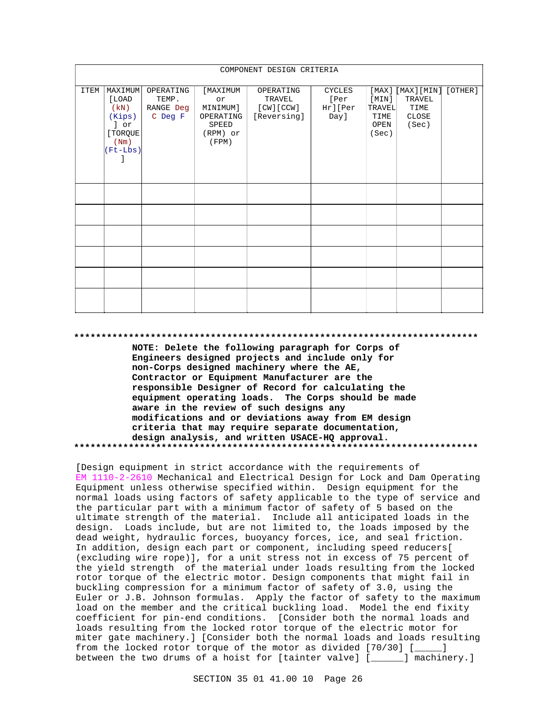| COMPONENT DESIGN CRITERIA |                                                                            |                                            |                                                                       |                                                 |                                          |                                                   |                                                 |         |
|---------------------------|----------------------------------------------------------------------------|--------------------------------------------|-----------------------------------------------------------------------|-------------------------------------------------|------------------------------------------|---------------------------------------------------|-------------------------------------------------|---------|
| <b>ITEM</b>               | MAXIMUM<br>[LOAD<br>(kN)<br>(Kips)<br>] or<br>[ TORQUE<br>(Nm)<br>(Ft-Lbs) | OPERATING<br>TEMP.<br>RANGE Deg<br>C Deg F | [MAXIMUM<br>or<br>MINIMUM]<br>OPERATING<br>SPEED<br>(RPM) or<br>(FPM) | OPERATING<br>TRAVEL<br>[CW][CCW]<br>[Reversing] | <b>CYCLES</b><br>[Per<br>Hr][Per<br>Day] | [MAX]<br>[MIN]<br>TRAVEL<br>TIME<br>OPEN<br>(Sec) | [MAX] [MIN]<br>TRAVEL<br>TIME<br>CLOSE<br>(Sec) | [OTHER] |
|                           |                                                                            |                                            |                                                                       |                                                 |                                          |                                                   |                                                 |         |
|                           |                                                                            |                                            |                                                                       |                                                 |                                          |                                                   |                                                 |         |
|                           |                                                                            |                                            |                                                                       |                                                 |                                          |                                                   |                                                 |         |
|                           |                                                                            |                                            |                                                                       |                                                 |                                          |                                                   |                                                 |         |
|                           |                                                                            |                                            |                                                                       |                                                 |                                          |                                                   |                                                 |         |
|                           |                                                                            |                                            |                                                                       |                                                 |                                          |                                                   |                                                 |         |

#### 

NOTE: Delete the following paragraph for Corps of Engineers designed projects and include only for non-Corps designed machinery where the AE, Contractor or Equipment Manufacturer are the responsible Designer of Record for calculating the equipment operating loads. The Corps should be made aware in the review of such designs any modifications and or deviations away from EM design criteria that may require separate documentation, design analysis, and written USACE-HQ approval. 

[Design equipment in strict accordance with the requirements of EM 1110-2-2610 Mechanical and Electrical Design for Lock and Dam Operating Equipment unless otherwise specified within. Design equipment for the normal loads using factors of safety applicable to the type of service and the particular part with a minimum factor of safety of 5 based on the ultimate strength of the material. Include all anticipated loads in the design. Loads include, but are not limited to, the loads imposed by the dead weight, hydraulic forces, buoyancy forces, ice, and seal friction. In addition, design each part or component, including speed reducers[ (excluding wire rope)], for a unit stress not in excess of 75 percent of the yield strength of the material under loads resulting from the locked rotor torque of the electric motor. Design components that might fail in buckling compression for a minimum factor of safety of 3.0, using the Euler or J.B. Johnson formulas. Apply the factor of safety to the maximum load on the member and the critical buckling load. Model the end fixity coefficient for pin-end conditions. [Consider both the normal loads and loads resulting from the locked rotor torque of the electric motor for miter gate machinery.] [Consider both the normal loads and loads resulting from the locked rotor torque of the motor as divided [70/30] [ ] between the two drums of a hoist for [tainter valve] [\_\_\_\_\_] machinery.]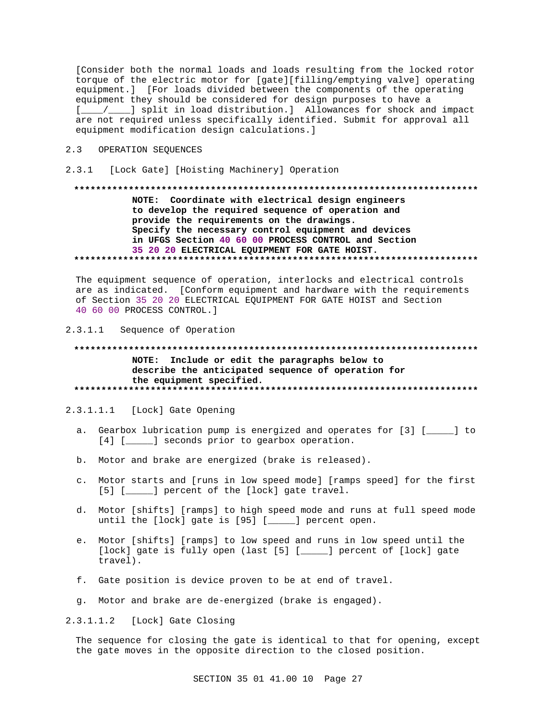[Consider both the normal loads and loads resulting from the locked rotor torque of the electric motor for [gate][filling/emptying valve] operating equipment.] [For loads divided between the components of the operating equipment they should be considered for design purposes to have a [\_\_\_\_/\_\_\_] split in load distribution.] Allowances for shock and impact are not required unless specifically identified. Submit for approval all equipment modification design calculations. ]

# 2.3 OPERATION SEQUENCES

2.3.1 [Lock Gate] [Hoisting Machinery] Operation

# NOTE: Coordinate with electrical design engineers to develop the required sequence of operation and provide the requirements on the drawings. Specify the necessary control equipment and devices in UFGS Section 40 60 00 PROCESS CONTROL and Section 35 20 20 ELECTRICAL EQUIPMENT FOR GATE HOIST.

The equipment sequence of operation, interlocks and electrical controls are as indicated. [Conform equipment and hardware with the requirements of Section 35 20 20 ELECTRICAL EQUIPMENT FOR GATE HOIST and Section 40 60 00 PROCESS CONTROL. ]

#### $2.3.1.1$ Sequence of Operation

# NOTE: Include or edit the paragraphs below to describe the anticipated sequence of operation for the equipment specified.

#### 2.3.1.1.1 [Lock] Gate Opening

- a. Gearbox lubrication pump is energized and operates for [3] [\_\_\_\_\_] to [4] [\_\_\_\_\_] seconds prior to gearbox operation.
- b. Motor and brake are energized (brake is released).
- c. Motor starts and [runs in low speed mode] [ramps speed] for the first [5] [\_\_\_\_\_] percent of the [lock] gate travel.
- d. Motor [shifts] [ramps] to high speed mode and runs at full speed mode until the [lock] gate is  $[95]$  [ $\qquad$ ] percent open.
- e. Motor [shifts] [ramps] to low speed and runs in low speed until the [lock] gate is fully open (last [5] [\_\_\_\_] percent of [lock] gate travel).
- f. Gate position is device proven to be at end of travel.
- g. Motor and brake are de-energized (brake is engaged).

2.3.1.1.2 [Lock] Gate Closing

The sequence for closing the gate is identical to that for opening, except the gate moves in the opposite direction to the closed position.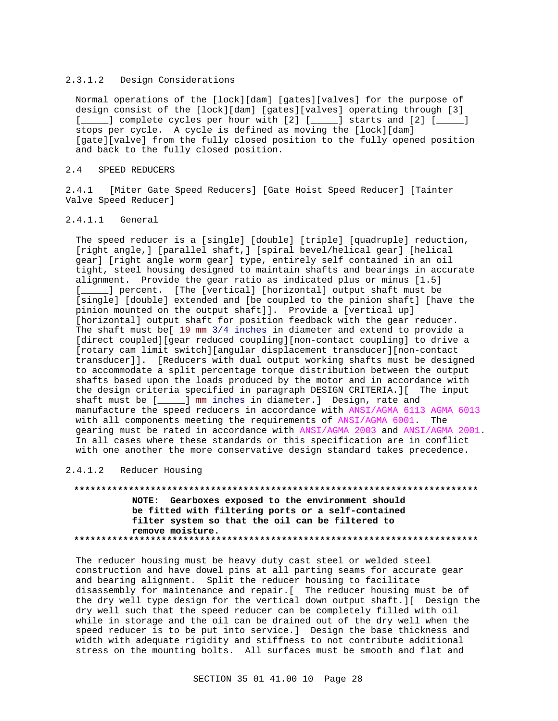#### 2.3.1.2 Design Considerations

Normal operations of the [lock][dam] [gates][valves] for the purpose of design consist of the [lock][dam] [gates][valves] operating through [3] [\_\_\_\_\_] complete cycles per hour with [2] [\_\_\_\_\_] starts and [2] [\_\_\_\_\_] stops per cycle. A cycle is defined as moving the [lock][dam] [gate][valve] from the fully closed position to the fully opened position and back to the fully closed position.

#### 2.4 SPEED REDUCERS

2.4.1 [Miter Gate Speed Reducers] [Gate Hoist Speed Reducer] [Tainter Valve Speed Reducer]

# 2.4.1.1 General

The speed reducer is a [single] [double] [triple] [quadruple] reduction, [right angle,] [parallel shaft,] [spiral bevel/helical gear] [helical gear] [right angle worm gear] type, entirely self contained in an oil tight, steel housing designed to maintain shafts and bearings in accurate alignment. Provide the gear ratio as indicated plus or minus [1.5] [\_\_\_\_\_] percent. [The [vertical] [horizontal] output shaft must be [single] [double] extended and [be coupled to the pinion shaft] [have the pinion mounted on the output shaft]]. Provide a [vertical up] [horizontal] output shaft for position feedback with the gear reducer. The shaft must be[ 19 mm 3/4 inches in diameter and extend to provide a [direct coupled][gear reduced coupling][non-contact coupling] to drive a [rotary cam limit switch][angular displacement transducer][non-contact transducer]]. [Reducers with dual output working shafts must be designed to accommodate a split percentage torque distribution between the output shafts based upon the loads produced by the motor and in accordance with the design criteria specified in paragraph DESIGN CRITERIA.][ The input shaft must be [\_\_\_\_\_] mm inches in diameter.] Design, rate and manufacture the speed reducers in accordance with ANSI/AGMA 6113 AGMA 6013 with all components meeting the requirements of ANSI/AGMA 6001. The gearing must be rated in accordance with ANSI/AGMA 2003 and ANSI/AGMA 2001. In all cases where these standards or this specification are in conflict with one another the more conservative design standard takes precedence.

#### 2.4.1.2 Reducer Housing

**\*\*\*\*\*\*\*\*\*\*\*\*\*\*\*\*\*\*\*\*\*\*\*\*\*\*\*\*\*\*\*\*\*\*\*\*\*\*\*\*\*\*\*\*\*\*\*\*\*\*\*\*\*\*\*\*\*\*\*\*\*\*\*\*\*\*\*\*\*\*\*\*\*\* NOTE: Gearboxes exposed to the environment should be fitted with filtering ports or a self-contained filter system so that the oil can be filtered to remove moisture. \*\*\*\*\*\*\*\*\*\*\*\*\*\*\*\*\*\*\*\*\*\*\*\*\*\*\*\*\*\*\*\*\*\*\*\*\*\*\*\*\*\*\*\*\*\*\*\*\*\*\*\*\*\*\*\*\*\*\*\*\*\*\*\*\*\*\*\*\*\*\*\*\*\***

The reducer housing must be heavy duty cast steel or welded steel construction and have dowel pins at all parting seams for accurate gear and bearing alignment. Split the reducer housing to facilitate disassembly for maintenance and repair.[ The reducer housing must be of the dry well type design for the vertical down output shaft.][ Design the dry well such that the speed reducer can be completely filled with oil while in storage and the oil can be drained out of the dry well when the speed reducer is to be put into service.] Design the base thickness and width with adequate rigidity and stiffness to not contribute additional stress on the mounting bolts. All surfaces must be smooth and flat and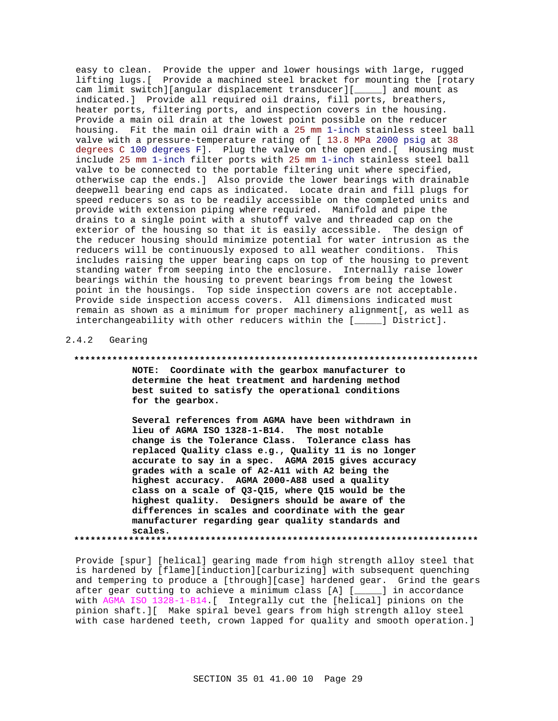easy to clean. Provide the upper and lower housings with large, rugged lifting lugs. [ Provide a machined steel bracket for mounting the [rotary cam limit switch][angular displacement transducer][\_\_\_\_\_] and mount as indicated.] Provide all required oil drains, fill ports, breathers, heater ports, filtering ports, and inspection covers in the housing. Provide a main oil drain at the lowest point possible on the reducer housing. Fit the main oil drain with a 25 mm 1-inch stainless steel ball valve with a pressure-temperature rating of [ 13.8 MPa 2000 psig at 38 degrees C 100 degrees F]. Plug the valve on the open end. [ Housing must include 25 mm 1-inch filter ports with 25 mm 1-inch stainless steel ball valve to be connected to the portable filtering unit where specified, otherwise cap the ends.] Also provide the lower bearings with drainable deepwell bearing end caps as indicated. Locate drain and fill plugs for speed reducers so as to be readily accessible on the completed units and provide with extension piping where required. Manifold and pipe the drains to a single point with a shutoff valve and threaded cap on the exterior of the housing so that it is easily accessible. The design of the reducer housing should minimize potential for water intrusion as the reducers will be continuously exposed to all weather conditions. This includes raising the upper bearing caps on top of the housing to prevent standing water from seeping into the enclosure. Internally raise lower bearings within the housing to prevent bearings from being the lowest point in the housings. Top side inspection covers are not acceptable. Provide side inspection access covers. All dimensions indicated must remain as shown as a minimum for proper machinery alignment[, as well as interchangeability with other reducers within the [\_\_\_\_\_] District].

 $2.4.2$ Gearing

#### \*\*\*\*\*\*\*\*\*\*\*\*

NOTE: Coordinate with the gearbox manufacturer to determine the heat treatment and hardening method best suited to satisfy the operational conditions for the gearbox.

Several references from AGMA have been withdrawn in lieu of AGMA ISO 1328-1-B14. The most notable change is the Tolerance Class. Tolerance class has replaced Quality class e.g., Quality 11 is no longer accurate to say in a spec. AGMA 2015 gives accuracy grades with a scale of A2-A11 with A2 being the highest accuracy. AGMA 2000-A88 used a quality class on a scale of Q3-Q15, where Q15 would be the highest quality. Designers should be aware of the differences in scales and coordinate with the gear manufacturer regarding gear quality standards and scales. 

Provide [spur] [helical] gearing made from high strength alloy steel that is hardened by [flame][induction][carburizing] with subsequent quenching and tempering to produce a [through][case] hardened gear. Grind the gears after gear cutting to achieve a minimum class [A] [\_\_\_\_] in accordance with AGMA ISO 1328-1-B14. [ Integrally cut the [helical] pinions on the pinion shaft. I[ Make spiral bevel gears from high strength alloy steel with case hardened teeth, crown lapped for quality and smooth operation.]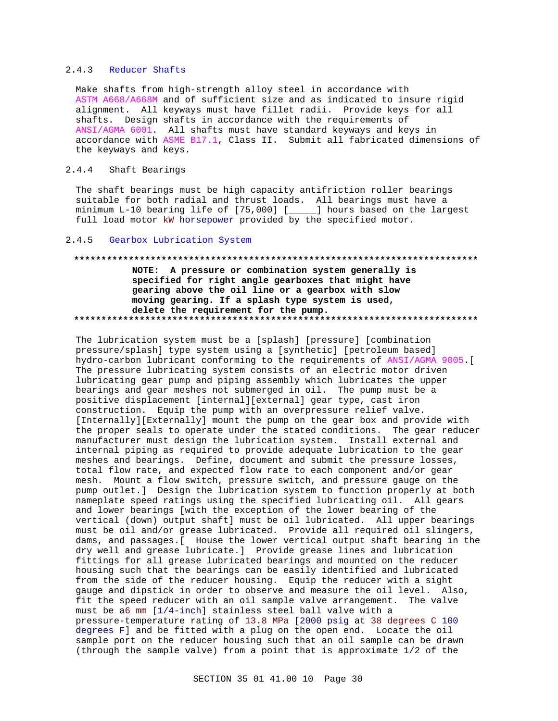### 2.4.3 Reducer Shafts

Make shafts from high-strength alloy steel in accordance with ASTM A668/A668M and of sufficient size and as indicated to insure rigid alignment. All keyways must have fillet radii. Provide keys for all shafts. Design shafts in accordance with the requirements of ANSI/AGMA 6001. All shafts must have standard keyways and keys in accordance with ASME B17.1, Class II. Submit all fabricated dimensions of the keyways and keys.

# 2.4.4 Shaft Bearings

The shaft bearings must be high capacity antifriction roller bearings suitable for both radial and thrust loads. All bearings must have a minimum L-10 bearing life of [75,000] [\_\_\_\_\_] hours based on the largest full load motor kW horsepower provided by the specified motor.

## 2.4.5 Gearbox Lubrication System

# **\*\*\*\*\*\*\*\*\*\*\*\*\*\*\*\*\*\*\*\*\*\*\*\*\*\*\*\*\*\*\*\*\*\*\*\*\*\*\*\*\*\*\*\*\*\*\*\*\*\*\*\*\*\*\*\*\*\*\*\*\*\*\*\*\*\*\*\*\*\*\*\*\*\* NOTE: A pressure or combination system generally is specified for right angle gearboxes that might have gearing above the oil line or a gearbox with slow moving gearing. If a splash type system is used, delete the requirement for the pump. \*\*\*\*\*\*\*\*\*\*\*\*\*\*\*\*\*\*\*\*\*\*\*\*\*\*\*\*\*\*\*\*\*\*\*\*\*\*\*\*\*\*\*\*\*\*\*\*\*\*\*\*\*\*\*\*\*\*\*\*\*\*\*\*\*\*\*\*\*\*\*\*\*\***

The lubrication system must be a [splash] [pressure] [combination pressure/splash] type system using a [synthetic] [petroleum based] hydro-carbon lubricant conforming to the requirements of ANSI/AGMA 9005.[ The pressure lubricating system consists of an electric motor driven lubricating gear pump and piping assembly which lubricates the upper bearings and gear meshes not submerged in oil. The pump must be a positive displacement [internal][external] gear type, cast iron construction. Equip the pump with an overpressure relief valve. [Internally][Externally] mount the pump on the gear box and provide with the proper seals to operate under the stated conditions. The gear reducer manufacturer must design the lubrication system. Install external and internal piping as required to provide adequate lubrication to the gear meshes and bearings. Define, document and submit the pressure losses, total flow rate, and expected flow rate to each component and/or gear mesh. Mount a flow switch, pressure switch, and pressure gauge on the pump outlet.] Design the lubrication system to function properly at both nameplate speed ratings using the specified lubricating oil. All gears and lower bearings [with the exception of the lower bearing of the vertical (down) output shaft] must be oil lubricated. All upper bearings must be oil and/or grease lubricated. Provide all required oil slingers, dams, and passages.[ House the lower vertical output shaft bearing in the dry well and grease lubricate.] Provide grease lines and lubrication fittings for all grease lubricated bearings and mounted on the reducer housing such that the bearings can be easily identified and lubricated from the side of the reducer housing. Equip the reducer with a sight gauge and dipstick in order to observe and measure the oil level. Also, fit the speed reducer with an oil sample valve arrangement. The valve must be a6 mm [1/4-inch] stainless steel ball valve with a pressure-temperature rating of 13.8 MPa [2000 psig at 38 degrees C 100 degrees F] and be fitted with a plug on the open end. Locate the oil sample port on the reducer housing such that an oil sample can be drawn (through the sample valve) from a point that is approximate 1/2 of the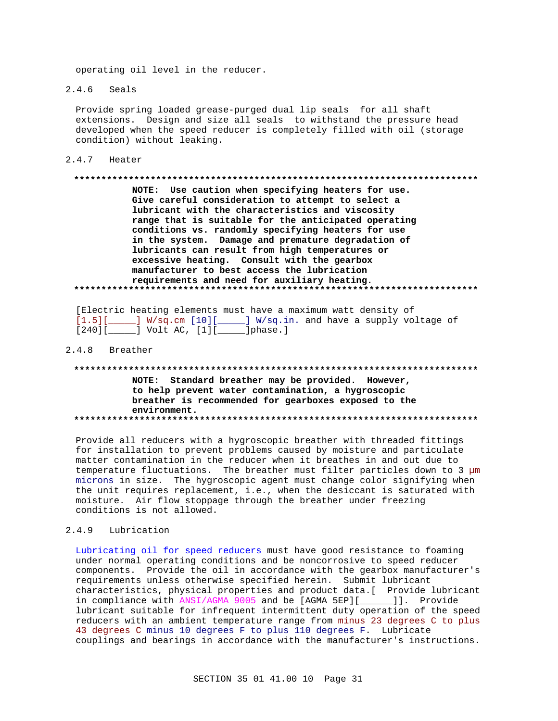operating oil level in the reducer.

 $2.4.6$ Seals

> Provide spring loaded grease-purged dual lip seals for all shaft extensions. Design and size all seals to withstand the pressure head developed when the speed reducer is completely filled with oil (storage condition) without leaking.

 $2.4.7$  Heater

#### 

NOTE: Use caution when specifying heaters for use. Give careful consideration to attempt to select a lubricant with the characteristics and viscosity range that is suitable for the anticipated operating conditions vs. randomly specifying heaters for use in the system. Damage and premature degradation of lubricants can result from high temperatures or excessive heating. Consult with the gearbox manufacturer to best access the lubrication requirements and need for auxiliary heating. 

| [Electric heating elements must have a maximum watt density of |  |  |  |  |  |  |
|----------------------------------------------------------------|--|--|--|--|--|--|
| $[1.5]$ ] W/sq.cm [10] ] W/sq.in. and have a supply voltage of |  |  |  |  |  |  |
| $[240] [$ $]$ Volt AC, $[1] [$ $]$ phase.                      |  |  |  |  |  |  |

#### 2.4.8 Breather

# NOTE: Standard breather may be provided. However, to help prevent water contamination, a hygroscopic breather is recommended for gearboxes exposed to the environment.

Provide all reducers with a hygroscopic breather with threaded fittings for installation to prevent problems caused by moisture and particulate matter contamination in the reducer when it breathes in and out due to temperature fluctuations. The breather must filter particles down to 3 µm microns in size. The hygroscopic agent must change color signifying when the unit requires replacement, i.e., when the desiccant is saturated with moisture. Air flow stoppage through the breather under freezing conditions is not allowed.

#### $2.4.9$ Lubrication

Lubricating oil for speed reducers must have good resistance to foaming under normal operating conditions and be noncorrosive to speed reducer components. Provide the oil in accordance with the gearbox manufacturer's requirements unless otherwise specified herein. Submit lubricant characteristics, physical properties and product data. [ Provide lubricant in compliance with ANSI/AGMA 9005 and be [AGMA 5EP][\_\_\_\_\_\_]]. Provide lubricant suitable for infrequent intermittent duty operation of the speed reducers with an ambient temperature range from minus 23 degrees C to plus 43 degrees C minus 10 degrees F to plus 110 degrees F. Lubricate couplings and bearings in accordance with the manufacturer's instructions.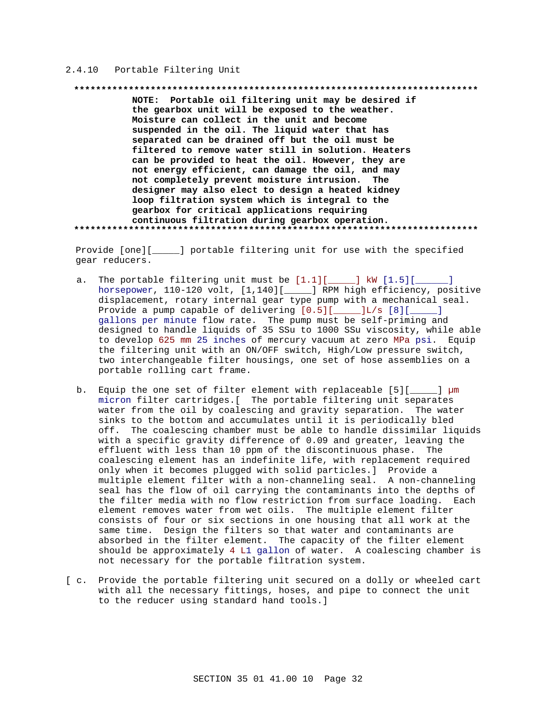#### 2.4.10 Portable Filtering Unit

#### 

NOTE: Portable oil filtering unit may be desired if the gearbox unit will be exposed to the weather. Moisture can collect in the unit and become suspended in the oil. The liquid water that has separated can be drained off but the oil must be filtered to remove water still in solution. Heaters can be provided to heat the oil. However, they are not energy efficient, can damage the oil, and may not completely prevent moisture intrusion. The designer may also elect to design a heated kidney loop filtration system which is integral to the gearbox for critical applications requiring continuous filtration during gearbox operation. 

Provide [one][\_\_\_\_\_] portable filtering unit for use with the specified gear reducers.

- a. The portable filtering unit must be  $[1.1][$  [1.5][  $\blacksquare$ horsepower, 110-120 volt, [1,140][\_\_\_\_\_] RPM high efficiency, positive displacement, rotary internal gear type pump with a mechanical seal. Provide a pump capable of delivering  $[0.5]$ [ $\qquad$ ] $L/s$  [8][ $\qquad$ ] gallons per minute flow rate. The pump must be self-priming and designed to handle liquids of 35 SSu to 1000 SSu viscosity, while able to develop 625 mm 25 inches of mercury vacuum at zero MPa psi. Equip the filtering unit with an ON/OFF switch, High/Low pressure switch, two interchangeable filter housings, one set of hose assemblies on a portable rolling cart frame.
- b. Equip the one set of filter element with replaceable [5][\_\_\_\_\_] µm micron filter cartridges. [ The portable filtering unit separates water from the oil by coalescing and gravity separation. The water sinks to the bottom and accumulates until it is periodically bled off. The coalescing chamber must be able to handle dissimilar liquids with a specific gravity difference of 0.09 and greater, leaving the effluent with less than 10 ppm of the discontinuous phase. The coalescing element has an indefinite life, with replacement required only when it becomes plugged with solid particles.] Provide a multiple element filter with a non-channeling seal. A non-channeling seal has the flow of oil carrying the contaminants into the depths of the filter media with no flow restriction from surface loading. Each element removes water from wet oils. The multiple element filter consists of four or six sections in one housing that all work at the same time. Design the filters so that water and contaminants are absorbed in the filter element. The capacity of the filter element should be approximately 4 L1 gallon of water. A coalescing chamber is not necessary for the portable filtration system.
- [ c. Provide the portable filtering unit secured on a dolly or wheeled cart with all the necessary fittings, hoses, and pipe to connect the unit to the reducer using standard hand tools.]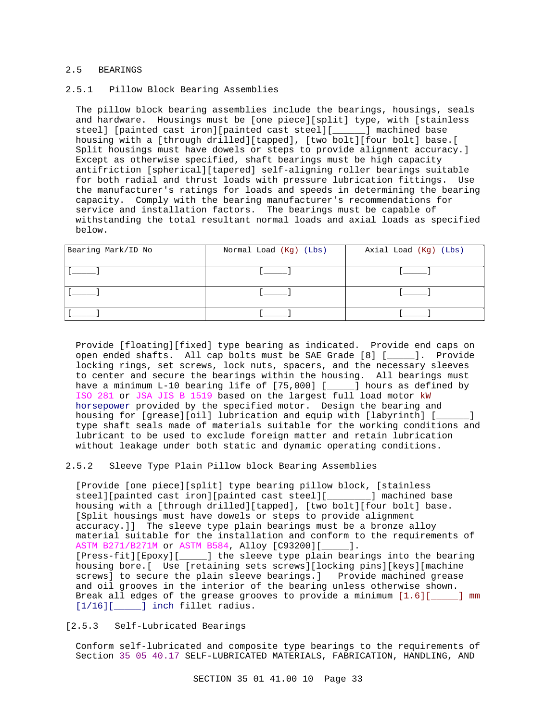#### 2.5 BEARINGS

### 2.5.1 Pillow Block Bearing Assemblies

The pillow block bearing assemblies include the bearings, housings, seals and hardware. Housings must be [one piece][split] type, with [stainless steel] [painted cast iron][painted cast steel][\_\_\_\_\_\_] machined base housing with a [through drilled][tapped], [two bolt][four bolt] base.[ Split housings must have dowels or steps to provide alignment accuracy.] Except as otherwise specified, shaft bearings must be high capacity antifriction [spherical][tapered] self-aligning roller bearings suitable for both radial and thrust loads with pressure lubrication fittings. Use the manufacturer's ratings for loads and speeds in determining the bearing capacity. Comply with the bearing manufacturer's recommendations for service and installation factors. The bearings must be capable of withstanding the total resultant normal loads and axial loads as specified below.

| Bearing Mark/ID No | Normal Load (Kg) (Lbs) | Axial Load (Kg) (Lbs) |
|--------------------|------------------------|-----------------------|
|                    |                        |                       |
|                    |                        |                       |
|                    |                        |                       |

Provide [floating][fixed] type bearing as indicated. Provide end caps on open ended shafts. All cap bolts must be SAE Grade [8] [\_\_\_\_\_]. Provide locking rings, set screws, lock nuts, spacers, and the necessary sleeves to center and secure the bearings within the housing. All bearings must have a minimum L-10 bearing life of [75,000] [\_\_\_\_\_] hours as defined by ISO 281 or JSA JIS B 1519 based on the largest full load motor kW horsepower provided by the specified motor. Design the bearing and housing for [grease][oil] lubrication and equip with [labyrinth] [\_\_\_\_\_\_] type shaft seals made of materials suitable for the working conditions and lubricant to be used to exclude foreign matter and retain lubrication without leakage under both static and dynamic operating conditions.

# 2.5.2 Sleeve Type Plain Pillow block Bearing Assemblies

[Provide [one piece][split] type bearing pillow block, [stainless steel][painted cast iron][painted cast steel][\_\_\_\_\_\_\_\_] machined base housing with a [through drilled][tapped], [two bolt][four bolt] base. [Split housings must have dowels or steps to provide alignment accuracy.]] The sleeve type plain bearings must be a bronze alloy material suitable for the installation and conform to the requirements of ASTM B271/B271M or ASTM B584, Alloy [C93200][\_\_\_\_\_]. [Press-fit][Epoxy][\_\_\_\_\_] the sleeve type plain bearings into the bearing housing bore.[ Use [retaining sets screws][locking pins][keys][machine screws] to secure the plain sleeve bearings.] Provide machined grease and oil grooves in the interior of the bearing unless otherwise shown. Break all edges of the grease grooves to provide a minimum [1.6][\_\_\_\_\_] mm [1/16][\_\_\_\_\_\_] inch fillet radius.

#### [2.5.3 Self-Lubricated Bearings

Conform self-lubricated and composite type bearings to the requirements of Section 35 05 40.17 SELF-LUBRICATED MATERIALS, FABRICATION, HANDLING, AND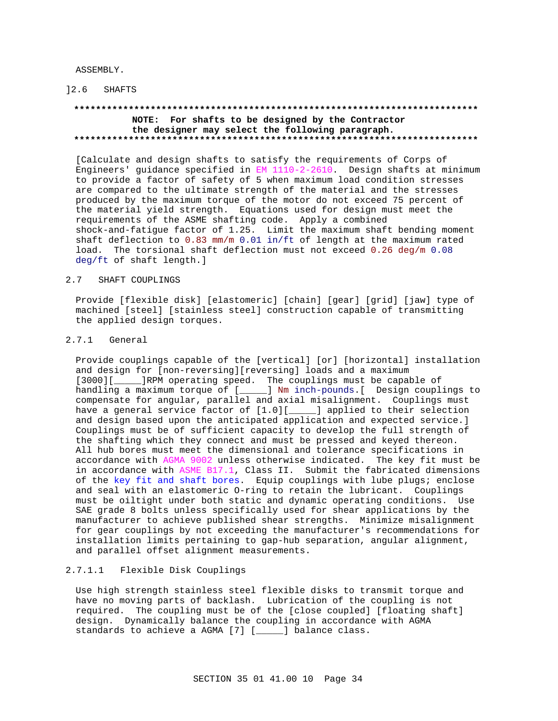ASSEMBLY.

]2.6 SHAFTS

# **\*\*\*\*\*\*\*\*\*\*\*\*\*\*\*\*\*\*\*\*\*\*\*\*\*\*\*\*\*\*\*\*\*\*\*\*\*\*\*\*\*\*\*\*\*\*\*\*\*\*\*\*\*\*\*\*\*\*\*\*\*\*\*\*\*\*\*\*\*\*\*\*\*\* NOTE: For shafts to be designed by the Contractor the designer may select the following paragraph.**

# **\*\*\*\*\*\*\*\*\*\*\*\*\*\*\*\*\*\*\*\*\*\*\*\*\*\*\*\*\*\*\*\*\*\*\*\*\*\*\*\*\*\*\*\*\*\*\*\*\*\*\*\*\*\*\*\*\*\*\*\*\*\*\*\*\*\*\*\*\*\*\*\*\*\***

[Calculate and design shafts to satisfy the requirements of Corps of Engineers' guidance specified in EM 1110-2-2610. Design shafts at minimum to provide a factor of safety of 5 when maximum load condition stresses are compared to the ultimate strength of the material and the stresses produced by the maximum torque of the motor do not exceed 75 percent of the material yield strength. Equations used for design must meet the requirements of the ASME shafting code. Apply a combined shock-and-fatigue factor of 1.25. Limit the maximum shaft bending moment shaft deflection to 0.83 mm/m 0.01 in/ft of length at the maximum rated load. The torsional shaft deflection must not exceed 0.26 deg/m 0.08 deg/ft of shaft length.]

#### 2.7 SHAFT COUPLINGS

Provide [flexible disk] [elastomeric] [chain] [gear] [grid] [jaw] type of machined [steel] [stainless steel] construction capable of transmitting the applied design torques.

# 2.7.1 General

Provide couplings capable of the [vertical] [or] [horizontal] installation and design for [non-reversing][reversing] loads and a maximum [3000][\_\_\_\_\_\_]RPM operating speed. The couplings must be capable of handling a maximum torque of [\_\_\_\_\_] Nm inch-pounds.[ Design couplings to compensate for angular, parallel and axial misalignment. Couplings must have a general service factor of [1.0][\_\_\_\_\_] applied to their selection and design based upon the anticipated application and expected service.] Couplings must be of sufficient capacity to develop the full strength of the shafting which they connect and must be pressed and keyed thereon. All hub bores must meet the dimensional and tolerance specifications in accordance with AGMA 9002 unless otherwise indicated. The key fit must be in accordance with ASME B17.1, Class II. Submit the fabricated dimensions of the key fit and shaft bores. Equip couplings with lube plugs; enclose and seal with an elastomeric O-ring to retain the lubricant. Couplings must be oiltight under both static and dynamic operating conditions. Use SAE grade 8 bolts unless specifically used for shear applications by the manufacturer to achieve published shear strengths. Minimize misalignment for gear couplings by not exceeding the manufacturer's recommendations for installation limits pertaining to gap-hub separation, angular alignment, and parallel offset alignment measurements.

### 2.7.1.1 Flexible Disk Couplings

Use high strength stainless steel flexible disks to transmit torque and have no moving parts of backlash. Lubrication of the coupling is not required. The coupling must be of the [close coupled] [floating shaft] design. Dynamically balance the coupling in accordance with AGMA standards to achieve a AGMA [7] [\_\_\_\_\_] balance class.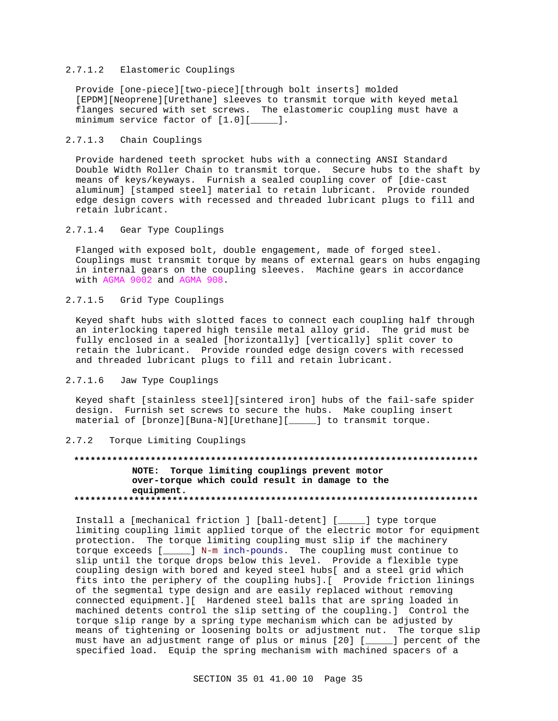# 2.7.1.2 Elastomeric Couplings

Provide [one-piece][two-piece][through bolt inserts] molded [EPDM][Neoprene][Urethane] sleeves to transmit torque with keyed metal flanges secured with set screws. The elastomeric coupling must have a minimum service factor of [1.0][\_\_\_\_\_].

### 2.7.1.3 Chain Couplings

Provide hardened teeth sprocket hubs with a connecting ANSI Standard Double Width Roller Chain to transmit torque. Secure hubs to the shaft by means of keys/keyways. Furnish a sealed coupling cover of [die-cast aluminum] [stamped steel] material to retain lubricant. Provide rounded edge design covers with recessed and threaded lubricant plugs to fill and retain lubricant.

## 2.7.1.4 Gear Type Couplings

Flanged with exposed bolt, double engagement, made of forged steel. Couplings must transmit torque by means of external gears on hubs engaging in internal gears on the coupling sleeves. Machine gears in accordance with AGMA 9002 and AGMA 908.

# 2.7.1.5 Grid Type Couplings

Keyed shaft hubs with slotted faces to connect each coupling half through an interlocking tapered high tensile metal alloy grid. The grid must be fully enclosed in a sealed [horizontally] [vertically] split cover to retain the lubricant. Provide rounded edge design covers with recessed and threaded lubricant plugs to fill and retain lubricant.

# 2.7.1.6 Jaw Type Couplings

Keyed shaft [stainless steel][sintered iron] hubs of the fail-safe spider design. Furnish set screws to secure the hubs. Make coupling insert material of [bronze][Buna-N][Urethane][\_\_\_\_\_] to transmit torque.

#### 2.7.2 Torque Limiting Couplings

# **\*\*\*\*\*\*\*\*\*\*\*\*\*\*\*\*\*\*\*\*\*\*\*\*\*\*\*\*\*\*\*\*\*\*\*\*\*\*\*\*\*\*\*\*\*\*\*\*\*\*\*\*\*\*\*\*\*\*\*\*\*\*\*\*\*\*\*\*\*\*\*\*\*\* NOTE: Torque limiting couplings prevent motor over-torque which could result in damage to the equipment. \*\*\*\*\*\*\*\*\*\*\*\*\*\*\*\*\*\*\*\*\*\*\*\*\*\*\*\*\*\*\*\*\*\*\*\*\*\*\*\*\*\*\*\*\*\*\*\*\*\*\*\*\*\*\*\*\*\*\*\*\*\*\*\*\*\*\*\*\*\*\*\*\*\***

Install a [mechanical friction ] [ball-detent] [\_\_\_\_\_] type torque limiting coupling limit applied torque of the electric motor for equipment protection. The torque limiting coupling must slip if the machinery torque exceeds [\_\_\_\_\_] N-m inch-pounds. The coupling must continue to slip until the torque drops below this level. Provide a flexible type coupling design with bored and keyed steel hubs[ and a steel grid which fits into the periphery of the coupling hubs].[ Provide friction linings of the segmental type design and are easily replaced without removing connected equipment.][ Hardened steel balls that are spring loaded in machined detents control the slip setting of the coupling.] Control the torque slip range by a spring type mechanism which can be adjusted by means of tightening or loosening bolts or adjustment nut. The torque slip must have an adjustment range of plus or minus [20] [\_\_\_\_\_] percent of the specified load. Equip the spring mechanism with machined spacers of a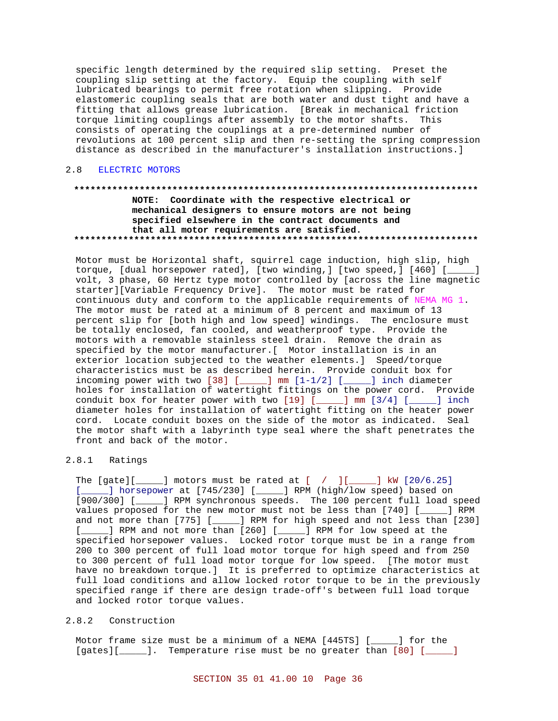specific length determined by the required slip setting. Preset the coupling slip setting at the factory. Equip the coupling with self lubricated bearings to permit free rotation when slipping. Provide elastomeric coupling seals that are both water and dust tight and have a fitting that allows grease lubrication. [Break in mechanical friction torque limiting couplings after assembly to the motor shafts. This consists of operating the couplings at a pre-determined number of revolutions at 100 percent slip and then re-setting the spring compression distance as described in the manufacturer's installation instructions.]

#### $2.8$ ELECTRIC MOTORS

# NOTE: Coordinate with the respective electrical or mechanical designers to ensure motors are not being specified elsewhere in the contract documents and that all motor requirements are satisfied.

Motor must be Horizontal shaft, squirrel cage induction, high slip, high torque, [dual horsepower rated], [two winding,] [two speed,] [460] [\_\_\_\_] volt, 3 phase, 60 Hertz type motor controlled by [across the line magnetic starter][Variable Frequency Drive]. The motor must be rated for continuous duty and conform to the applicable requirements of NEMA MG 1. The motor must be rated at a minimum of 8 percent and maximum of 13 percent slip for [both high and low speed] windings. The enclosure must be totally enclosed, fan cooled, and weatherproof type. Provide the motors with a removable stainless steel drain. Remove the drain as specified by the motor manufacturer. [ Motor installation is in an exterior location subjected to the weather elements.] Speed/torque characteristics must be as described herein. Provide conduit box for incoming power with two  $[38]$  [ $\qquad$ ] mm  $[1-1/2]$  [ $\qquad$ ] inch diameter holes for installation of watertight fittings on the power cord. Provide conduit box for heater power with two [19] [\_\_\_\_] mm [3/4] [\_\_\_\_] inch diameter holes for installation of watertight fitting on the heater power cord. Locate conduit boxes on the side of the motor as indicated. Seal the motor shaft with a labyrinth type seal where the shaft penetrates the front and back of the motor.

#### $2.8.1$ Ratings

The  $[gate][$  ] motors must be rated at  $[$  /  $][$   $]$   $[$   $]$   $[$   $]$   $[$   $[20/6.25]$ [\_\_\_\_\_] horsepower at [745/230] [\_\_\_\_\_] RPM (high/low speed) based on [900/300] [\_\_\_\_] RPM synchronous speeds. The 100 percent full load speed values proposed for the new motor must not be less than [740] [\_\_\_\_] RPM and not more than [775] [\_\_\_\_\_] RPM for high speed and not less than [230] \_] RPM and not more than [260] [\_\_\_\_\_] RPM for low speed at the  $\sqrt{2}$ specified horsepower values. Locked rotor torque must be in a range from 200 to 300 percent of full load motor torque for high speed and from 250 to 300 percent of full load motor torque for low speed. [The motor must have no breakdown torque.] It is preferred to optimize characteristics at full load conditions and allow locked rotor torque to be in the previously specified range if there are design trade-off's between full load torque and locked rotor torque values.

#### $2.8.2$ Construction

Motor frame size must be a minimum of a NEMA [445TS] [\_\_\_\_\_] for the [gates][\_\_\_\_\_]. Temperature rise must be no greater than [80] [\_\_\_\_\_]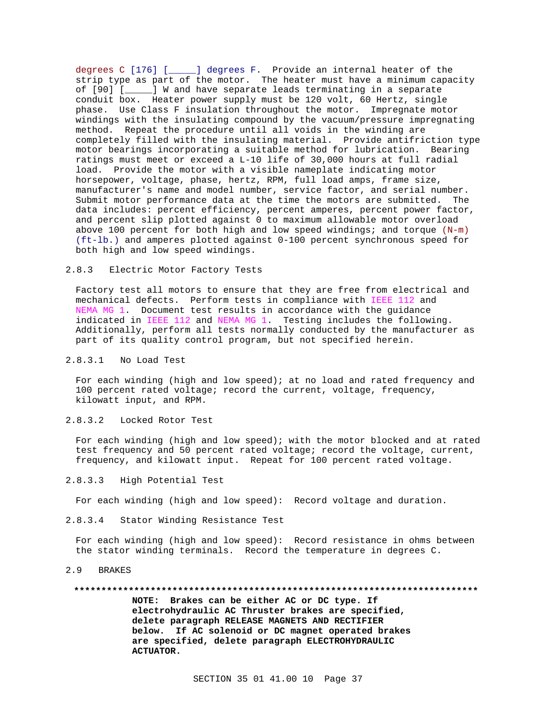degrees C [176] [\_\_\_\_\_] degrees F. Provide an internal heater of the strip type as part of the motor. The heater must have a minimum capacity of [90] [\_\_\_\_\_] W and have separate leads terminating in a separate conduit box. Heater power supply must be 120 volt, 60 Hertz, single phase. Use Class F insulation throughout the motor. Impregnate motor windings with the insulating compound by the vacuum/pressure impregnating method. Repeat the procedure until all voids in the winding are completely filled with the insulating material. Provide antifriction type motor bearings incorporating a suitable method for lubrication. Bearing ratings must meet or exceed a L-10 life of 30,000 hours at full radial load. Provide the motor with a visible nameplate indicating motor horsepower, voltage, phase, hertz, RPM, full load amps, frame size, manufacturer's name and model number, service factor, and serial number. Submit motor performance data at the time the motors are submitted. The data includes: percent efficiency, percent amperes, percent power factor, and percent slip plotted against 0 to maximum allowable motor overload above 100 percent for both high and low speed windings; and torque (N-m) (ft-lb.) and amperes plotted against 0-100 percent synchronous speed for both high and low speed windings.

#### 2.8.3 Electric Motor Factory Tests

Factory test all motors to ensure that they are free from electrical and mechanical defects. Perform tests in compliance with IEEE 112 and NEMA MG 1. Document test results in accordance with the guidance indicated in IEEE 112 and NEMA MG 1. Testing includes the following. Additionally, perform all tests normally conducted by the manufacturer as part of its quality control program, but not specified herein.

#### 2.8.3.1 No Load Test

For each winding (high and low speed); at no load and rated frequency and 100 percent rated voltage; record the current, voltage, frequency, kilowatt input, and RPM.

2.8.3.2 Locked Rotor Test

For each winding (high and low speed); with the motor blocked and at rated test frequency and 50 percent rated voltage; record the voltage, current, frequency, and kilowatt input. Repeat for 100 percent rated voltage.

2.8.3.3 High Potential Test

For each winding (high and low speed): Record voltage and duration.

2.8.3.4 Stator Winding Resistance Test

For each winding (high and low speed): Record resistance in ohms between the stator winding terminals. Record the temperature in degrees C.

2.9 BRAKES

#### **\*\*\*\*\*\*\*\*\*\*\*\*\*\*\*\*\*\*\*\*\*\*\*\*\*\*\*\*\*\*\*\*\*\*\*\*\*\*\*\*\*\*\*\*\*\*\*\*\*\*\*\*\*\*\*\*\*\*\*\*\*\*\*\*\*\*\*\*\*\*\*\*\*\***

**NOTE: Brakes can be either AC or DC type. If electrohydraulic AC Thruster brakes are specified, delete paragraph RELEASE MAGNETS AND RECTIFIER below. If AC solenoid or DC magnet operated brakes are specified, delete paragraph ELECTROHYDRAULIC ACTUATOR.**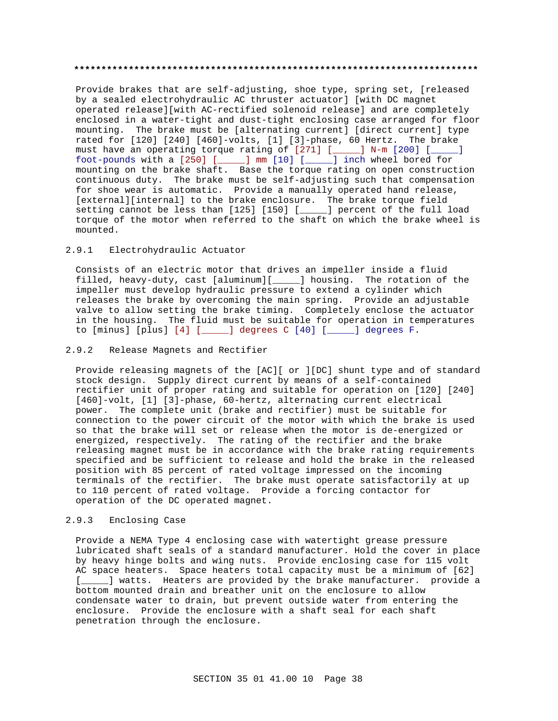# **\*\*\*\*\*\*\*\*\*\*\*\*\*\*\*\*\*\*\*\*\*\*\*\*\*\*\*\*\*\*\*\*\*\*\*\*\*\*\*\*\*\*\*\*\*\*\*\*\*\*\*\*\*\*\*\*\*\*\*\*\*\*\*\*\*\*\*\*\*\*\*\*\*\***

Provide brakes that are self-adjusting, shoe type, spring set, [released by a sealed electrohydraulic AC thruster actuator] [with DC magnet operated release][with AC-rectified solenoid release] and are completely enclosed in a water-tight and dust-tight enclosing case arranged for floor mounting. The brake must be [alternating current] [direct current] type rated for [120] [240] [460]-volts, [1] [3]-phase, 60 Hertz. The brake must have an operating torque rating of [271] [\_\_\_\_\_] N-m [200] [\_\_\_\_\_] foot-pounds with a [250] [\_\_\_\_\_] mm [10] [\_\_\_\_\_] inch wheel bored for mounting on the brake shaft. Base the torque rating on open construction continuous duty. The brake must be self-adjusting such that compensation for shoe wear is automatic. Provide a manually operated hand release, [external][internal] to the brake enclosure. The brake torque field setting cannot be less than [125] [150] [\_\_\_\_\_] percent of the full load torque of the motor when referred to the shaft on which the brake wheel is mounted.

#### 2.9.1 Electrohydraulic Actuator

Consists of an electric motor that drives an impeller inside a fluid filled, heavy-duty, cast [aluminum][\_\_\_\_\_] housing. The rotation of the impeller must develop hydraulic pressure to extend a cylinder which releases the brake by overcoming the main spring. Provide an adjustable valve to allow setting the brake timing. Completely enclose the actuator in the housing. The fluid must be suitable for operation in temperatures to [minus] [plus] [4] [\_\_\_\_\_] degrees C [40] [\_\_\_\_\_] degrees F.

#### 2.9.2 Release Magnets and Rectifier

Provide releasing magnets of the [AC][ or ][DC] shunt type and of standard stock design. Supply direct current by means of a self-contained rectifier unit of proper rating and suitable for operation on [120] [240] [460]-volt, [1] [3]-phase, 60-hertz, alternating current electrical power. The complete unit (brake and rectifier) must be suitable for connection to the power circuit of the motor with which the brake is used so that the brake will set or release when the motor is de-energized or energized, respectively. The rating of the rectifier and the brake releasing magnet must be in accordance with the brake rating requirements specified and be sufficient to release and hold the brake in the released position with 85 percent of rated voltage impressed on the incoming terminals of the rectifier. The brake must operate satisfactorily at up to 110 percent of rated voltage. Provide a forcing contactor for operation of the DC operated magnet.

# 2.9.3 Enclosing Case

Provide a NEMA Type 4 enclosing case with watertight grease pressure lubricated shaft seals of a standard manufacturer. Hold the cover in place by heavy hinge bolts and wing nuts. Provide enclosing case for 115 volt AC space heaters. Space heaters total capacity must be a minimum of [62] [*\_\_\_\_\_*] watts. Heaters are provided by the brake manufacturer. provide a bottom mounted drain and breather unit on the enclosure to allow condensate water to drain, but prevent outside water from entering the enclosure. Provide the enclosure with a shaft seal for each shaft penetration through the enclosure.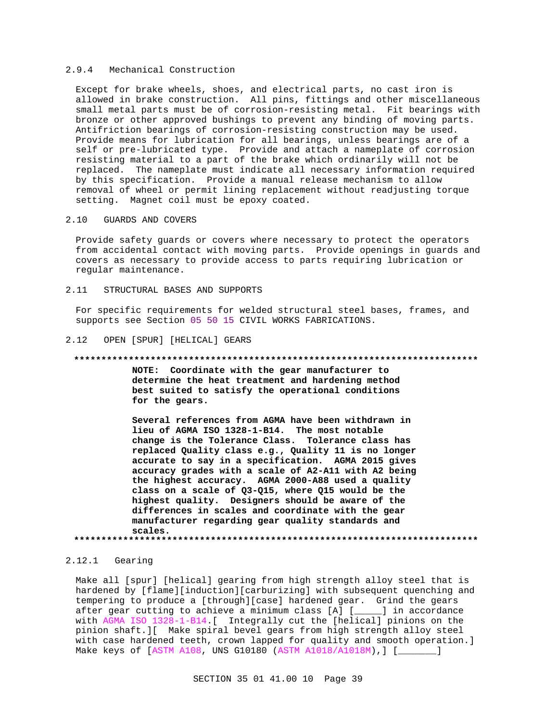#### 2.9.4 Mechanical Construction

Except for brake wheels, shoes, and electrical parts, no cast iron is allowed in brake construction. All pins, fittings and other miscellaneous small metal parts must be of corrosion-resisting metal. Fit bearings with bronze or other approved bushings to prevent any binding of moving parts. Antifriction bearings of corrosion-resisting construction may be used. Provide means for lubrication for all bearings, unless bearings are of a self or pre-lubricated type. Provide and attach a nameplate of corrosion resisting material to a part of the brake which ordinarily will not be replaced. The nameplate must indicate all necessary information required by this specification. Provide a manual release mechanism to allow removal of wheel or permit lining replacement without readjusting torque setting. Magnet coil must be epoxy coated.

# 2.10 GUARDS AND COVERS

Provide safety guards or covers where necessary to protect the operators from accidental contact with moving parts. Provide openings in guards and covers as necessary to provide access to parts requiring lubrication or regular maintenance.

2.11 STRUCTURAL BASES AND SUPPORTS

For specific requirements for welded structural steel bases, frames, and supports see Section 05 50 15 CIVIL WORKS FABRICATIONS.

#### 2.12 OPEN [SPUR] [HELICAL] GEARS

#### **\*\*\*\*\*\*\*\*\*\*\*\*\*\*\*\*\*\*\*\*\*\*\*\*\*\*\*\*\*\*\*\*\*\*\*\*\*\*\*\*\*\*\*\*\*\*\*\*\*\*\*\*\*\*\*\*\*\*\*\*\*\*\*\*\*\*\*\*\*\*\*\*\*\***

**NOTE: Coordinate with the gear manufacturer to determine the heat treatment and hardening method best suited to satisfy the operational conditions for the gears.**

**Several references from AGMA have been withdrawn in lieu of AGMA ISO 1328-1-B14. The most notable change is the Tolerance Class. Tolerance class has replaced Quality class e.g., Quality 11 is no longer accurate to say in a specification. AGMA 2015 gives accuracy grades with a scale of A2-A11 with A2 being the highest accuracy. AGMA 2000-A88 used a quality class on a scale of Q3-Q15, where Q15 would be the highest quality. Designers should be aware of the differences in scales and coordinate with the gear manufacturer regarding gear quality standards and scales. \*\*\*\*\*\*\*\*\*\*\*\*\*\*\*\*\*\*\*\*\*\*\*\*\*\*\*\*\*\*\*\*\*\*\*\*\*\*\*\*\*\*\*\*\*\*\*\*\*\*\*\*\*\*\*\*\*\*\*\*\*\*\*\*\*\*\*\*\*\*\*\*\*\***

### 2.12.1 Gearing

Make all [spur] [helical] gearing from high strength alloy steel that is hardened by [flame][induction][carburizing] with subsequent quenching and tempering to produce a [through][case] hardened gear. Grind the gears after gear cutting to achieve a minimum class [A] [\_\_\_\_\_] in accordance with AGMA ISO 1328-1-B14.[ Integrally cut the [helical] pinions on the pinion shaft.][ Make spiral bevel gears from high strength alloy steel with case hardened teeth, crown lapped for quality and smooth operation.] Make keys of [ASTM A108, UNS G10180 (ASTM A1018/A1018M),] [\_\_\_\_\_\_\_]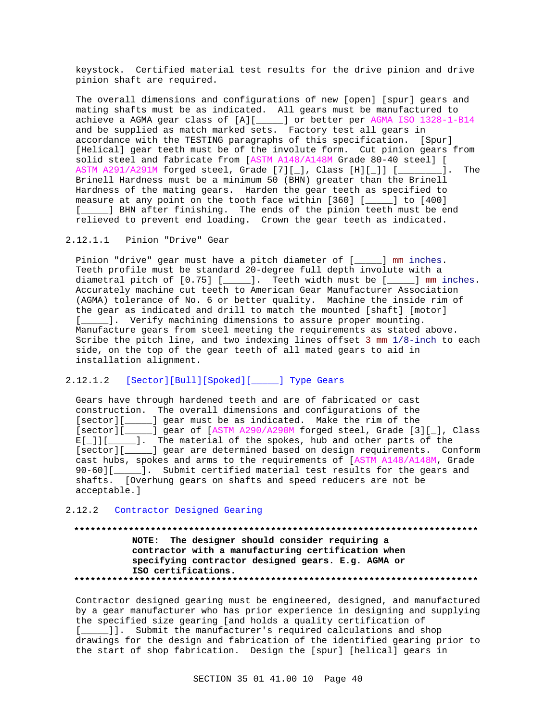keystock. Certified material test results for the drive pinion and drive pinion shaft are required.

The overall dimensions and configurations of new [open] [spur] gears and mating shafts must be as indicated. All gears must be manufactured to achieve a AGMA gear class of [A][\_\_\_\_\_] or better per AGMA ISO 1328-1-B14 and be supplied as match marked sets. Factory test all gears in accordance with the TESTING paragraphs of this specification. [Spur] [Helical] gear teeth must be of the involute form. Cut pinion gears from solid steel and fabricate from [ASTM A148/A148M Grade 80-40 steel] [ ASTM A291/A291M forged steel, Grade [7][\_], Class [H][\_]] [\_\_\_\_\_\_\_\_]. The Brinell Hardness must be a minimum 50 (BHN) greater than the Brinell Hardness of the mating gears. Harden the gear teeth as specified to measure at any point on the tooth face within [360] [\_\_\_\_\_] to [400] [\_\_\_\_\_] BHN after finishing. The ends of the pinion teeth must be end relieved to prevent end loading. Crown the gear teeth as indicated.

# 2.12.1.1 Pinion "Drive" Gear

Pinion "drive" gear must have a pitch diameter of [\_\_\_\_\_] mm inches. Teeth profile must be standard 20-degree full depth involute with a diametral pitch of [0.75] [\_\_\_\_\_]. Teeth width must be [\_\_\_\_\_] mm inches. Accurately machine cut teeth to American Gear Manufacturer Association (AGMA) tolerance of No. 6 or better quality. Machine the inside rim of the gear as indicated and drill to match the mounted [shaft] [motor] [\_\_\_\_\_]. Verify machining dimensions to assure proper mounting. Manufacture gears from steel meeting the requirements as stated above. Scribe the pitch line, and two indexing lines offset 3 mm 1/8-inch to each side, on the top of the gear teeth of all mated gears to aid in installation alignment.

# 2.12.1.2 [Sector][Bull][Spoked][\_\_\_\_\_] Type Gears

Gears have through hardened teeth and are of fabricated or cast construction. The overall dimensions and configurations of the [sector][\_\_\_\_\_] gear must be as indicated. Make the rim of the [sector][\_\_\_\_\_] gear of [ASTM A290/A290M forged steel, Grade [3][\_], Class E[\_]][\_\_\_\_\_]. The material of the spokes, hub and other parts of the [sector][\_\_\_\_\_] gear are determined based on design requirements. Conform cast hubs, spokes and arms to the requirements of [ASTM A148/A148M, Grade 90-60][\_\_\_\_\_]. Submit certified material test results for the gears and shafts. [Overhung gears on shafts and speed reducers are not be acceptable.]

#### 2.12.2 Contractor Designed Gearing

# **\*\*\*\*\*\*\*\*\*\*\*\*\*\*\*\*\*\*\*\*\*\*\*\*\*\*\*\*\*\*\*\*\*\*\*\*\*\*\*\*\*\*\*\*\*\*\*\*\*\*\*\*\*\*\*\*\*\*\*\*\*\*\*\*\*\*\*\*\*\*\*\*\*\* NOTE: The designer should consider requiring a contractor with a manufacturing certification when specifying contractor designed gears. E.g. AGMA or ISO certifications. \*\*\*\*\*\*\*\*\*\*\*\*\*\*\*\*\*\*\*\*\*\*\*\*\*\*\*\*\*\*\*\*\*\*\*\*\*\*\*\*\*\*\*\*\*\*\*\*\*\*\*\*\*\*\*\*\*\*\*\*\*\*\*\*\*\*\*\*\*\*\*\*\*\***

Contractor designed gearing must be engineered, designed, and manufactured by a gear manufacturer who has prior experience in designing and supplying the specified size gearing [and holds a quality certification of [\_\_\_\_\_]]. Submit the manufacturer's required calculations and shop drawings for the design and fabrication of the identified gearing prior to the start of shop fabrication. Design the [spur] [helical] gears in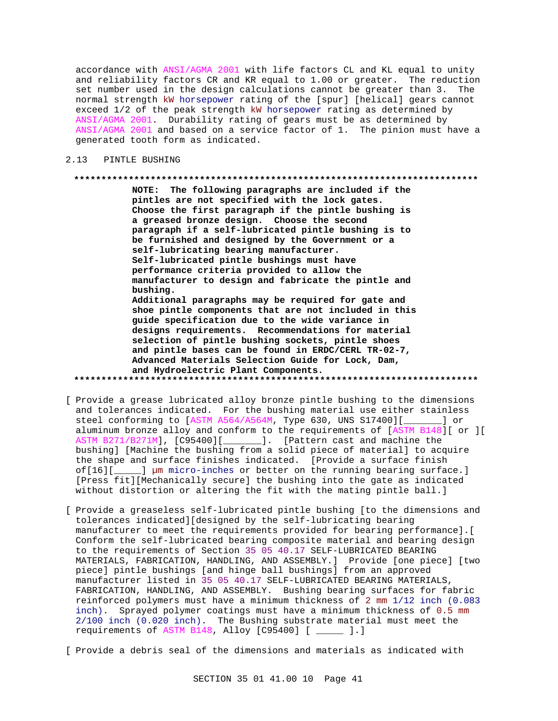accordance with ANSI/AGMA 2001 with life factors CL and KL equal to unity and reliability factors CR and KR equal to 1.00 or greater. The reduction set number used in the design calculations cannot be greater than 3. The normal strength kW horsepower rating of the [spur] [helical] gears cannot exceed 1/2 of the peak strength kW horsepower rating as determined by ANSI/AGMA 2001. Durability rating of gears must be as determined by ANSI/AGMA 2001 and based on a service factor of 1. The pinion must have a generated tooth form as indicated.

#### PINTLE BUSHING  $2.13$

#### 

NOTE: The following paragraphs are included if the pintles are not specified with the lock gates. Choose the first paragraph if the pintle bushing is a greased bronze design. Choose the second paragraph if a self-lubricated pintle bushing is to be furnished and designed by the Government or a self-lubricating bearing manufacturer. Self-lubricated pintle bushings must have performance criteria provided to allow the manufacturer to design and fabricate the pintle and bushing. Additional paragraphs may be required for gate and shoe pintle components that are not included in this guide specification due to the wide variance in designs requirements. Recommendations for material selection of pintle bushing sockets, pintle shoes and pintle bases can be found in ERDC/CERL TR-02-7, Advanced Materials Selection Guide for Lock, Dam, and Hydroelectric Plant Components.

- [ Provide a grease lubricated alloy bronze pintle bushing to the dimensions and tolerances indicated. For the bushing material use either stainless steel conforming to [ASTM A564/A564M, Type 630, UNS S17400][\_\_\_\_ \_\_] or aluminum bronze alloy and conform to the requirements of [ASTM B148][ or ][ ASTM B271/B271M], [C95400][\_\_\_\_\_\_\_]. [Pattern cast and machine the bushing] [Machine the bushing from a solid piece of material] to acquire the shape and surface finishes indicated. [Provide a surface finish of[16][\_\_\_\_\_] µm micro-inches or better on the running bearing surface.] [Press fit][Mechanically secure] the bushing into the gate as indicated without distortion or altering the fit with the mating pintle ball.]
- [ Provide a greaseless self-lubricated pintle bushing [to the dimensions and tolerances indicated][designed by the self-lubricating bearing manufacturer to meet the requirements provided for bearing performance]. [ Conform the self-lubricated bearing composite material and bearing design to the requirements of Section 35 05 40.17 SELF-LUBRICATED BEARING MATERIALS, FABRICATION, HANDLING, AND ASSEMBLY.] Provide [one piece] [two piece] pintle bushings [and hinge ball bushings] from an approved manufacturer listed in 35 05 40.17 SELF-LUBRICATED BEARING MATERIALS, FABRICATION, HANDLING, AND ASSEMBLY. Bushing bearing surfaces for fabric reinforced polymers must have a minimum thickness of 2 mm 1/12 inch (0.083 inch). Sprayed polymer coatings must have a minimum thickness of 0.5 mm 2/100 inch (0.020 inch). The Bushing substrate material must meet the requirements of ASTM B148, Alloy [C95400] [ \_\_\_\_\_ ].]

[ Provide a debris seal of the dimensions and materials as indicated with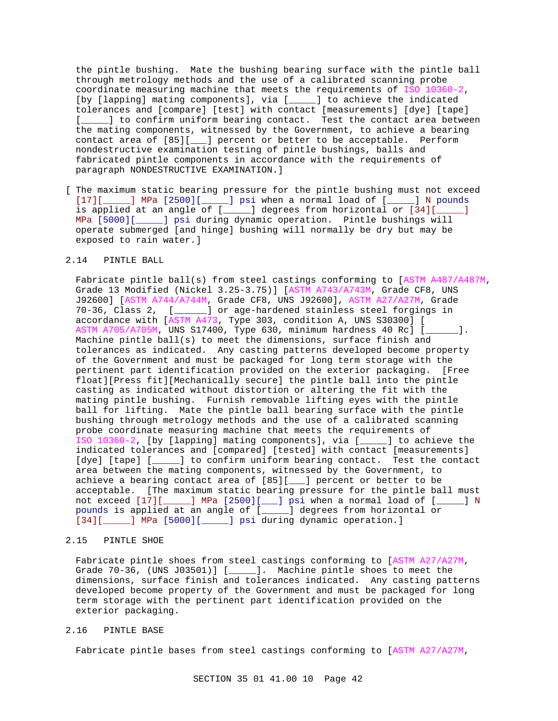the pintle bushing. Mate the bushing bearing surface with the pintle ball through metrology methods and the use of a calibrated scanning probe coordinate measuring machine that meets the requirements of ISO 10360-2, [by [lapping] mating components], via [\_\_\_\_\_] to achieve the indicated tolerances and [compare] [test] with contact [measurements] [dye] [tape] [*\_\_\_\_\_*] to confirm uniform bearing contact. Test the contact area between the mating components, witnessed by the Government, to achieve a bearing contact area of [85][\_\_\_] percent or better to be acceptable. Perform nondestructive examination testing of pintle bushings, balls and fabricated pintle components in accordance with the requirements of paragraph NONDESTRUCTIVE EXAMINATION.]

[ The maximum static bearing pressure for the pintle bushing must not exceed [17][\_\_\_\_\_] MPa [2500][\_\_\_\_\_] psi when a normal load of [\_\_\_\_\_] N pounds is applied at an angle of [\_\_\_\_\_] degrees from horizontal or [34][\_\_\_\_\_] MPa [5000][\_\_\_\_\_] psi during dynamic operation. Pintle bushings will operate submerged [and hinge] bushing will normally be dry but may be exposed to rain water.]

# 2.14 PINTLE BALL

Fabricate pintle ball(s) from steel castings conforming to [ASTM A487/A487M, Grade 13 Modified (Nickel 3.25-3.75)] [ASTM A743/A743M, Grade CF8, UNS J92600] [ASTM A744/A744M, Grade CF8, UNS J92600], ASTM A27/A27M, Grade 70-36, Class 2, [\_\_\_\_\_\_] or age-hardened stainless steel forgings in accordance with [ASTM A473, Type 303, condition A, UNS S30300] [ ASTM A705/A705M, UNS S17400, Type 630, minimum hardness 40 Rc] [\_\_\_\_\_\_]. Machine pintle ball(s) to meet the dimensions, surface finish and tolerances as indicated. Any casting patterns developed become property of the Government and must be packaged for long term storage with the pertinent part identification provided on the exterior packaging. [Free float][Press fit][Mechanically secure] the pintle ball into the pintle casting as indicated without distortion or altering the fit with the mating pintle bushing. Furnish removable lifting eyes with the pintle ball for lifting. Mate the pintle ball bearing surface with the pintle bushing through metrology methods and the use of a calibrated scanning probe coordinate measuring machine that meets the requirements of ISO 10360-2, [by [lapping] mating components], via [\_\_\_\_\_] to achieve the indicated tolerances and [compared] [tested] with contact [measurements] [dye] [tape] [\_\_\_\_\_] to confirm uniform bearing contact. Test the contact area between the mating components, witnessed by the Government, to achieve a bearing contact area of [85][\_\_\_] percent or better to be acceptable. [The maximum static bearing pressure for the pintle ball must not exceed [17][\_\_\_\_\_] MPa [2500][\_\_\_] psi when a normal load of [\_\_\_\_\_] N pounds is applied at an angle of [\_\_\_\_\_] degrees from horizontal or [34][\_\_\_\_\_] MPa [5000][\_\_\_\_\_] psi during dynamic operation.]

#### 2.15 PINTLE SHOE

Fabricate pintle shoes from steel castings conforming to [ASTM A27/A27M, Grade 70-36, (UNS J03501)] [\_\_\_\_\_]. Machine pintle shoes to meet the dimensions, surface finish and tolerances indicated. Any casting patterns developed become property of the Government and must be packaged for long term storage with the pertinent part identification provided on the exterior packaging.

## 2.16 PINTLE BASE

Fabricate pintle bases from steel castings conforming to [ASTM A27/A27M,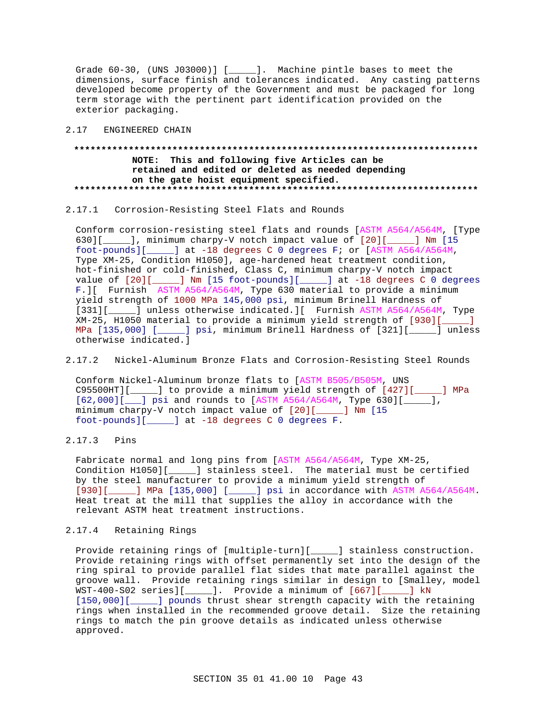Grade  $60-30$ , (UNS J03000)] [ $\qquad$ ]. Machine pintle bases to meet the dimensions, surface finish and tolerances indicated. Any casting patterns developed become property of the Government and must be packaged for long term storage with the pertinent part identification provided on the exterior packaging.

#### 2.17 ENGINEERED CHAIN

# **\*\*\*\*\*\*\*\*\*\*\*\*\*\*\*\*\*\*\*\*\*\*\*\*\*\*\*\*\*\*\*\*\*\*\*\*\*\*\*\*\*\*\*\*\*\*\*\*\*\*\*\*\*\*\*\*\*\*\*\*\*\*\*\*\*\*\*\*\*\*\*\*\*\* NOTE: This and following five Articles can be retained and edited or deleted as needed depending on the gate hoist equipment specified. \*\*\*\*\*\*\*\*\*\*\*\*\*\*\*\*\*\*\*\*\*\*\*\*\*\*\*\*\*\*\*\*\*\*\*\*\*\*\*\*\*\*\*\*\*\*\*\*\*\*\*\*\*\*\*\*\*\*\*\*\*\*\*\*\*\*\*\*\*\*\*\*\*\***

# 2.17.1 Corrosion-Resisting Steel Flats and Rounds

Conform corrosion-resisting steel flats and rounds [ASTM A564/A564M, [Type 630][\_\_\_\_\_], minimum charpy-V notch impact value of [20][\_\_\_\_\_] Nm [15 foot-pounds][\_\_\_\_\_] at -18 degrees C 0 degrees F; or [ASTM A564/A564M, Type XM-25, Condition H1050], age-hardened heat treatment condition, hot-finished or cold-finished, Class C, minimum charpy-V notch impact value of  $[20][$  ] Nm  $[15$  foot-pounds][\_\_\_\_] at -18 degrees C 0 degrees F.][ Furnish ASTM A564/A564M, Type 630 material to provide a minimum yield strength of 1000 MPa 145,000 psi, minimum Brinell Hardness of [331][\_\_\_\_\_] unless otherwise indicated.][ Furnish ASTM A564/A564M, Type XM-25, H1050 material to provide a minimum yield strength of [930][\_\_\_\_\_] MPa [135,000] [\_\_\_\_\_] psi, minimum Brinell Hardness of [321][\_\_\_\_\_] unless otherwise indicated.]

## 2.17.2 Nickel-Aluminum Bronze Flats and Corrosion-Resisting Steel Rounds

Conform Nickel-Aluminum bronze flats to [ASTM B505/B505M, UNS C95500HT][\_\_\_\_\_] to provide a minimum yield strength of [427][\_\_\_\_\_] MPa [62,000][\_\_\_] psi and rounds to [ASTM A564/A564M, Type 630][\_\_\_\_], minimum charpy-V notch impact value of [20][\_\_\_\_\_] Nm [15 foot-pounds][\_\_\_\_\_] at -18 degrees C 0 degrees F.

# 2.17.3 Pins

Fabricate normal and long pins from [ASTM A564/A564M, Type XM-25, Condition H1050][\_\_\_\_\_] stainless steel. The material must be certified by the steel manufacturer to provide a minimum yield strength of [930][\_\_\_\_\_] MPa [135,000] [\_\_\_\_\_] psi in accordance with ASTM A564/A564M. Heat treat at the mill that supplies the alloy in accordance with the relevant ASTM heat treatment instructions.

#### 2.17.4 Retaining Rings

Provide retaining rings of [multiple-turn][\_\_\_\_\_] stainless construction. Provide retaining rings with offset permanently set into the design of the ring spiral to provide parallel flat sides that mate parallel against the groove wall. Provide retaining rings similar in design to [Smalley, model WST-400-S02 series][\_\_\_\_\_]. Provide a minimum of [667][\_\_\_\_\_] kN [150,000][\_\_\_\_\_] pounds thrust shear strength capacity with the retaining rings when installed in the recommended groove detail. Size the retaining rings to match the pin groove details as indicated unless otherwise approved.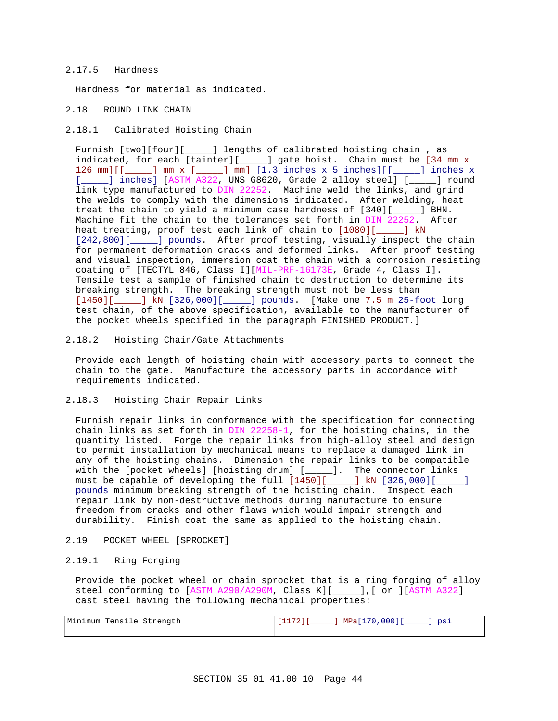#### 2.17.5 Hardness

Hardness for material as indicated.

#### 2.18 ROUND LINK CHAIN

#### 2.18.1 Calibrated Hoisting Chain

Furnish [two][four][\_\_\_\_\_] lengths of calibrated hoisting chain , as indicated, for each [tainter][\_\_\_\_\_] gate hoist. Chain must be [34 mm x 126 mm][[\_\_\_\_\_] mm x [\_\_\_\_\_] mm] [1.3 inches x 5 inches][[\_\_\_\_\_] inches x [\_\_\_\_\_] inches] [ASTM A322, UNS G8620, Grade 2 alloy steel] [\_\_\_\_\_] round link type manufactured to DIN 22252. Machine weld the links, and grind the welds to comply with the dimensions indicated. After welding, heat treat the chain to yield a minimum case hardness of [340][\_\_\_\_\_] BHN. Machine fit the chain to the tolerances set forth in DIN 22252. After heat treating, proof test each link of chain to [1080][\_\_\_\_\_] kN [242,800][\_\_\_\_\_] pounds. After proof testing, visually inspect the chain for permanent deformation cracks and deformed links. After proof testing and visual inspection, immersion coat the chain with a corrosion resisting coating of [TECTYL 846, Class I][MIL-PRF-16173E, Grade 4, Class I]. Tensile test a sample of finished chain to destruction to determine its breaking strength. The breaking strength must not be less than [1450][\_\_\_\_\_] kN [326,000][\_\_\_\_\_] pounds. [Make one 7.5 m 25-foot long test chain, of the above specification, available to the manufacturer of the pocket wheels specified in the paragraph FINISHED PRODUCT.]

#### 2.18.2 Hoisting Chain/Gate Attachments

Provide each length of hoisting chain with accessory parts to connect the chain to the gate. Manufacture the accessory parts in accordance with requirements indicated.

#### 2.18.3 Hoisting Chain Repair Links

Furnish repair links in conformance with the specification for connecting chain links as set forth in DIN 22258-1, for the hoisting chains, in the quantity listed. Forge the repair links from high-alloy steel and design to permit installation by mechanical means to replace a damaged link in any of the hoisting chains. Dimension the repair links to be compatible with the [pocket wheels] [hoisting drum] [\_\_\_\_\_]. The connector links must be capable of developing the full [1450][\_\_\_\_\_] kN [326,000][\_\_\_\_\_] pounds minimum breaking strength of the hoisting chain. Inspect each repair link by non-destructive methods during manufacture to ensure freedom from cracks and other flaws which would impair strength and durability. Finish coat the same as applied to the hoisting chain.

## 2.19 POCKET WHEEL [SPROCKET]

#### 2.19.1 Ring Forging

Provide the pocket wheel or chain sprocket that is a ring forging of alloy steel conforming to [ASTM A290/A290M, Class K][\_\_\_\_\_],[ or ][ASTM A322] cast steel having the following mechanical properties:

| Minimum Tensile Strength | 1 MPa[170,000][<br>$[1172]$<br><sup>"</sup> psi |
|--------------------------|-------------------------------------------------|
|                          |                                                 |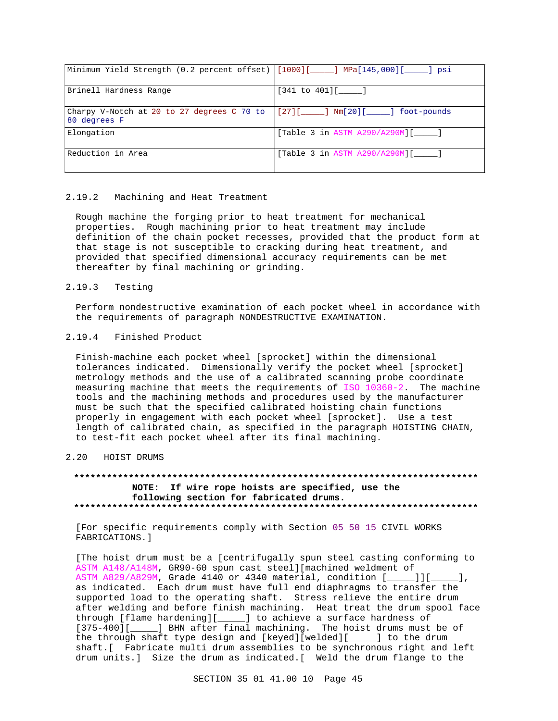| Minimum Yield Strength (0.2 percent offset) [[1000][ ] MPa[145,000][ ] psi                                    |                                     |
|---------------------------------------------------------------------------------------------------------------|-------------------------------------|
| Brinell Hardness Range                                                                                        | $[341$ to $401]$ [ ______ ]         |
| Charpy V-Notch at 20 to 27 degrees C 70 to $\lceil 27 \rceil$ [____] Nm[20][____] foot-pounds<br>80 degrees F |                                     |
| Elongation                                                                                                    | [Table 3 in ASTM A290/A290M][ ]     |
| Reduction in Area                                                                                             | [Table 3 in ASTM A290/A290M][_____] |

#### 2.19.2 Machining and Heat Treatment

Rough machine the forging prior to heat treatment for mechanical properties. Rough machining prior to heat treatment may include definition of the chain pocket recesses, provided that the product form at that stage is not susceptible to cracking during heat treatment, and provided that specified dimensional accuracy requirements can be met thereafter by final machining or grinding.

## 2.19.3 Testing

Perform nondestructive examination of each pocket wheel in accordance with the requirements of paragraph NONDESTRUCTIVE EXAMINATION.

## 2.19.4 Finished Product

Finish-machine each pocket wheel [sprocket] within the dimensional tolerances indicated. Dimensionally verify the pocket wheel [sprocket] metrology methods and the use of a calibrated scanning probe coordinate measuring machine that meets the requirements of ISO 10360-2. The machine tools and the machining methods and procedures used by the manufacturer must be such that the specified calibrated hoisting chain functions properly in engagement with each pocket wheel [sprocket]. Use a test length of calibrated chain, as specified in the paragraph HOISTING CHAIN, to test-fit each pocket wheel after its final machining.

#### 2.20 HOIST DRUMS

## **\*\*\*\*\*\*\*\*\*\*\*\*\*\*\*\*\*\*\*\*\*\*\*\*\*\*\*\*\*\*\*\*\*\*\*\*\*\*\*\*\*\*\*\*\*\*\*\*\*\*\*\*\*\*\*\*\*\*\*\*\*\*\*\*\*\*\*\*\*\*\*\*\*\* NOTE: If wire rope hoists are specified, use the following section for fabricated drums. \*\*\*\*\*\*\*\*\*\*\*\*\*\*\*\*\*\*\*\*\*\*\*\*\*\*\*\*\*\*\*\*\*\*\*\*\*\*\*\*\*\*\*\*\*\*\*\*\*\*\*\*\*\*\*\*\*\*\*\*\*\*\*\*\*\*\*\*\*\*\*\*\*\***

[For specific requirements comply with Section 05 50 15 CIVIL WORKS FABRICATIONS.]

[The hoist drum must be a [centrifugally spun steel casting conforming to ASTM A148/A148M, GR90-60 spun cast steel][machined weldment of ASTM A829/A829M, Grade 4140 or 4340 material, condition [\_\_\_\_\_]][\_\_\_\_\_], as indicated. Each drum must have full end diaphragms to transfer the supported load to the operating shaft. Stress relieve the entire drum after welding and before finish machining. Heat treat the drum spool face through [flame hardening][\_\_\_\_\_] to achieve a surface hardness of [375-400][\_\_\_\_\_] BHN after final machining. The hoist drums must be of the through shaft type design and [keyed][welded][\_\_\_\_\_] to the drum shaft.[ Fabricate multi drum assemblies to be synchronous right and left drum units.] Size the drum as indicated.[ Weld the drum flange to the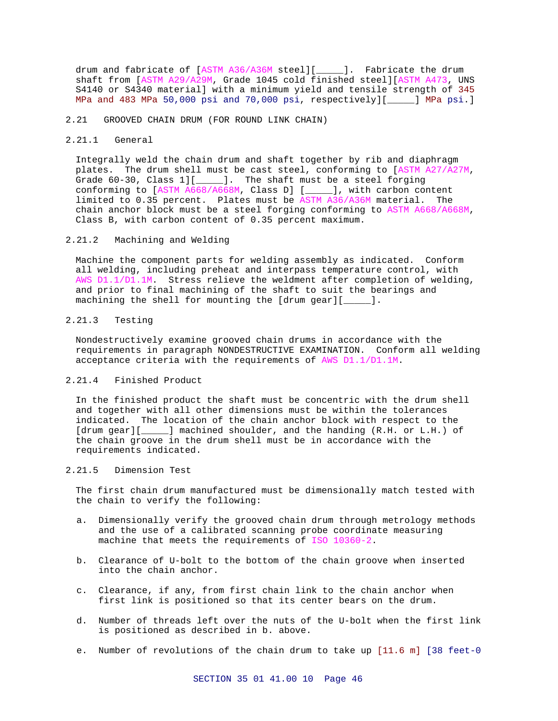drum and fabricate of [ASTM A36/A36M steel][\_\_\_\_\_]. Fabricate the drum shaft from [ASTM A29/A29M, Grade 1045 cold finished steel][ASTM A473, UNS S4140 or S4340 material] with a minimum yield and tensile strength of 345 MPa and 483 MPa 50,000 psi and 70,000 psi, respectively][\_\_\_\_\_] MPa psi.]

#### 2.21 GROOVED CHAIN DRUM (FOR ROUND LINK CHAIN)

#### 2.21.1 General

Integrally weld the chain drum and shaft together by rib and diaphragm plates. The drum shell must be cast steel, conforming to [ASTM A27/A27M, Grade 60-30, Class 1][\_\_\_\_\_]. The shaft must be a steel forging conforming to [ASTM A668/A668M, Class D] [\_\_\_\_\_], with carbon content limited to 0.35 percent. Plates must be ASTM A36/A36M material. The chain anchor block must be a steel forging conforming to ASTM A668/A668M, Class B, with carbon content of 0.35 percent maximum.

#### 2.21.2 Machining and Welding

Machine the component parts for welding assembly as indicated. Conform all welding, including preheat and interpass temperature control, with AWS D1.1/D1.1M. Stress relieve the weldment after completion of welding, and prior to final machining of the shaft to suit the bearings and machining the shell for mounting the [drum gear][\_\_\_\_\_].

## 2.21.3 Testing

Nondestructively examine grooved chain drums in accordance with the requirements in paragraph NONDESTRUCTIVE EXAMINATION. Conform all welding acceptance criteria with the requirements of AWS D1.1/D1.1M.

# 2.21.4 Finished Product

In the finished product the shaft must be concentric with the drum shell and together with all other dimensions must be within the tolerances indicated. The location of the chain anchor block with respect to the [drum gear] [ ] machined shoulder, and the handing (R.H. or L.H.) of the chain groove in the drum shell must be in accordance with the requirements indicated.

# 2.21.5 Dimension Test

The first chain drum manufactured must be dimensionally match tested with the chain to verify the following:

- a. Dimensionally verify the grooved chain drum through metrology methods and the use of a calibrated scanning probe coordinate measuring machine that meets the requirements of ISO 10360-2.
- b. Clearance of U-bolt to the bottom of the chain groove when inserted into the chain anchor.
- c. Clearance, if any, from first chain link to the chain anchor when first link is positioned so that its center bears on the drum.
- d. Number of threads left over the nuts of the U-bolt when the first link is positioned as described in b. above.
- e. Number of revolutions of the chain drum to take up [11.6 m] [38 feet-0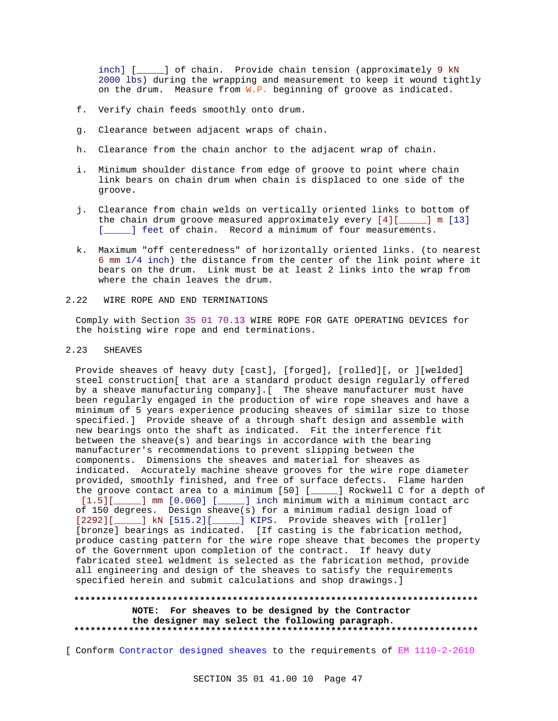inch] [  $\Box$ ] of chain. Provide chain tension (approximately 9 kN 2000 lbs) during the wrapping and measurement to keep it wound tightly on the drum. Measure from  $W.P.$  beginning of groove as indicated.

- f. Verify chain feeds smoothly onto drum.
- g. Clearance between adjacent wraps of chain.
- h. Clearance from the chain anchor to the adjacent wrap of chain.
- i. Minimum shoulder distance from edge of groove to point where chain link bears on chain drum when chain is displaced to one side of the groove.
- j. Clearance from chain welds on vertically oriented links to bottom of the chain drum groove measured approximately every  $[4]$ [ $\qquad$ ] m [13] [*\_\_\_\_*] feet of chain. Record a minimum of four measurements.
- k. Maximum "off centeredness" of horizontally oriented links. (to nearest 6 mm 1/4 inch) the distance from the center of the link point where it bears on the drum. Link must be at least 2 links into the wrap from where the chain leaves the drum.
- 2.22 WIRE ROPE AND END TERMINATIONS

Comply with Section 35 01 70.13 WIRE ROPE FOR GATE OPERATING DEVICES for the hoisting wire rope and end terminations.

# 2.23 SHEAVES

Provide sheaves of heavy duty [cast], [forged], [rolled][, or ][welded] steel construction[ that are a standard product design regularly offered by a sheave manufacturing company].[ The sheave manufacturer must have been regularly engaged in the production of wire rope sheaves and have a minimum of 5 years experience producing sheaves of similar size to those specified.] Provide sheave of a through shaft design and assemble with new bearings onto the shaft as indicated. Fit the interference fit between the sheave(s) and bearings in accordance with the bearing manufacturer's recommendations to prevent slipping between the components. Dimensions the sheaves and material for sheaves as indicated. Accurately machine sheave grooves for the wire rope diameter provided, smoothly finished, and free of surface defects. Flame harden the groove contact area to a minimum [50] [\_\_\_\_\_] Rockwell C for a depth of [1.5][\_\_\_\_\_] mm [0.060] [\_\_\_\_] inch minimum with a minimum contact arc of 150 degrees. Design sheave(s) for a minimum radial design load of [2292][\_\_\_\_\_] kN [515.2][\_\_\_\_\_] KIPS. Provide sheaves with [roller] [bronze] bearings as indicated. [If casting is the fabrication method, produce casting pattern for the wire rope sheave that becomes the property of the Government upon completion of the contract. If heavy duty fabricated steel weldment is selected as the fabrication method, provide all engineering and design of the sheaves to satisfy the requirements specified herein and submit calculations and shop drawings.]

#### **\*\*\*\*\*\*\*\*\*\*\*\*\*\*\*\*\*\*\*\*\*\*\*\*\*\*\*\*\*\*\*\*\*\*\*\*\*\*\*\*\*\*\*\*\*\*\*\*\*\*\*\*\*\*\*\*\*\*\*\*\*\*\*\*\*\*\*\*\*\*\*\*\*\***

**NOTE: For sheaves to be designed by the Contractor the designer may select the following paragraph. \*\*\*\*\*\*\*\*\*\*\*\*\*\*\*\*\*\*\*\*\*\*\*\*\*\*\*\*\*\*\*\*\*\*\*\*\*\*\*\*\*\*\*\*\*\*\*\*\*\*\*\*\*\*\*\*\*\*\*\*\*\*\*\*\*\*\*\*\*\*\*\*\*\***

[ Conform Contractor designed sheaves to the requirements of EM 1110-2-2610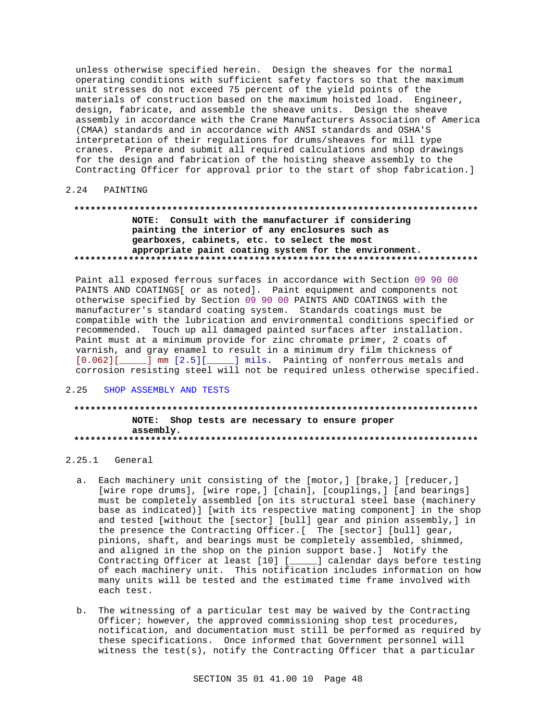unless otherwise specified herein. Design the sheaves for the normal operating conditions with sufficient safety factors so that the maximum unit stresses do not exceed 75 percent of the yield points of the materials of construction based on the maximum hoisted load. Engineer, design, fabricate, and assemble the sheave units. Design the sheave assembly in accordance with the Crane Manufacturers Association of America (CMAA) standards and in accordance with ANSI standards and OSHA'S interpretation of their regulations for drums/sheaves for mill type cranes. Prepare and submit all required calculations and shop drawings for the design and fabrication of the hoisting sheave assembly to the Contracting Officer for approval prior to the start of shop fabrication.]

#### $2.24$ PAINTING

# NOTE: Consult with the manufacturer if considering painting the interior of any enclosures such as gearboxes, cabinets, etc. to select the most appropriate paint coating system for the environment.

Paint all exposed ferrous surfaces in accordance with Section 09 90 00 PAINTS AND COATINGS[ or as noted]. Paint equipment and components not otherwise specified by Section 09 90 00 PAINTS AND COATINGS with the manufacturer's standard coating system. Standards coatings must be compatible with the lubrication and environmental conditions specified or recommended. Touch up all damaged painted surfaces after installation. Paint must at a minimum provide for zinc chromate primer, 2 coats of varnish, and gray enamel to result in a minimum dry film thickness of [0.062][\_\_\_\_\_] mm [2.5][\_\_\_\_\_] mils. Painting of nonferrous metals and corrosion resisting steel will not be required unless otherwise specified.

### 2.25 SHOP ASSEMBLY AND TESTS

# NOTE: Shop tests are necessary to ensure proper assembly.

# $2.25.1$  General

- a. Each machinery unit consisting of the [motor,] [brake,] [reducer,] [wire rope drums], [wire rope,] [chain], [couplings,] [and bearings] must be completely assembled [on its structural steel base (machinery base as indicated)] [with its respective mating component] in the shop and tested [without the [sector] [bull] gear and pinion assembly, ] in the presence the Contracting Officer. [ The [sector] [bull] gear, pinions, shaft, and bearings must be completely assembled, shimmed, and aligned in the shop on the pinion support base.] Notify the Contracting Officer at least [10] [\_\_\_\_] calendar days before testing of each machinery unit. This notification includes information on how many units will be tested and the estimated time frame involved with each test.
- b. The witnessing of a particular test may be waived by the Contracting Officer; however, the approved commissioning shop test procedures, notification, and documentation must still be performed as required by these specifications. Once informed that Government personnel will witness the test(s), notify the Contracting Officer that a particular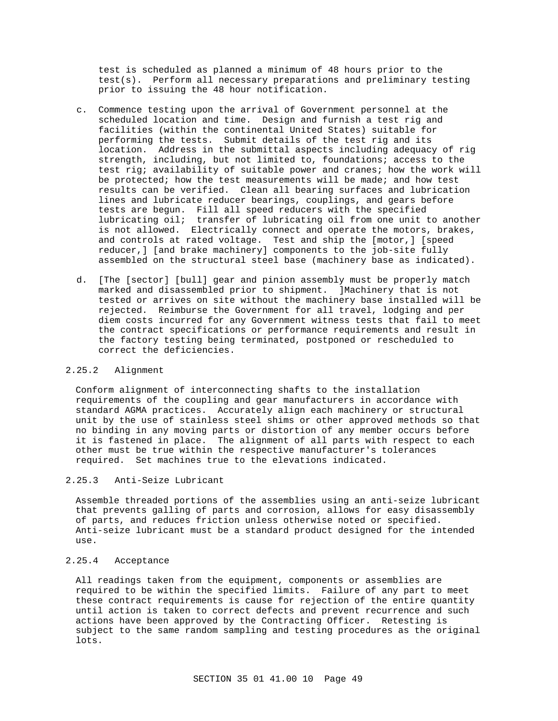test is scheduled as planned a minimum of 48 hours prior to the test(s). Perform all necessary preparations and preliminary testing prior to issuing the 48 hour notification.

- c. Commence testing upon the arrival of Government personnel at the scheduled location and time. Design and furnish a test rig and facilities (within the continental United States) suitable for performing the tests. Submit details of the test rig and its location. Address in the submittal aspects including adequacy of rig strength, including, but not limited to, foundations; access to the test rig; availability of suitable power and cranes; how the work will be protected; how the test measurements will be made; and how test results can be verified. Clean all bearing surfaces and lubrication lines and lubricate reducer bearings, couplings, and gears before tests are begun. Fill all speed reducers with the specified lubricating oil; transfer of lubricating oil from one unit to another is not allowed. Electrically connect and operate the motors, brakes, and controls at rated voltage. Test and ship the [motor,] [speed reducer,] [and brake machinery] components to the job-site fully assembled on the structural steel base (machinery base as indicated).
- d. [The [sector] [bull] gear and pinion assembly must be properly match marked and disassembled prior to shipment. ]Machinery that is not tested or arrives on site without the machinery base installed will be rejected. Reimburse the Government for all travel, lodging and per diem costs incurred for any Government witness tests that fail to meet the contract specifications or performance requirements and result in the factory testing being terminated, postponed or rescheduled to correct the deficiencies.

## 2.25.2 Alignment

Conform alignment of interconnecting shafts to the installation requirements of the coupling and gear manufacturers in accordance with standard AGMA practices. Accurately align each machinery or structural unit by the use of stainless steel shims or other approved methods so that no binding in any moving parts or distortion of any member occurs before it is fastened in place. The alignment of all parts with respect to each other must be true within the respective manufacturer's tolerances required. Set machines true to the elevations indicated.

### 2.25.3 Anti-Seize Lubricant

Assemble threaded portions of the assemblies using an anti-seize lubricant that prevents galling of parts and corrosion, allows for easy disassembly of parts, and reduces friction unless otherwise noted or specified. Anti-seize lubricant must be a standard product designed for the intended use.

# 2.25.4 Acceptance

All readings taken from the equipment, components or assemblies are required to be within the specified limits. Failure of any part to meet these contract requirements is cause for rejection of the entire quantity until action is taken to correct defects and prevent recurrence and such actions have been approved by the Contracting Officer. Retesting is subject to the same random sampling and testing procedures as the original lots.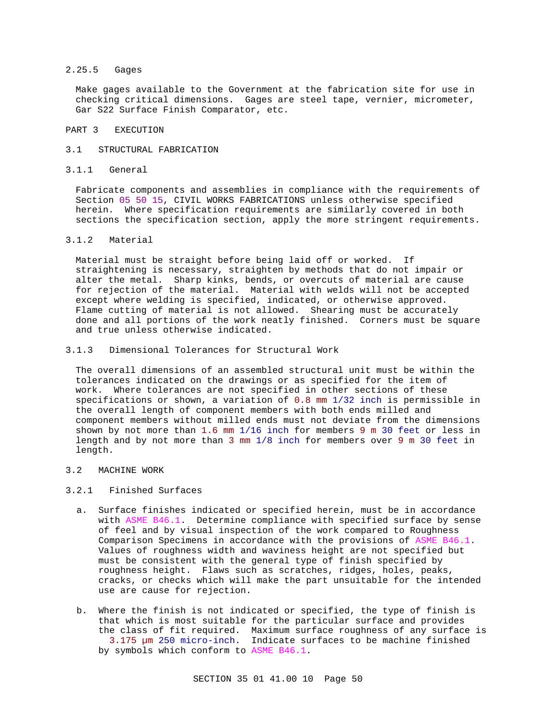## 2.25.5 Gages

Make gages available to the Government at the fabrication site for use in checking critical dimensions. Gages are steel tape, vernier, micrometer, Gar S22 Surface Finish Comparator, etc.

#### PART 3 EXECUTION

#### 3.1 STRUCTURAL FABRICATION

#### 3.1.1 General

Fabricate components and assemblies in compliance with the requirements of Section 05 50 15, CIVIL WORKS FABRICATIONS unless otherwise specified herein. Where specification requirements are similarly covered in both sections the specification section, apply the more stringent requirements.

#### 3.1.2 Material

Material must be straight before being laid off or worked. If straightening is necessary, straighten by methods that do not impair or alter the metal. Sharp kinks, bends, or overcuts of material are cause for rejection of the material. Material with welds will not be accepted except where welding is specified, indicated, or otherwise approved. Flame cutting of material is not allowed. Shearing must be accurately done and all portions of the work neatly finished. Corners must be square and true unless otherwise indicated.

#### 3.1.3 Dimensional Tolerances for Structural Work

The overall dimensions of an assembled structural unit must be within the tolerances indicated on the drawings or as specified for the item of work. Where tolerances are not specified in other sections of these specifications or shown, a variation of 0.8 mm 1/32 inch is permissible in the overall length of component members with both ends milled and component members without milled ends must not deviate from the dimensions shown by not more than 1.6 mm 1/16 inch for members 9 m 30 feet or less in length and by not more than 3 mm 1/8 inch for members over 9 m 30 feet in length.

#### 3.2 MACHINE WORK

#### 3.2.1 Finished Surfaces

- a. Surface finishes indicated or specified herein, must be in accordance with ASME B46.1. Determine compliance with specified surface by sense of feel and by visual inspection of the work compared to Roughness Comparison Specimens in accordance with the provisions of ASME B46.1. Values of roughness width and waviness height are not specified but must be consistent with the general type of finish specified by roughness height. Flaws such as scratches, ridges, holes, peaks, cracks, or checks which will make the part unsuitable for the intended use are cause for rejection.
- b. Where the finish is not indicated or specified, the type of finish is that which is most suitable for the particular surface and provides the class of fit required. Maximum surface roughness of any surface is 3.175 µm 250 micro-inch. Indicate surfaces to be machine finished by symbols which conform to ASME B46.1.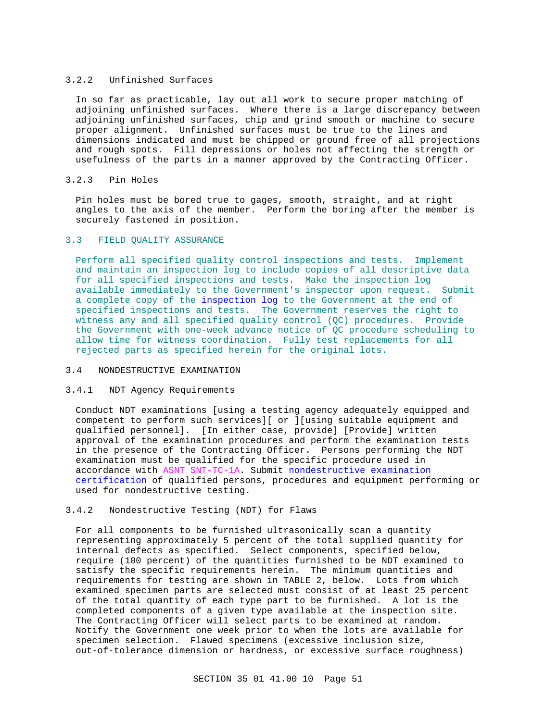#### 3.2.2 Unfinished Surfaces

In so far as practicable, lay out all work to secure proper matching of adjoining unfinished surfaces. Where there is a large discrepancy between adjoining unfinished surfaces, chip and grind smooth or machine to secure proper alignment. Unfinished surfaces must be true to the lines and dimensions indicated and must be chipped or ground free of all projections and rough spots. Fill depressions or holes not affecting the strength or usefulness of the parts in a manner approved by the Contracting Officer.

## 3.2.3 Pin Holes

Pin holes must be bored true to gages, smooth, straight, and at right angles to the axis of the member. Perform the boring after the member is securely fastened in position.

#### 3.3 FIELD QUALITY ASSURANCE

Perform all specified quality control inspections and tests. Implement and maintain an inspection log to include copies of all descriptive data for all specified inspections and tests. Make the inspection log available immediately to the Government's inspector upon request. Submit a complete copy of the inspection log to the Government at the end of specified inspections and tests. The Government reserves the right to witness any and all specified quality control (QC) procedures. Provide the Government with one-week advance notice of QC procedure scheduling to allow time for witness coordination. Fully test replacements for all rejected parts as specified herein for the original lots.

## 3.4 NONDESTRUCTIVE EXAMINATION

# 3.4.1 NDT Agency Requirements

Conduct NDT examinations [using a testing agency adequately equipped and competent to perform such services][ or ][using suitable equipment and qualified personnel]. [In either case, provide] [Provide] written approval of the examination procedures and perform the examination tests in the presence of the Contracting Officer. Persons performing the NDT examination must be qualified for the specific procedure used in accordance with ASNT SNT-TC-1A. Submit nondestructive examination certification of qualified persons, procedures and equipment performing or used for nondestructive testing.

# 3.4.2 Nondestructive Testing (NDT) for Flaws

For all components to be furnished ultrasonically scan a quantity representing approximately 5 percent of the total supplied quantity for internal defects as specified. Select components, specified below, require (100 percent) of the quantities furnished to be NDT examined to satisfy the specific requirements herein. The minimum quantities and requirements for testing are shown in TABLE 2, below. Lots from which examined specimen parts are selected must consist of at least 25 percent of the total quantity of each type part to be furnished. A lot is the completed components of a given type available at the inspection site. The Contracting Officer will select parts to be examined at random. Notify the Government one week prior to when the lots are available for specimen selection. Flawed specimens (excessive inclusion size, out-of-tolerance dimension or hardness, or excessive surface roughness)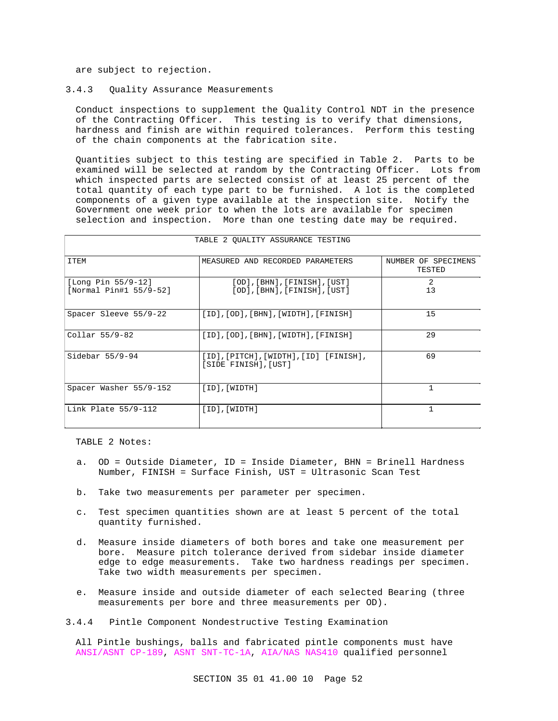are subject to rejection.

#### 3.4.3 Quality Assurance Measurements

Conduct inspections to supplement the Quality Control NDT in the presence of the Contracting Officer. This testing is to verify that dimensions, hardness and finish are within required tolerances. Perform this testing of the chain components at the fabrication site.

Quantities subject to this testing are specified in Table 2. Parts to be examined will be selected at random by the Contracting Officer. Lots from which inspected parts are selected consist of at least 25 percent of the total quantity of each type part to be furnished. A lot is the completed components of a given type available at the inspection site. Notify the Government one week prior to when the lots are available for specimen selection and inspection. More than one testing date may be required.

| TABLE Z OUALIII ASSURANCE IESIING            |                                                                                    |                               |
|----------------------------------------------|------------------------------------------------------------------------------------|-------------------------------|
| ITEM                                         | MEASURED AND RECORDED PARAMETERS                                                   | NUMBER OF SPECIMENS<br>TESTED |
| [Long Pin 55/9-12]<br>[Normal Pin#1 55/9-52] | $[OD]$ , $[BHN]$ , $[FINISH]$ , $[UST]$<br>$[OD]$ , $[BHN]$ , $[FINISH]$ , $[UST]$ | 2<br>13                       |
| Spacer Sleeve 55/9-22                        | [ID], [OD], [BHN], [WIDTH], [FINISH]                                               | 15                            |
| Collar 55/9-82                               | [ID], [OD], [BHN], [WIDTH], [FINISH]                                               | 29                            |
| Sidebar $55/9-94$                            | [ID],[PITCH],[WIDTH],[ID] [FINISH],<br>[SIDE FINISH],[UST]                         | 69                            |
| Spacer Washer 55/9-152                       | $[ID]$ , $[WIDTH]$                                                                 | $\mathbf{1}$                  |
| Link Plate $55/9-112$                        | $[ID]$ , $[WIDTH]$                                                                 |                               |

# TABLE 2 QUALITY ASSURANCE TESTING

TABLE 2 Notes:

Г

- a. OD = Outside Diameter, ID = Inside Diameter, BHN = Brinell Hardness Number, FINISH = Surface Finish, UST = Ultrasonic Scan Test
- b. Take two measurements per parameter per specimen.
- c. Test specimen quantities shown are at least 5 percent of the total quantity furnished.
- d. Measure inside diameters of both bores and take one measurement per bore. Measure pitch tolerance derived from sidebar inside diameter edge to edge measurements. Take two hardness readings per specimen. Take two width measurements per specimen.
- e. Measure inside and outside diameter of each selected Bearing (three measurements per bore and three measurements per OD).
- 3.4.4 Pintle Component Nondestructive Testing Examination

All Pintle bushings, balls and fabricated pintle components must have ANSI/ASNT CP-189, ASNT SNT-TC-1A, AIA/NAS NAS410 qualified personnel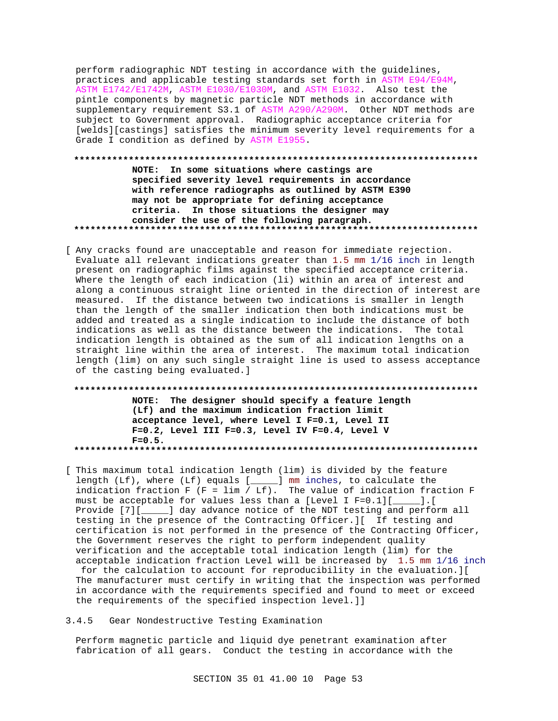perform radiographic NDT testing in accordance with the guidelines, practices and applicable testing standards set forth in ASTM E94/E94M, ASTM E1742/E1742M, ASTM E1030/E1030M, and ASTM E1032. Also test the pintle components by magnetic particle NDT methods in accordance with supplementary requirement S3.1 of ASTM A290/A290M. Other NDT methods are subject to Government approval. Radiographic acceptance criteria for [welds][castings] satisfies the minimum severity level requirements for a Grade I condition as defined by ASTM E1955.

# **\*\*\*\*\*\*\*\*\*\*\*\*\*\*\*\*\*\*\*\*\*\*\*\*\*\*\*\*\*\*\*\*\*\*\*\*\*\*\*\*\*\*\*\*\*\*\*\*\*\*\*\*\*\*\*\*\*\*\*\*\*\*\*\*\*\*\*\*\*\*\*\*\*\* NOTE: In some situations where castings are specified severity level requirements in accordance with reference radiographs as outlined by ASTM E390 may not be appropriate for defining acceptance**

**criteria. In those situations the designer may consider the use of the following paragraph. \*\*\*\*\*\*\*\*\*\*\*\*\*\*\*\*\*\*\*\*\*\*\*\*\*\*\*\*\*\*\*\*\*\*\*\*\*\*\*\*\*\*\*\*\*\*\*\*\*\*\*\*\*\*\*\*\*\*\*\*\*\*\*\*\*\*\*\*\*\*\*\*\*\***

[ Any cracks found are unacceptable and reason for immediate rejection. Evaluate all relevant indications greater than 1.5 mm 1/16 inch in length present on radiographic films against the specified acceptance criteria. Where the length of each indication (li) within an area of interest and along a continuous straight line oriented in the direction of interest are measured. If the distance between two indications is smaller in length than the length of the smaller indication then both indications must be added and treated as a single indication to include the distance of both indications as well as the distance between the indications. The total indication length is obtained as the sum of all indication lengths on a straight line within the area of interest. The maximum total indication length (lim) on any such single straight line is used to assess acceptance of the casting being evaluated.]

**\*\*\*\*\*\*\*\*\*\*\*\*\*\*\*\*\*\*\*\*\*\*\*\*\*\*\*\*\*\*\*\*\*\*\*\*\*\*\*\*\*\*\*\*\*\*\*\*\*\*\*\*\*\*\*\*\*\*\*\*\*\*\*\*\*\*\*\*\*\*\*\*\*\* NOTE: The designer should specify a feature length (Lf) and the maximum indication fraction limit acceptance level, where Level I F=0.1, Level II F=0.2, Level III F=0.3, Level IV F=0.4, Level V F=0.5. \*\*\*\*\*\*\*\*\*\*\*\*\*\*\*\*\*\*\*\*\*\*\*\*\*\*\*\*\*\*\*\*\*\*\*\*\*\*\*\*\*\*\*\*\*\*\*\*\*\*\*\*\*\*\*\*\*\*\*\*\*\*\*\*\*\*\*\*\*\*\*\*\*\***

- [ This maximum total indication length (lim) is divided by the feature length (Lf), where (Lf) equals [\_\_\_\_\_] mm inches, to calculate the indication fraction F (F = lim / Lf). The value of indication fraction F must be acceptable for values less than a [Level I F=0.1][ ].[ must be acceptable for values less than a [Level I F=0.1][ $\_$ Provide [7][\_\_\_\_\_] day advance notice of the NDT testing and perform all testing in the presence of the Contracting Officer.][ If testing and certification is not performed in the presence of the Contracting Officer, the Government reserves the right to perform independent quality verification and the acceptable total indication length (lim) for the acceptable indication fraction Level will be increased by 1.5 mm 1/16 inch for the calculation to account for reproducibility in the evaluation.][ The manufacturer must certify in writing that the inspection was performed in accordance with the requirements specified and found to meet or exceed the requirements of the specified inspection level.]]
- 3.4.5 Gear Nondestructive Testing Examination

Perform magnetic particle and liquid dye penetrant examination after fabrication of all gears. Conduct the testing in accordance with the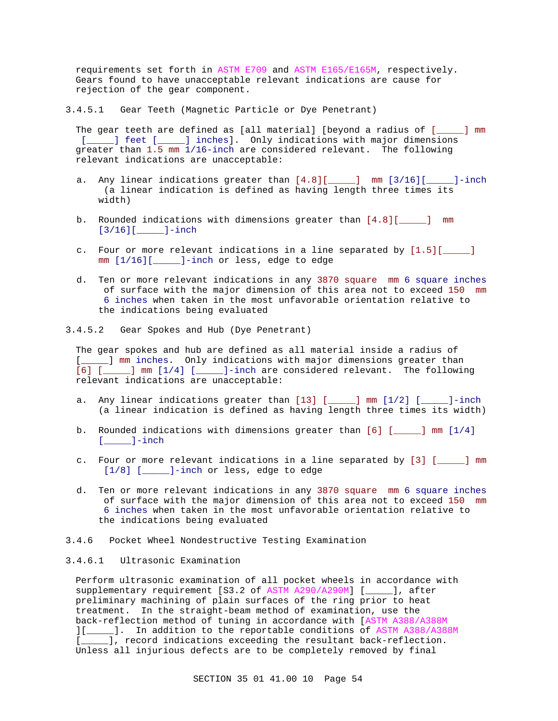requirements set forth in ASTM E709 and ASTM E165/E165M, respectively. Gears found to have unacceptable relevant indications are cause for rejection of the gear component.

3.4.5.1 Gear Teeth (Magnetic Particle or Dye Penetrant)

The gear teeth are defined as [all material] [beyond a radius of [\_\_\_\_\_] mm [\_\_\_\_\_] feet [\_\_\_\_\_] inches]. Only indications with major dimensions greater than 1.5 mm 1/16-inch are considered relevant. The following relevant indications are unacceptable:

- a. Any linear indications greater than [4.8][\_\_\_\_\_] mm [3/16][\_\_\_\_\_]-inch (a linear indication is defined as having length three times its width)
- b. Rounded indications with dimensions greater than  $[4.8]$ [ $\qquad$ ] mm [3/16][\_\_\_\_\_]-inch
- c. Four or more relevant indications in a line separated by  $[1.5][$  [1.5] mm [1/16][\_\_\_\_\_]-inch or less, edge to edge
- d. Ten or more relevant indications in any 3870 square mm 6 square inches of surface with the major dimension of this area not to exceed 150 mm 6 inches when taken in the most unfavorable orientation relative to the indications being evaluated
- 3.4.5.2 Gear Spokes and Hub (Dye Penetrant)

The gear spokes and hub are defined as all material inside a radius of [\_\_\_\_\_] mm inches. Only indications with major dimensions greater than [6] [\_\_\_\_\_] mm [1/4] [\_\_\_\_\_]-inch are considered relevant. The following relevant indications are unacceptable:

- a. Any linear indications greater than  $[13]$  [ $\_\_\_\_\_\$ ] mm  $[1/2]$  [ $\_\_\_\_\_\$ ]-inch (a linear indication is defined as having length three times its width)
- b. Rounded indications with dimensions greater than [6] [\_\_\_\_\_] mm [1/4]  $[\underline{\hspace{1cm}}]$ -inch
- c. Four or more relevant indications in a line separated by  $[3]$   $[$  \_\_\_\_] mm [1/8] [\_\_\_\_\_]-inch or less, edge to edge
- d. Ten or more relevant indications in any 3870 square mm 6 square inches of surface with the major dimension of this area not to exceed 150 mm 6 inches when taken in the most unfavorable orientation relative to the indications being evaluated
- 3.4.6 Pocket Wheel Nondestructive Testing Examination

### 3.4.6.1 Ultrasonic Examination

Perform ultrasonic examination of all pocket wheels in accordance with supplementary requirement [S3.2 of ASTM A290/A290M] [\_\_\_\_\_], after preliminary machining of plain surfaces of the ring prior to heat treatment. In the straight-beam method of examination, use the back-reflection method of tuning in accordance with [ASTM A388/A388M ][\_\_\_\_\_]. In addition to the reportable conditions of ASTM A388/A388M [\_\_\_\_\_], record indications exceeding the resultant back-reflection. Unless all injurious defects are to be completely removed by final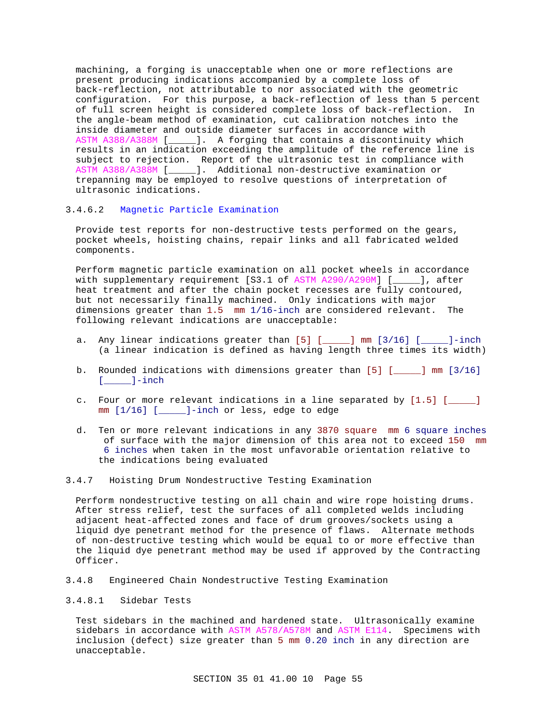machining, a forging is unacceptable when one or more reflections are present producing indications accompanied by a complete loss of back-reflection, not attributable to nor associated with the geometric configuration. For this purpose, a back-reflection of less than 5 percent of full screen height is considered complete loss of back-reflection. In the angle-beam method of examination, cut calibration notches into the inside diameter and outside diameter surfaces in accordance with ASTM A388/A388M [\_\_\_\_\_]. A forging that contains a discontinuity which results in an indication exceeding the amplitude of the reference line is subject to rejection. Report of the ultrasonic test in compliance with ASTM A388/A388M [\_\_\_\_\_]. Additional non-destructive examination or trepanning may be employed to resolve questions of interpretation of ultrasonic indications.

# 3.4.6.2 Magnetic Particle Examination

Provide test reports for non-destructive tests performed on the gears, pocket wheels, hoisting chains, repair links and all fabricated welded components.

Perform magnetic particle examination on all pocket wheels in accordance with supplementary requirement [S3.1 of ASTM A290/A290M] [\_\_\_\_\_], after heat treatment and after the chain pocket recesses are fully contoured, but not necessarily finally machined. Only indications with major dimensions greater than 1.5 mm 1/16-inch are considered relevant. The following relevant indications are unacceptable:

- a. Any linear indications greater than [5] [\_\_\_\_\_] mm [3/16] [\_\_\_\_\_]-inch (a linear indication is defined as having length three times its width)
- b. Rounded indications with dimensions greater than [5] [\_\_\_\_\_] mm [3/16] [\_\_\_\_\_]-inch
- c. Four or more relevant indications in a line separated by  $[1.5]$  [ $\qquad$ ] mm [1/16] [\_\_\_\_\_]-inch or less, edge to edge
- d. Ten or more relevant indications in any 3870 square mm 6 square inches of surface with the major dimension of this area not to exceed 150 mm 6 inches when taken in the most unfavorable orientation relative to the indications being evaluated
- 3.4.7 Hoisting Drum Nondestructive Testing Examination

Perform nondestructive testing on all chain and wire rope hoisting drums. After stress relief, test the surfaces of all completed welds including adjacent heat-affected zones and face of drum grooves/sockets using a liquid dye penetrant method for the presence of flaws. Alternate methods of non-destructive testing which would be equal to or more effective than the liquid dye penetrant method may be used if approved by the Contracting Officer.

3.4.8 Engineered Chain Nondestructive Testing Examination

# 3.4.8.1 Sidebar Tests

Test sidebars in the machined and hardened state. Ultrasonically examine sidebars in accordance with ASTM A578/A578M and ASTM E114. Specimens with inclusion (defect) size greater than 5 mm 0.20 inch in any direction are unacceptable.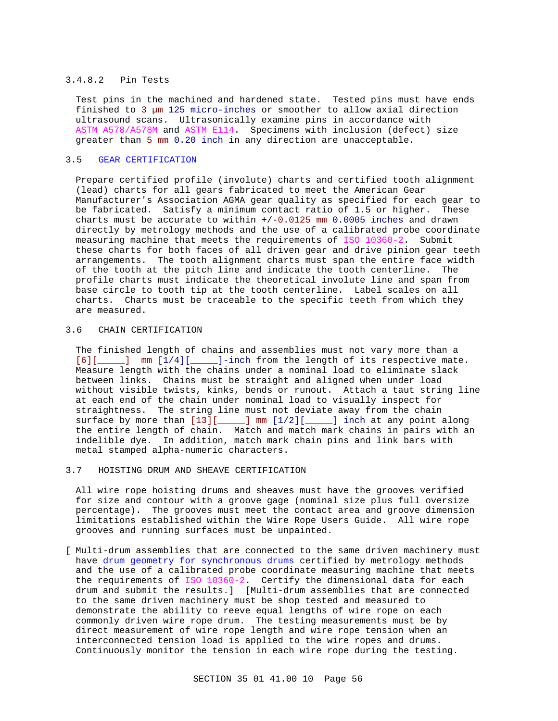#### 3.4.8.2 Pin Tests

Test pins in the machined and hardened state. Tested pins must have ends finished to 3 µm 125 micro-inches or smoother to allow axial direction ultrasound scans. Ultrasonically examine pins in accordance with ASTM A578/A578M and ASTM E114. Specimens with inclusion (defect) size greater than 5 mm 0.20 inch in any direction are unacceptable.

# 3.5 GEAR CERTIFICATION

Prepare certified profile (involute) charts and certified tooth alignment (lead) charts for all gears fabricated to meet the American Gear Manufacturer's Association AGMA gear quality as specified for each gear to be fabricated. Satisfy a minimum contact ratio of 1.5 or higher. These charts must be accurate to within +/-0.0125 mm 0.0005 inches and drawn directly by metrology methods and the use of a calibrated probe coordinate measuring machine that meets the requirements of ISO 10360-2. Submit these charts for both faces of all driven gear and drive pinion gear teeth arrangements. The tooth alignment charts must span the entire face width of the tooth at the pitch line and indicate the tooth centerline. The profile charts must indicate the theoretical involute line and span from base circle to tooth tip at the tooth centerline. Label scales on all charts. Charts must be traceable to the specific teeth from which they are measured.

# 3.6 CHAIN CERTIFICATION

The finished length of chains and assemblies must not vary more than a [6][\_\_\_\_\_] mm [1/4][\_\_\_\_\_]-inch from the length of its respective mate. Measure length with the chains under a nominal load to eliminate slack between links. Chains must be straight and aligned when under load without visible twists, kinks, bends or runout. Attach a taut string line at each end of the chain under nominal load to visually inspect for straightness. The string line must not deviate away from the chain surface by more than  $[13][$  \_\_\_\_] mm  $[1/2][$  \_\_\_\_] inch at any point along the entire length of chain. Match and match mark chains in pairs with an indelible dye. In addition, match mark chain pins and link bars with metal stamped alpha-numeric characters.

#### 3.7 HOISTING DRUM AND SHEAVE CERTIFICATION

All wire rope hoisting drums and sheaves must have the grooves verified for size and contour with a groove gage (nominal size plus full oversize percentage). The grooves must meet the contact area and groove dimension limitations established within the Wire Rope Users Guide. All wire rope grooves and running surfaces must be unpainted.

[ Multi-drum assemblies that are connected to the same driven machinery must have drum geometry for synchronous drums certified by metrology methods and the use of a calibrated probe coordinate measuring machine that meets the requirements of ISO 10360-2. Certify the dimensional data for each drum and submit the results.] [Multi-drum assemblies that are connected to the same driven machinery must be shop tested and measured to demonstrate the ability to reeve equal lengths of wire rope on each commonly driven wire rope drum. The testing measurements must be by direct measurement of wire rope length and wire rope tension when an interconnected tension load is applied to the wire ropes and drums. Continuously monitor the tension in each wire rope during the testing.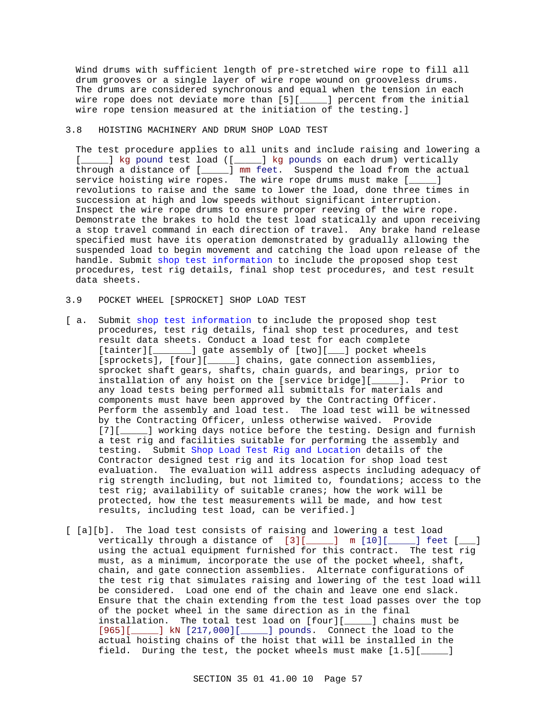Wind drums with sufficient length of pre-stretched wire rope to fill all drum grooves or a single layer of wire rope wound on grooveless drums. The drums are considered synchronous and equal when the tension in each wire rope does not deviate more than [5][\_\_\_\_\_] percent from the initial wire rope tension measured at the initiation of the testing.]

#### 3.8 HOISTING MACHINERY AND DRUM SHOP LOAD TEST

The test procedure applies to all units and include raising and lowering a [\_\_\_\_\_] kg pound test load ([\_\_\_\_\_] kg pounds on each drum) vertically through a distance of [\_\_\_\_\_] mm feet. Suspend the load from the actual service hoisting wire ropes. The wire rope drums must make [\_\_\_\_\_] revolutions to raise and the same to lower the load, done three times in succession at high and low speeds without significant interruption. Inspect the wire rope drums to ensure proper reeving of the wire rope. Demonstrate the brakes to hold the test load statically and upon receiving a stop travel command in each direction of travel. Any brake hand release specified must have its operation demonstrated by gradually allowing the suspended load to begin movement and catching the load upon release of the handle. Submit shop test information to include the proposed shop test procedures, test rig details, final shop test procedures, and test result data sheets.

### 3.9 POCKET WHEEL [SPROCKET] SHOP LOAD TEST

- [ a. Submit shop test information to include the proposed shop test procedures, test rig details, final shop test procedures, and test result data sheets. Conduct a load test for each complete [tainter][\_\_\_\_\_\_\_] gate assembly of [two][\_\_\_] pocket wheels [sprockets], [four][\_\_\_\_\_] chains, gate connection assemblies, sprocket shaft gears, shafts, chain guards, and bearings, prior to installation of any hoist on the [service bridge][\_\_\_\_\_]. Prior to any load tests being performed all submittals for materials and components must have been approved by the Contracting Officer. Perform the assembly and load test. The load test will be witnessed by the Contracting Officer, unless otherwise waived. Provide [7][  $\Box$ ] working days notice before the testing. Design and furnish a test rig and facilities suitable for performing the assembly and testing. Submit Shop Load Test Rig and Location details of the Contractor designed test rig and its location for shop load test evaluation. The evaluation will address aspects including adequacy of rig strength including, but not limited to, foundations; access to the test rig; availability of suitable cranes; how the work will be protected, how the test measurements will be made, and how test results, including test load, can be verified.]
- [ [a][b]. The load test consists of raising and lowering a test load vertically through a distance of [3][\_\_\_\_\_] m [10][\_\_\_\_\_] feet [\_\_\_] using the actual equipment furnished for this contract. The test rig must, as a minimum, incorporate the use of the pocket wheel, shaft, chain, and gate connection assemblies. Alternate configurations of the test rig that simulates raising and lowering of the test load will be considered. Load one end of the chain and leave one end slack. Ensure that the chain extending from the test load passes over the top of the pocket wheel in the same direction as in the final installation. The total test load on [four][\_\_\_\_\_] chains must be [965][\_\_\_\_\_] kN [217,000][\_\_\_\_\_] pounds. Connect the load to the actual hoisting chains of the hoist that will be installed in the field. During the test, the pocket wheels must make [1.5][\_\_\_\_\_]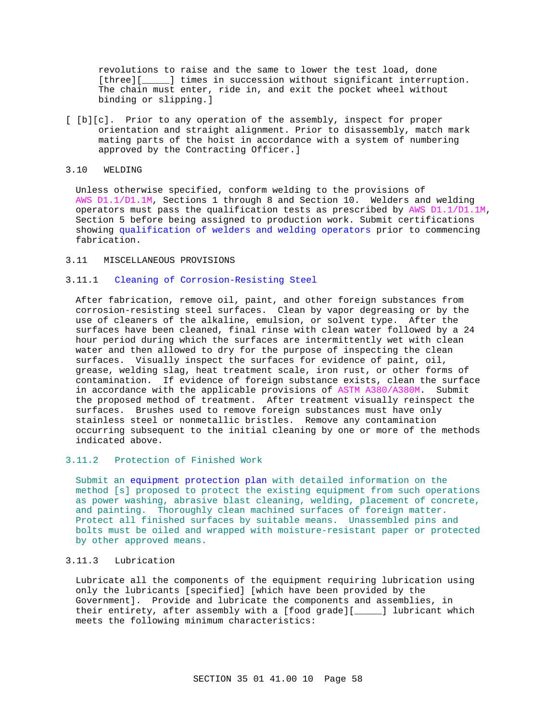revolutions to raise and the same to lower the test load, done [three][ $\_{\_\_\_}$ ] times in succession without significant interruption. The chain must enter, ride in, and exit the pocket wheel without binding or slipping.]

[ [b][c]. Prior to any operation of the assembly, inspect for proper orientation and straight alignment. Prior to disassembly, match mark mating parts of the hoist in accordance with a system of numbering approved by the Contracting Officer.]

## 3.10 WELDING

Unless otherwise specified, conform welding to the provisions of AWS D1.1/D1.1M, Sections 1 through 8 and Section 10. Welders and welding operators must pass the qualification tests as prescribed by AWS D1.1/D1.1M, Section 5 before being assigned to production work. Submit certifications showing qualification of welders and welding operators prior to commencing fabrication.

#### 3.11 MISCELLANEOUS PROVISIONS

## 3.11.1 Cleaning of Corrosion-Resisting Steel

After fabrication, remove oil, paint, and other foreign substances from corrosion-resisting steel surfaces. Clean by vapor degreasing or by the use of cleaners of the alkaline, emulsion, or solvent type. After the surfaces have been cleaned, final rinse with clean water followed by a 24 hour period during which the surfaces are intermittently wet with clean water and then allowed to dry for the purpose of inspecting the clean surfaces. Visually inspect the surfaces for evidence of paint, oil, grease, welding slag, heat treatment scale, iron rust, or other forms of contamination. If evidence of foreign substance exists, clean the surface in accordance with the applicable provisions of ASTM A380/A380M. Submit the proposed method of treatment. After treatment visually reinspect the surfaces. Brushes used to remove foreign substances must have only stainless steel or nonmetallic bristles. Remove any contamination occurring subsequent to the initial cleaning by one or more of the methods indicated above.

# 3.11.2 Protection of Finished Work

Submit an equipment protection plan with detailed information on the method [s] proposed to protect the existing equipment from such operations as power washing, abrasive blast cleaning, welding, placement of concrete, and painting. Thoroughly clean machined surfaces of foreign matter. Protect all finished surfaces by suitable means. Unassembled pins and bolts must be oiled and wrapped with moisture-resistant paper or protected by other approved means.

### 3.11.3 Lubrication

Lubricate all the components of the equipment requiring lubrication using only the lubricants [specified] [which have been provided by the Government]. Provide and lubricate the components and assemblies, in their entirety, after assembly with a [food grade][\_\_\_\_\_] lubricant which meets the following minimum characteristics: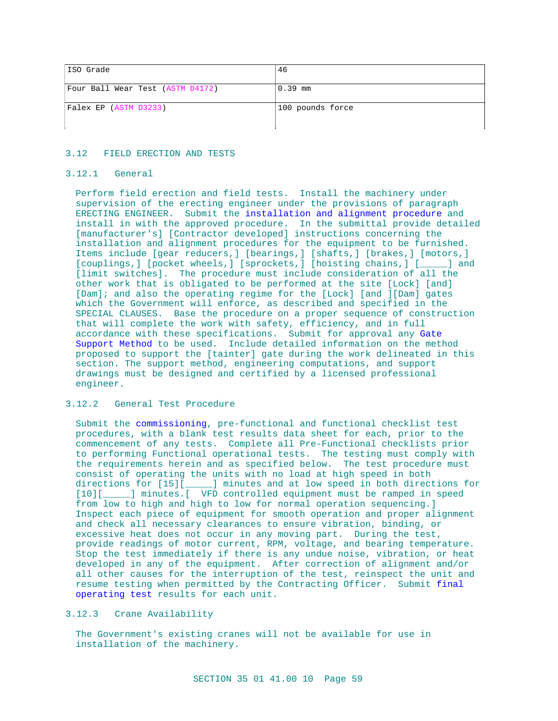| ISO Grade                        | 46               |
|----------------------------------|------------------|
| Four Ball Wear Test (ASTM D4172) | $0.39$ mm        |
| Falex EP (ASTM D3233)            | 100 pounds force |

#### 3.12 FIELD ERECTION AND TESTS

#### 3.12.1 General

Perform field erection and field tests. Install the machinery under supervision of the erecting engineer under the provisions of paragraph ERECTING ENGINEER. Submit the installation and alignment procedure and install in with the approved procedure. In the submittal provide detailed [manufacturer's] [Contractor developed] instructions concerning the installation and alignment procedures for the equipment to be furnished. Items include [gear reducers,] [bearings,] [shafts,] [brakes,] [motors,] [couplings,] [pocket wheels,] [sprockets,] [hoisting chains,] [\_\_\_\_] and [limit switches]. The procedure must include consideration of all the other work that is obligated to be performed at the site [Lock] [and] [Dam]; and also the operating regime for the [Lock] [and ][Dam] gates which the Government will enforce, as described and specified in the SPECIAL CLAUSES. Base the procedure on a proper sequence of construction that will complete the work with safety, efficiency, and in full accordance with these specifications. Submit for approval any Gate Support Method to be used. Include detailed information on the method proposed to support the [tainter] gate during the work delineated in this section. The support method, engineering computations, and support drawings must be designed and certified by a licensed professional engineer.

## 3.12.2 General Test Procedure

Submit the commissioning, pre-functional and functional checklist test procedures, with a blank test results data sheet for each, prior to the commencement of any tests. Complete all Pre-Functional checklists prior to performing Functional operational tests. The testing must comply with the requirements herein and as specified below. The test procedure must consist of operating the units with no load at high speed in both directions for [15][\_\_\_\_\_] minutes and at low speed in both directions for [10][\_\_\_\_\_] minutes. [ VFD controlled equipment must be ramped in speed from low to high and high to low for normal operation sequencing.] Inspect each piece of equipment for smooth operation and proper alignment and check all necessary clearances to ensure vibration, binding, or excessive heat does not occur in any moving part. During the test, provide readings of motor current, RPM, voltage, and bearing temperature. Stop the test immediately if there is any undue noise, vibration, or heat developed in any of the equipment. After correction of alignment and/or all other causes for the interruption of the test, reinspect the unit and resume testing when permitted by the Contracting Officer. Submit final operating test results for each unit.

# 3.12.3 Crane Availability

The Government's existing cranes will not be available for use in installation of the machinery.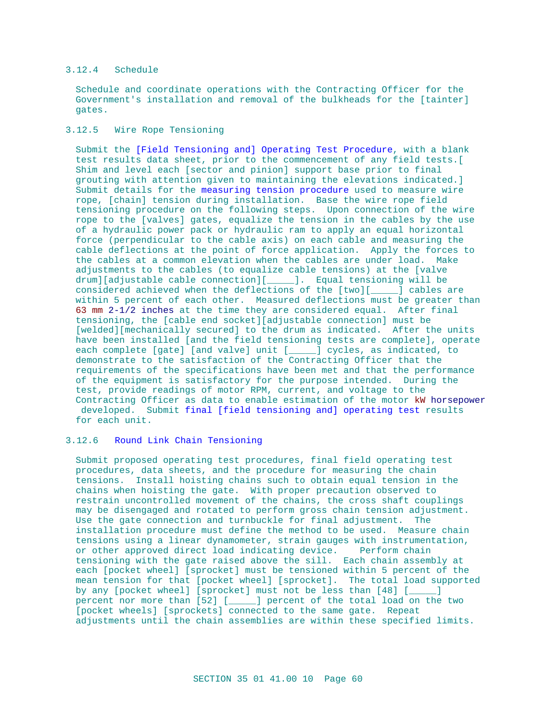# 3.12.4 Schedule

Schedule and coordinate operations with the Contracting Officer for the Government's installation and removal of the bulkheads for the [tainter] gates.

# 3.12.5 Wire Rope Tensioning

Submit the [Field Tensioning and] Operating Test Procedure, with a blank test results data sheet, prior to the commencement of any field tests.[ Shim and level each [sector and pinion] support base prior to final grouting with attention given to maintaining the elevations indicated.] Submit details for the measuring tension procedure used to measure wire rope, [chain] tension during installation. Base the wire rope field tensioning procedure on the following steps. Upon connection of the wire rope to the [valves] gates, equalize the tension in the cables by the use of a hydraulic power pack or hydraulic ram to apply an equal horizontal force (perpendicular to the cable axis) on each cable and measuring the cable deflections at the point of force application. Apply the forces to the cables at a common elevation when the cables are under load. Make adjustments to the cables (to equalize cable tensions) at the [valve drum][adjustable cable connection][\_\_\_\_\_]. Equal tensioning will be considered achieved when the deflections of the [two][\_\_\_\_\_] cables are within 5 percent of each other. Measured deflections must be greater than 63 mm 2-1/2 inches at the time they are considered equal. After final tensioning, the [cable end socket][adjustable connection] must be [welded][mechanically secured] to the drum as indicated. After the units have been installed [and the field tensioning tests are complete], operate each complete [gate] [and valve] unit [\_\_\_\_\_] cycles, as indicated, to demonstrate to the satisfaction of the Contracting Officer that the requirements of the specifications have been met and that the performance of the equipment is satisfactory for the purpose intended. During the test, provide readings of motor RPM, current, and voltage to the Contracting Officer as data to enable estimation of the motor kW horsepower developed. Submit final [field tensioning and] operating test results for each unit.

# 3.12.6 Round Link Chain Tensioning

Submit proposed operating test procedures, final field operating test procedures, data sheets, and the procedure for measuring the chain tensions. Install hoisting chains such to obtain equal tension in the chains when hoisting the gate. With proper precaution observed to restrain uncontrolled movement of the chains, the cross shaft couplings may be disengaged and rotated to perform gross chain tension adjustment. Use the gate connection and turnbuckle for final adjustment. The installation procedure must define the method to be used. Measure chain tensions using a linear dynamometer, strain gauges with instrumentation, or other approved direct load indicating device. Perform chain tensioning with the gate raised above the sill. Each chain assembly at each [pocket wheel] [sprocket] must be tensioned within 5 percent of the mean tension for that [pocket wheel] [sprocket]. The total load supported by any [pocket wheel] [sprocket] must not be less than [48] [\_\_\_\_\_] percent nor more than [52] [\_\_\_\_\_] percent of the total load on the two [pocket wheels] [sprockets] connected to the same gate. Repeat adjustments until the chain assemblies are within these specified limits.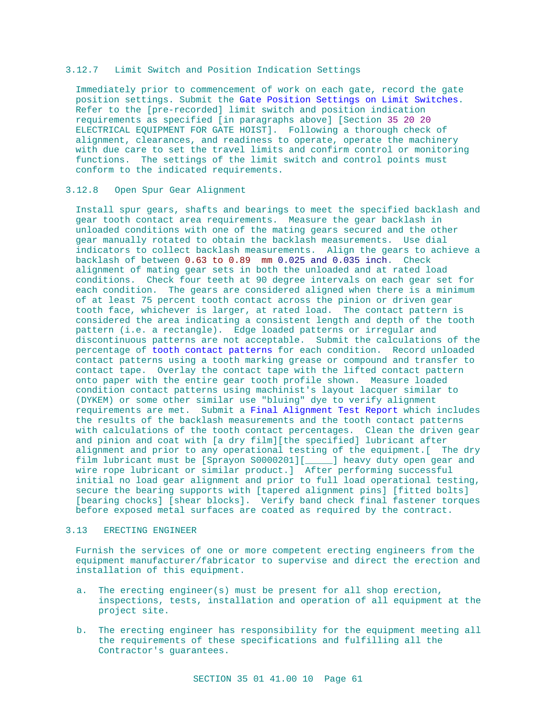#### 3.12.7 Limit Switch and Position Indication Settings

Immediately prior to commencement of work on each gate, record the gate position settings. Submit the Gate Position Settings on Limit Switches. Refer to the [pre-recorded] limit switch and position indication requirements as specified [in paragraphs above] [Section 35 20 20 ELECTRICAL EQUIPMENT FOR GATE HOIST]. Following a thorough check of alignment, clearances, and readiness to operate, operate the machinery with due care to set the travel limits and confirm control or monitoring functions. The settings of the limit switch and control points must conform to the indicated requirements.

#### 3.12.8 Open Spur Gear Alignment

Install spur gears, shafts and bearings to meet the specified backlash and gear tooth contact area requirements. Measure the gear backlash in unloaded conditions with one of the mating gears secured and the other gear manually rotated to obtain the backlash measurements. Use dial indicators to collect backlash measurements. Align the gears to achieve a backlash of between 0.63 to 0.89 mm 0.025 and 0.035 inch. Check alignment of mating gear sets in both the unloaded and at rated load conditions. Check four teeth at 90 degree intervals on each gear set for each condition. The gears are considered aligned when there is a minimum of at least 75 percent tooth contact across the pinion or driven gear tooth face, whichever is larger, at rated load. The contact pattern is considered the area indicating a consistent length and depth of the tooth pattern (i.e. a rectangle). Edge loaded patterns or irregular and discontinuous patterns are not acceptable. Submit the calculations of the percentage of tooth contact patterns for each condition. Record unloaded contact patterns using a tooth marking grease or compound and transfer to contact tape. Overlay the contact tape with the lifted contact pattern onto paper with the entire gear tooth profile shown. Measure loaded condition contact patterns using machinist's layout lacquer similar to (DYKEM) or some other similar use "bluing" dye to verify alignment requirements are met. Submit a Final Alignment Test Report which includes the results of the backlash measurements and the tooth contact patterns with calculations of the tooth contact percentages. Clean the driven gear and pinion and coat with [a dry film][the specified] lubricant after alignment and prior to any operational testing of the equipment.[ The dry film lubricant must be [Sprayon S0000201][\_\_\_\_\_] heavy duty open gear and wire rope lubricant or similar product.] After performing successful initial no load gear alignment and prior to full load operational testing, secure the bearing supports with [tapered alignment pins] [fitted bolts] [bearing chocks] [shear blocks]. Verify band check final fastener torques before exposed metal surfaces are coated as required by the contract.

#### 3.13 ERECTING ENGINEER

Furnish the services of one or more competent erecting engineers from the equipment manufacturer/fabricator to supervise and direct the erection and installation of this equipment.

- a. The erecting engineer(s) must be present for all shop erection, inspections, tests, installation and operation of all equipment at the project site.
- b. The erecting engineer has responsibility for the equipment meeting all the requirements of these specifications and fulfilling all the Contractor's guarantees.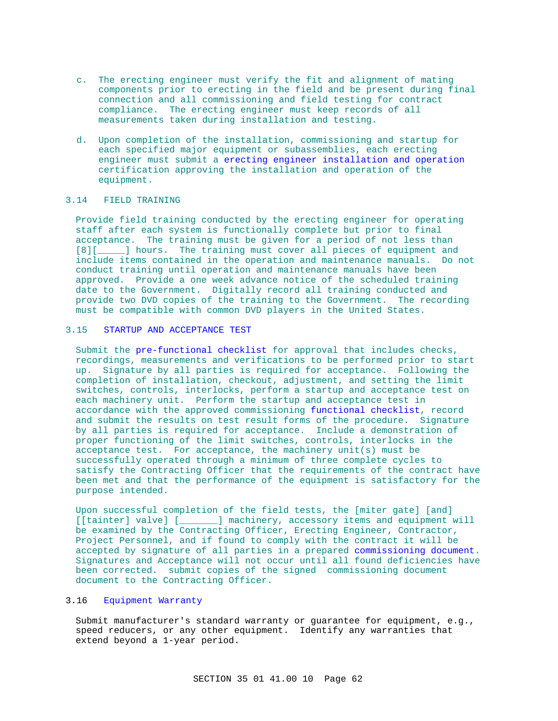- c. The erecting engineer must verify the fit and alignment of mating components prior to erecting in the field and be present during final connection and all commissioning and field testing for contract compliance. The erecting engineer must keep records of all measurements taken during installation and testing.
- d. Upon completion of the installation, commissioning and startup for each specified major equipment or subassemblies, each erecting engineer must submit a erecting engineer installation and operation certification approving the installation and operation of the equipment.

# 3.14 FIELD TRAINING

Provide field training conducted by the erecting engineer for operating staff after each system is functionally complete but prior to final acceptance. The training must be given for a period of not less than [8][\_\_\_\_\_] hours. The training must cover all pieces of equipment and include items contained in the operation and maintenance manuals. Do not conduct training until operation and maintenance manuals have been approved. Provide a one week advance notice of the scheduled training date to the Government. Digitally record all training conducted and provide two DVD copies of the training to the Government. The recording must be compatible with common DVD players in the United States.

# 3.15 STARTUP AND ACCEPTANCE TEST

Submit the pre-functional checklist for approval that includes checks, recordings, measurements and verifications to be performed prior to start up. Signature by all parties is required for acceptance. Following the completion of installation, checkout, adjustment, and setting the limit switches, controls, interlocks, perform a startup and acceptance test on each machinery unit. Perform the startup and acceptance test in accordance with the approved commissioning functional checklist, record and submit the results on test result forms of the procedure. Signature by all parties is required for acceptance. Include a demonstration of proper functioning of the limit switches, controls, interlocks in the acceptance test. For acceptance, the machinery unit(s) must be successfully operated through a minimum of three complete cycles to satisfy the Contracting Officer that the requirements of the contract have been met and that the performance of the equipment is satisfactory for the purpose intended.

Upon successful completion of the field tests, the [miter gate] [and] [[tainter] valve] [\_\_\_\_\_\_] machinery, accessory items and equipment will be examined by the Contracting Officer, Erecting Engineer, Contractor, Project Personnel, and if found to comply with the contract it will be accepted by signature of all parties in a prepared commissioning document. Signatures and Acceptance will not occur until all found deficiencies have been corrected. submit copies of the signed commissioning document document to the Contracting Officer.

# 3.16 Equipment Warranty

Submit manufacturer's standard warranty or guarantee for equipment, e.g., speed reducers, or any other equipment. Identify any warranties that extend beyond a 1-year period.